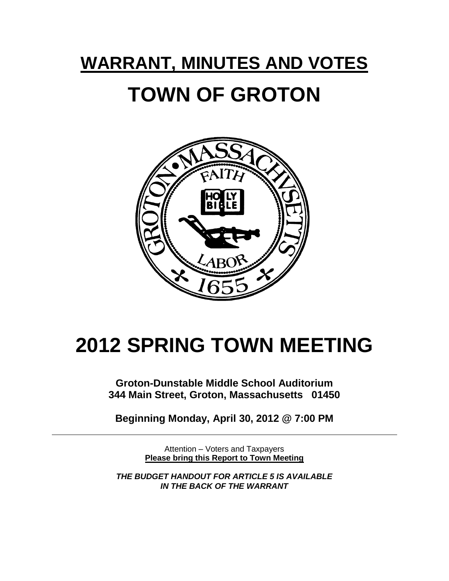# **WARRANT, MINUTES AND VOTES TOWN OF GROTON**



# **2012 SPRING TOWN MEETING**

**Groton-Dunstable Middle School Auditorium 344 Main Street, Groton, Massachusetts 01450**

**Beginning Monday, April 30, 2012 @ 7:00 PM**

Attention – Voters and Taxpayers **Please bring this Report to Town Meeting**

*THE BUDGET HANDOUT FOR ARTICLE 5 IS AVAILABLE IN THE BACK OF THE WARRANT*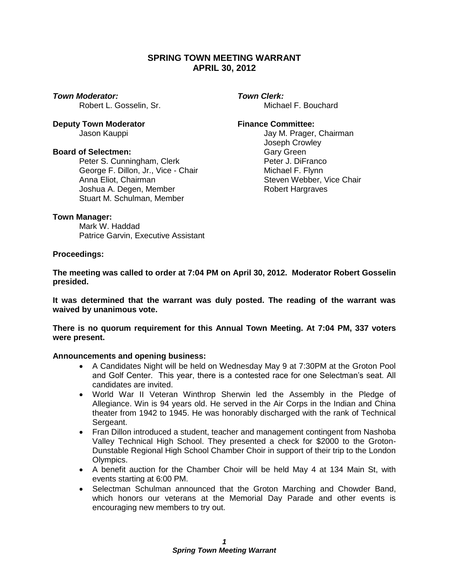# **SPRING TOWN MEETING WARRANT APRIL 30, 2012**

*Town Moderator: Town Clerk:*

**Deputy Town Moderator <b>Finance Committee:** 

#### **Board of Selectmen:** Gary Green

Peter S. Cunningham, Clerk entitled and Peter J. DiFranco Ceorge F. Dillon. Jr., Vice - Chair entitled and Michael F. Flynn George F. Dillon, Jr., Vice - Chair Anna Eliot, Chairman Steven Webber, Vice Chair Joshua A. Degen, Member **Robert Hargraves** Stuart M. Schulman, Member

Robert L. Gosselin, Sr. Michael F. Bouchard

Jason Kauppi Jay M. Prager, Chairman Joseph Crowley

#### **Town Manager:**

Mark W. Haddad Patrice Garvin, Executive Assistant

#### **Proceedings:**

**The meeting was called to order at 7:04 PM on April 30, 2012. Moderator Robert Gosselin presided.**

**It was determined that the warrant was duly posted. The reading of the warrant was waived by unanimous vote.**

**There is no quorum requirement for this Annual Town Meeting. At 7:04 PM, 337 voters were present.** 

#### **Announcements and opening business:**

- A Candidates Night will be held on Wednesday May 9 at 7:30PM at the Groton Pool and Golf Center. This year, there is a contested race for one Selectman's seat. All candidates are invited.
- World War II Veteran Winthrop Sherwin led the Assembly in the Pledge of Allegiance. Win is 94 years old. He served in the Air Corps in the Indian and China theater from 1942 to 1945. He was honorably discharged with the rank of Technical Sergeant.
- Fran Dillon introduced a student, teacher and management contingent from Nashoba Valley Technical High School. They presented a check for \$2000 to the Groton-Dunstable Regional High School Chamber Choir in support of their trip to the London Olympics.
- A benefit auction for the Chamber Choir will be held May 4 at 134 Main St, with events starting at 6:00 PM.
- Selectman Schulman announced that the Groton Marching and Chowder Band, which honors our veterans at the Memorial Day Parade and other events is encouraging new members to try out.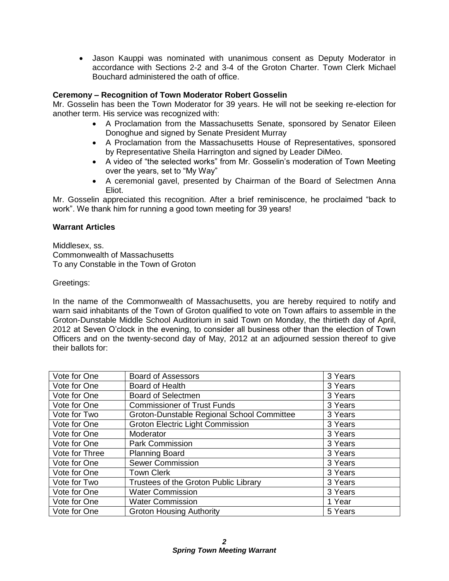Jason Kauppi was nominated with unanimous consent as Deputy Moderator in accordance with Sections 2-2 and 3-4 of the Groton Charter. Town Clerk Michael Bouchard administered the oath of office.

# **Ceremony – Recognition of Town Moderator Robert Gosselin**

Mr. Gosselin has been the Town Moderator for 39 years. He will not be seeking re-election for another term. His service was recognized with:

- A Proclamation from the Massachusetts Senate, sponsored by Senator Eileen Donoghue and signed by Senate President Murray
- A Proclamation from the Massachusetts House of Representatives, sponsored by Representative Sheila Harrington and signed by Leader DiMeo.
- A video of "the selected works" from Mr. Gosselin's moderation of Town Meeting over the years, set to "My Way"
- A ceremonial gavel, presented by Chairman of the Board of Selectmen Anna Eliot.

Mr. Gosselin appreciated this recognition. After a brief reminiscence, he proclaimed "back to work". We thank him for running a good town meeting for 39 years!

# **Warrant Articles**

Middlesex, ss. Commonwealth of Massachusetts To any Constable in the Town of Groton

Greetings:

In the name of the Commonwealth of Massachusetts, you are hereby required to notify and warn said inhabitants of the Town of Groton qualified to vote on Town affairs to assemble in the Groton-Dunstable Middle School Auditorium in said Town on Monday, the thirtieth day of April, 2012 at Seven O'clock in the evening, to consider all business other than the election of Town Officers and on the twenty-second day of May, 2012 at an adjourned session thereof to give their ballots for:

| Vote for One   | <b>Board of Assessors</b>                  | 3 Years |
|----------------|--------------------------------------------|---------|
| Vote for One   | Board of Health                            | 3 Years |
| Vote for One   | <b>Board of Selectmen</b>                  | 3 Years |
| Vote for One   | <b>Commissioner of Trust Funds</b>         | 3 Years |
| Vote for Two   | Groton-Dunstable Regional School Committee | 3 Years |
| Vote for One   | <b>Groton Electric Light Commission</b>    | 3 Years |
| Vote for One   | Moderator                                  | 3 Years |
| Vote for One   | <b>Park Commission</b>                     | 3 Years |
| Vote for Three | <b>Planning Board</b>                      | 3 Years |
| Vote for One   | <b>Sewer Commission</b>                    | 3 Years |
| Vote for One   | <b>Town Clerk</b>                          | 3 Years |
| Vote for Two   | Trustees of the Groton Public Library      | 3 Years |
| Vote for One   | <b>Water Commission</b>                    | 3 Years |
| Vote for One   | <b>Water Commission</b>                    | 1 Year  |
| Vote for One   | <b>Groton Housing Authority</b>            | 5 Years |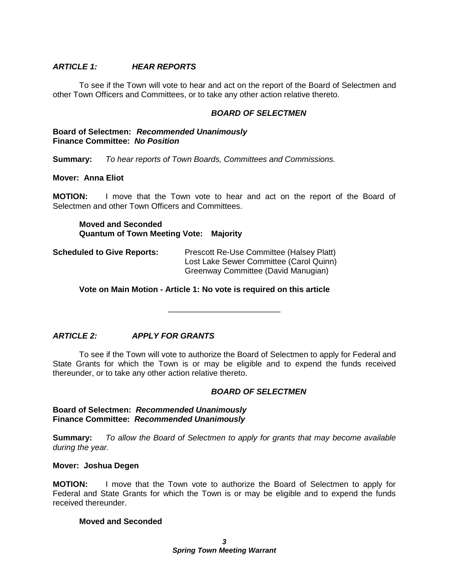# *ARTICLE 1: HEAR REPORTS*

To see if the Town will vote to hear and act on the report of the Board of Selectmen and other Town Officers and Committees, or to take any other action relative thereto.

#### *BOARD OF SELECTMEN*

#### **Board of Selectmen:** *Recommended Unanimously*  **Finance Committee:** *No Position*

**Summary:** *To hear reports of Town Boards, Committees and Commissions.*

#### **Mover: Anna Eliot**

**MOTION:** I move that the Town vote to hear and act on the report of the Board of Selectmen and other Town Officers and Committees.

**Moved and Seconded Quantum of Town Meeting Vote: Majority**

**Scheduled to Give Reports:** Prescott Re-Use Committee (Halsey Platt) Lost Lake Sewer Committee (Carol Quinn) Greenway Committee (David Manugian)

**Vote on Main Motion - Article 1: No vote is required on this article**

\_\_\_\_\_\_\_\_\_\_\_\_\_\_\_\_\_\_\_\_\_\_\_\_\_

# *ARTICLE 2: APPLY FOR GRANTS*

To see if the Town will vote to authorize the Board of Selectmen to apply for Federal and State Grants for which the Town is or may be eligible and to expend the funds received thereunder, or to take any other action relative thereto.

#### *BOARD OF SELECTMEN*

#### **Board of Selectmen:** *Recommended Unanimously*  **Finance Committee:** *Recommended Unanimously*

**Summary:** *To allow the Board of Selectmen to apply for grants that may become available during the year.*

#### **Mover: Joshua Degen**

**MOTION:** I move that the Town vote to authorize the Board of Selectmen to apply for Federal and State Grants for which the Town is or may be eligible and to expend the funds received thereunder.

#### **Moved and Seconded**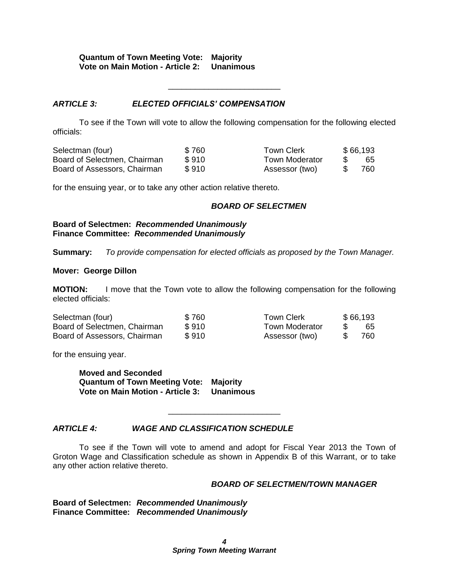# **Quantum of Town Meeting Vote: Majority Vote on Main Motion - Article 2: Unanimous**

#### *ARTICLE 3: ELECTED OFFICIALS' COMPENSATION*

To see if the Town will vote to allow the following compensation for the following elected officials:

\_\_\_\_\_\_\_\_\_\_\_\_\_\_\_\_\_\_\_\_\_\_\_\_\_

| Selectman (four)             | \$760 | Town Clerk            | \$66,193 |
|------------------------------|-------|-----------------------|----------|
| Board of Selectmen, Chairman | \$910 | <b>Town Moderator</b> | 65       |
| Board of Assessors, Chairman | \$910 | Assessor (two)        | 760      |

for the ensuing year, or to take any other action relative thereto.

#### *BOARD OF SELECTMEN*

**Board of Selectmen:** *Recommended Unanimously*  **Finance Committee:** *Recommended Unanimously*

**Summary:** *To provide compensation for elected officials as proposed by the Town Manager.* 

#### **Mover: George Dillon**

**MOTION:** I move that the Town vote to allow the following compensation for the following elected officials:

| Selectman (four)             | \$760 | Town Clerk            |     | \$66,193 |
|------------------------------|-------|-----------------------|-----|----------|
| Board of Selectmen, Chairman | \$910 | <b>Town Moderator</b> | -SS | 65       |
| Board of Assessors, Chairman | \$910 | Assessor (two)        |     | 760      |

for the ensuing year.

**Moved and Seconded Quantum of Town Meeting Vote: Majority Vote on Main Motion - Article 3: Unanimous**

# *ARTICLE 4: WAGE AND CLASSIFICATION SCHEDULE*

To see if the Town will vote to amend and adopt for Fiscal Year 2013 the Town of Groton Wage and Classification schedule as shown in Appendix B of this Warrant, or to take any other action relative thereto.

\_\_\_\_\_\_\_\_\_\_\_\_\_\_\_\_\_\_\_\_\_\_\_\_\_

#### *BOARD OF SELECTMEN/TOWN MANAGER*

**Board of Selectmen:** *Recommended Unanimously*  **Finance Committee:** *Recommended Unanimously*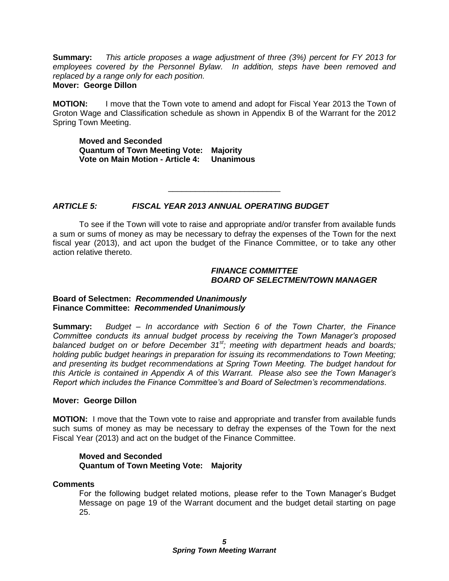**Summary:** *This article proposes a wage adjustment of three (3%) percent for FY 2013 for employees covered by the Personnel Bylaw. In addition, steps have been removed and replaced by a range only for each position.* **Mover: George Dillon**

**MOTION:** I move that the Town vote to amend and adopt for Fiscal Year 2013 the Town of Groton Wage and Classification schedule as shown in Appendix B of the Warrant for the 2012 Spring Town Meeting.

**Moved and Seconded Quantum of Town Meeting Vote: Majority Vote on Main Motion - Article 4: Unanimous**

## *ARTICLE 5: FISCAL YEAR 2013 ANNUAL OPERATING BUDGET*

To see if the Town will vote to raise and appropriate and/or transfer from available funds a sum or sums of money as may be necessary to defray the expenses of the Town for the next fiscal year (2013), and act upon the budget of the Finance Committee, or to take any other action relative thereto.

\_\_\_\_\_\_\_\_\_\_\_\_\_\_\_\_\_\_\_\_\_\_\_\_\_

#### *FINANCE COMMITTEE BOARD OF SELECTMEN/TOWN MANAGER*

#### **Board of Selectmen:** *Recommended Unanimously*  **Finance Committee:** *Recommended Unanimously*

**Summary:** *Budget – In accordance with Section 6 of the Town Charter, the Finance Committee conducts its annual budget process by receiving the Town Manager's proposed balanced budget on or before December 31st; meeting with department heads and boards; holding public budget hearings in preparation for issuing its recommendations to Town Meeting; and presenting its budget recommendations at Spring Town Meeting. The budget handout for this Article is contained in Appendix A of this Warrant. Please also see the Town Manager's Report which includes the Finance Committee's and Board of Selectmen's recommendations*.

#### **Mover: George Dillon**

**MOTION:** I move that the Town vote to raise and appropriate and transfer from available funds such sums of money as may be necessary to defray the expenses of the Town for the next Fiscal Year (2013) and act on the budget of the Finance Committee.

#### **Moved and Seconded Quantum of Town Meeting Vote: Majority**

# **Comments**

For the following budget related motions, please refer to the Town Manager's Budget Message on page 19 of the Warrant document and the budget detail starting on page 25.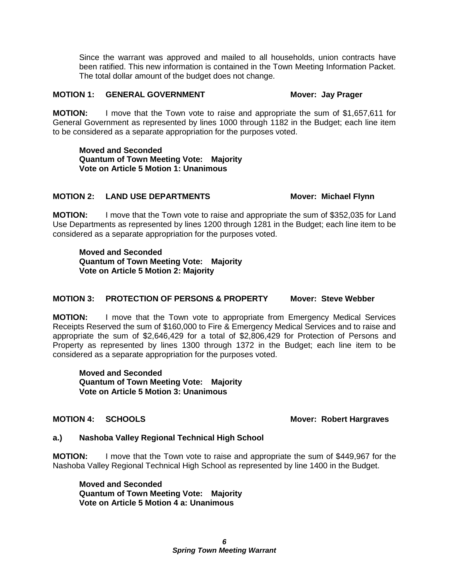Since the warrant was approved and mailed to all households, union contracts have been ratified. This new information is contained in the Town Meeting Information Packet. The total dollar amount of the budget does not change.

#### **MOTION 1: GENERAL GOVERNMENT Mover: Jay Prager**

**MOTION:** I move that the Town vote to raise and appropriate the sum of \$1,657,611 for General Government as represented by lines 1000 through 1182 in the Budget; each line item to be considered as a separate appropriation for the purposes voted.

**Moved and Seconded Quantum of Town Meeting Vote: Majority Vote on Article 5 Motion 1: Unanimous**

#### **MOTION 2: LAND USE DEPARTMENTS Mover: Michael Flynn**

**MOTION:** I move that the Town vote to raise and appropriate the sum of \$352,035 for Land Use Departments as represented by lines 1200 through 1281 in the Budget; each line item to be considered as a separate appropriation for the purposes voted.

**Moved and Seconded Quantum of Town Meeting Vote: Majority Vote on Article 5 Motion 2: Majority**

# **MOTION 3: PROTECTION OF PERSONS & PROPERTY Mover: Steve Webber**

**MOTION:** I move that the Town vote to appropriate from Emergency Medical Services Receipts Reserved the sum of \$160,000 to Fire & Emergency Medical Services and to raise and appropriate the sum of \$2,646,429 for a total of \$2,806,429 for Protection of Persons and Property as represented by lines 1300 through 1372 in the Budget; each line item to be considered as a separate appropriation for the purposes voted.

**Moved and Seconded Quantum of Town Meeting Vote: Majority Vote on Article 5 Motion 3: Unanimous**

### **MOTION 4: SCHOOLS Mover: Robert Hargraves**

#### **a.) Nashoba Valley Regional Technical High School**

**MOTION:** I move that the Town vote to raise and appropriate the sum of \$449,967 for the Nashoba Valley Regional Technical High School as represented by line 1400 in the Budget.

**Moved and Seconded Quantum of Town Meeting Vote: Majority Vote on Article 5 Motion 4 a: Unanimous**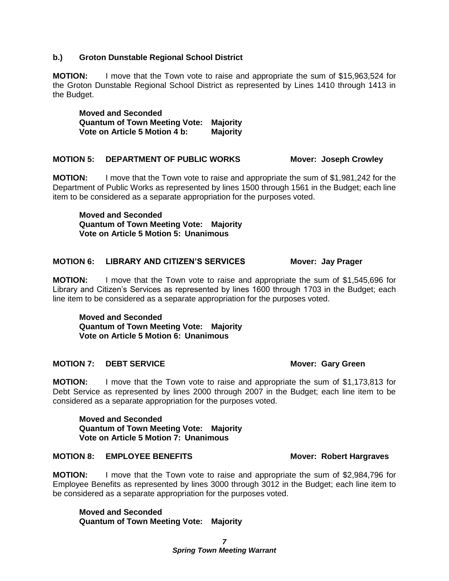## **b.) Groton Dunstable Regional School District**

**MOTION:** I move that the Town vote to raise and appropriate the sum of \$15,963,524 for the Groton Dunstable Regional School District as represented by Lines 1410 through 1413 in the Budget.

**Moved and Seconded Quantum of Town Meeting Vote: Majority Vote on Article 5 Motion 4 b: Majority**

#### **MOTION 5: DEPARTMENT OF PUBLIC WORKS Mover: Joseph Crowley**

**MOTION:** I move that the Town vote to raise and appropriate the sum of \$1,981,242 for the Department of Public Works as represented by lines 1500 through 1561 in the Budget; each line item to be considered as a separate appropriation for the purposes voted.

**Moved and Seconded Quantum of Town Meeting Vote: Majority Vote on Article 5 Motion 5: Unanimous**

#### **MOTION 6: LIBRARY AND CITIZEN'S SERVICES Mover: Jay Prager**

**MOTION:** I move that the Town vote to raise and appropriate the sum of \$1,545,696 for Library and Citizen's Services as represented by lines 1600 through 1703 in the Budget; each line item to be considered as a separate appropriation for the purposes voted.

**Moved and Seconded Quantum of Town Meeting Vote: Majority Vote on Article 5 Motion 6: Unanimous**

# **MOTION 7: DEBT SERVICE** MOTION 7: **DEBT SERVICE**

**MOTION:** I move that the Town vote to raise and appropriate the sum of \$1,173,813 for Debt Service as represented by lines 2000 through 2007 in the Budget; each line item to be considered as a separate appropriation for the purposes voted.

**Moved and Seconded Quantum of Town Meeting Vote: Majority Vote on Article 5 Motion 7: Unanimous**

#### **MOTION 8: EMPLOYEE BENEFITS** Mover: Robert Hargraves

**MOTION:** I move that the Town vote to raise and appropriate the sum of \$2,984,796 for Employee Benefits as represented by lines 3000 through 3012 in the Budget; each line item to be considered as a separate appropriation for the purposes voted.

**Moved and Seconded Quantum of Town Meeting Vote: Majority**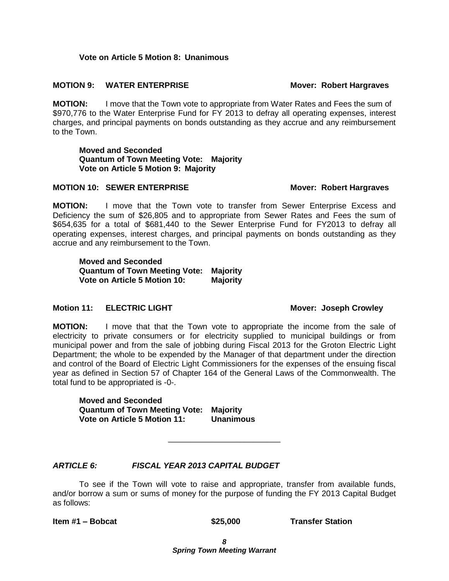### **Vote on Article 5 Motion 8: Unanimous**

#### **MOTION 9: WATER ENTERPRISE MOTION 9: WATER ENTERPRISE**

**MOTION:** I move that the Town vote to appropriate from Water Rates and Fees the sum of \$970,776 to the Water Enterprise Fund for FY 2013 to defray all operating expenses, interest charges, and principal payments on bonds outstanding as they accrue and any reimbursement to the Town.

**Moved and Seconded Quantum of Town Meeting Vote: Majority Vote on Article 5 Motion 9: Majority**

#### **MOTION 10: SEWER ENTERPRISE Mover: Robert Hargraves**

**MOTION:** I move that the Town vote to transfer from Sewer Enterprise Excess and Deficiency the sum of \$26,805 and to appropriate from Sewer Rates and Fees the sum of \$654,635 for a total of \$681,440 to the Sewer Enterprise Fund for FY2013 to defray all operating expenses, interest charges, and principal payments on bonds outstanding as they accrue and any reimbursement to the Town.

**Moved and Seconded Quantum of Town Meeting Vote: Majority Vote on Article 5 Motion 10: Majority**

#### **Motion 11: ELECTRIC LIGHT Mover: Joseph Crowley**

**MOTION:** I move that that the Town vote to appropriate the income from the sale of electricity to private consumers or for electricity supplied to municipal buildings or from municipal power and from the sale of jobbing during Fiscal 2013 for the Groton Electric Light Department; the whole to be expended by the Manager of that department under the direction and control of the Board of Electric Light Commissioners for the expenses of the ensuing fiscal year as defined in Section 57 of Chapter 164 of the General Laws of the Commonwealth. The total fund to be appropriated is -0-.

**Moved and Seconded Quantum of Town Meeting Vote: Majority Vote on Article 5 Motion 11: Unanimous**

# *ARTICLE 6: FISCAL YEAR 2013 CAPITAL BUDGET*

To see if the Town will vote to raise and appropriate, transfer from available funds, and/or borrow a sum or sums of money for the purpose of funding the FY 2013 Capital Budget as follows:

\_\_\_\_\_\_\_\_\_\_\_\_\_\_\_\_\_\_\_\_\_\_\_\_\_

**Item #1 – Bobcat \$25,000 Transfer Station**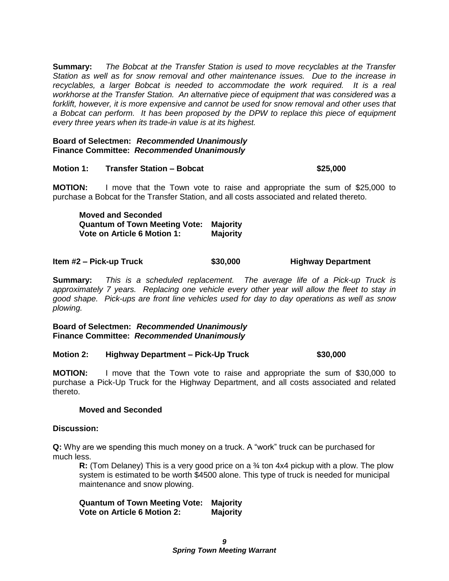**Summary:** *The Bobcat at the Transfer Station is used to move recyclables at the Transfer Station as well as for snow removal and other maintenance issues. Due to the increase in*  recyclables, a larger Bobcat is needed to accommodate the work required. It is a real *workhorse at the Transfer Station. An alternative piece of equipment that was considered was a forklift, however, it is more expensive and cannot be used for snow removal and other uses that a Bobcat can perform. It has been proposed by the DPW to replace this piece of equipment every three years when its trade-in value is at its highest.*

#### **Board of Selectmen:** *Recommended Unanimously*  **Finance Committee:** *Recommended Unanimously*

#### **Motion 1: Transfer Station – Bobcat \$25,000**

**MOTION:** I move that the Town vote to raise and appropriate the sum of \$25,000 to purchase a Bobcat for the Transfer Station, and all costs associated and related thereto.

**Moved and Seconded Quantum of Town Meeting Vote: Majority Vote on Article 6 Motion 1: Majority**

**Item #2 – Pick-up Truck \$30,000 Highway Department**

**Summary:** *This is a scheduled replacement. The average life of a Pick-up Truck is approximately 7 years. Replacing one vehicle every other year will allow the fleet to stay in good shape. Pick-ups are front line vehicles used for day to day operations as well as snow plowing.*

**Board of Selectmen:** *Recommended Unanimously*  **Finance Committee:** *Recommended Unanimously*

#### **Motion 2: Highway Department – Pick-Up Truck \$30,000**

**MOTION:** I move that the Town vote to raise and appropriate the sum of \$30,000 to purchase a Pick-Up Truck for the Highway Department, and all costs associated and related thereto.

#### **Moved and Seconded**

#### **Discussion:**

**Q:** Why are we spending this much money on a truck. A "work" truck can be purchased for much less.

**R:** (Tom Delaney) This is a very good price on a ¾ ton 4x4 pickup with a plow. The plow system is estimated to be worth \$4500 alone. This type of truck is needed for municipal maintenance and snow plowing.

**Quantum of Town Meeting Vote: Majority Vote on Article 6 Motion 2: Majority**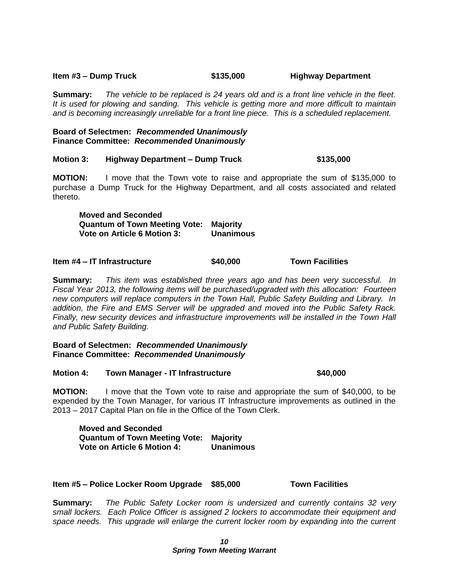# **Item #3 – Dump Truck \$135,000 Highway Department**

**Summary:** *The vehicle to be replaced is 24 years old and is a front line vehicle in the fleet. It is used for plowing and sanding. This vehicle is getting more and more difficult to maintain and is becoming increasingly unreliable for a front line piece. This is a scheduled replacement.*

#### **Board of Selectmen:** *Recommended Unanimously*  **Finance Committee:** *Recommended Unanimously*

# **Motion 3: Highway Department – Dump Truck \$135,000**

**MOTION:** I move that the Town vote to raise and appropriate the sum of \$135,000 to purchase a Dump Truck for the Highway Department, and all costs associated and related thereto.

**Moved and Seconded Quantum of Town Meeting Vote: Majority Vote on Article 6 Motion 3: Unanimous**

#### **Item #4 – IT Infrastructure \$40,000 Town Facilities**

**Summary:** *This item was established three years ago and has been very successful. In Fiscal Year 2013, the following items will be purchased/upgraded with this allocation: Fourteen new computers will replace computers in the Town Hall, Public Safety Building and Library. In addition, the Fire and EMS Server will be upgraded and moved into the Public Safety Rack. Finally, new security devices and infrastructure improvements will be installed in the Town Hall and Public Safety Building.*

#### **Board of Selectmen:** *Recommended Unanimously*  **Finance Committee:** *Recommended Unanimously*

#### **Motion 4: Town Manager - IT Infrastructure \$40,000**

**MOTION:** I move that the Town vote to raise and appropriate the sum of \$40,000, to be expended by the Town Manager, for various IT Infrastructure improvements as outlined in the 2013 – 2017 Capital Plan on file in the Office of the Town Clerk.

**Moved and Seconded Quantum of Town Meeting Vote: Majority Vote on Article 6 Motion 4: Unanimous**

#### **Item #5 – Police Locker Room Upgrade \$85,000 Town Facilities**

**Summary:** *The Public Safety Locker room is undersized and currently contains 32 very small lockers. Each Police Officer is assigned 2 lockers to accommodate their equipment and space needs. This upgrade will enlarge the current locker room by expanding into the current*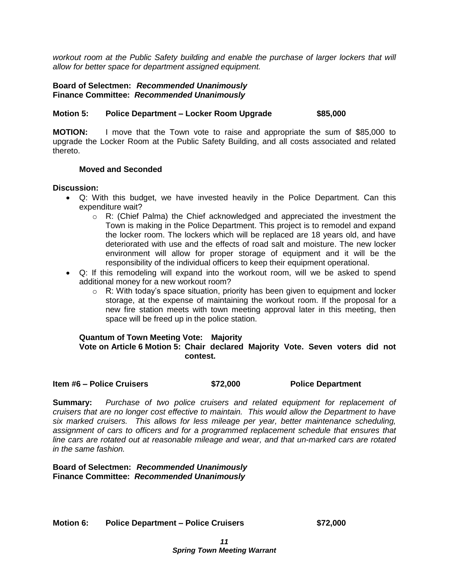*workout room at the Public Safety building and enable the purchase of larger lockers that will allow for better space for department assigned equipment.* 

**Board of Selectmen:** *Recommended Unanimously*  **Finance Committee:** *Recommended Unanimously*

## **Motion 5: Police Department – Locker Room Upgrade \$85,000**

**MOTION:** I move that the Town vote to raise and appropriate the sum of \$85,000 to upgrade the Locker Room at the Public Safety Building, and all costs associated and related thereto.

#### **Moved and Seconded**

#### **Discussion:**

- Q: With this budget, we have invested heavily in the Police Department. Can this expenditure wait?
	- $\circ$  R: (Chief Palma) the Chief acknowledged and appreciated the investment the Town is making in the Police Department. This project is to remodel and expand the locker room. The lockers which will be replaced are 18 years old, and have deteriorated with use and the effects of road salt and moisture. The new locker environment will allow for proper storage of equipment and it will be the responsibility of the individual officers to keep their equipment operational.
- Q: If this remodeling will expand into the workout room, will we be asked to spend additional money for a new workout room?
	- $\circ$  R: With today's space situation, priority has been given to equipment and locker storage, at the expense of maintaining the workout room. If the proposal for a new fire station meets with town meeting approval later in this meeting, then space will be freed up in the police station.

#### **Quantum of Town Meeting Vote: Majority Vote on Article 6 Motion 5: Chair declared Majority Vote. Seven voters did not contest.**

#### **Item #6 – Police Cruisers \$72,000 Police Department**

**Summary:** *Purchase of two police cruisers and related equipment for replacement of cruisers that are no longer cost effective to maintain. This would allow the Department to have six marked cruisers. This allows for less mileage per year, better maintenance scheduling, assignment of cars to officers and for a programmed replacement schedule that ensures that line cars are rotated out at reasonable mileage and wear, and that un-marked cars are rotated in the same fashion.*

**Board of Selectmen:** *Recommended Unanimously*  **Finance Committee:** *Recommended Unanimously*

**Motion 6: Police Department – Police Cruisers \$72,000**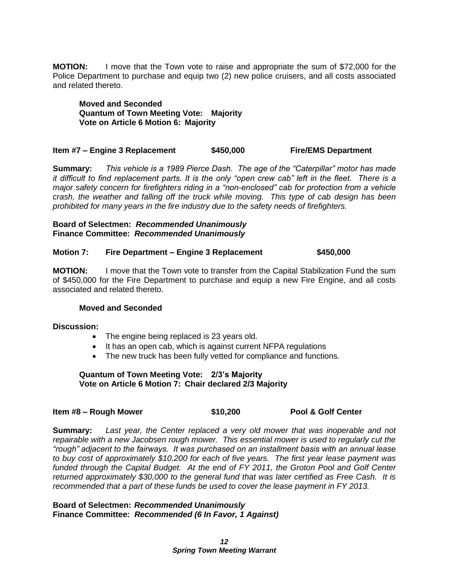**MOTION:** I move that the Town vote to raise and appropriate the sum of \$72,000 for the Police Department to purchase and equip two (2) new police cruisers, and all costs associated and related thereto.

**Moved and Seconded Quantum of Town Meeting Vote: Majority Vote on Article 6 Motion 6: Majority**

#### **Item #7 – Engine 3 Replacement \$450,000 Fire/EMS Department**

**Summary:** *This vehicle is a 1989 Pierce Dash. The age of the "Caterpillar" motor has made it difficult to find replacement parts. It is the only "open crew cab" left in the fleet. There is a major safety concern for firefighters riding in a "non-enclosed" cab for protection from a vehicle crash, the weather and falling off the truck while moving. This type of cab design has been prohibited for many years in the fire industry due to the safety needs of firefighters.*

#### **Board of Selectmen:** *Recommended Unanimously*  **Finance Committee:** *Recommended Unanimously*

#### **Motion 7: Fire Department – Engine 3 Replacement \$450,000**

**MOTION:** I move that the Town vote to transfer from the Capital Stabilization Fund the sum of \$450,000 for the Fire Department to purchase and equip a new Fire Engine, and all costs associated and related thereto.

#### **Moved and Seconded**

**Discussion:**

- The engine being replaced is 23 years old.
- It has an open cab, which is against current NFPA regulations
- The new truck has been fully vetted for compliance and functions.

#### **Quantum of Town Meeting Vote: 2/3's Majority Vote on Article 6 Motion 7: Chair declared 2/3 Majority**

| \$10,200<br>Item #8 – Rough Mower | <b>Pool &amp; Golf Center</b> |
|-----------------------------------|-------------------------------|
|-----------------------------------|-------------------------------|

**Summary:** *Last year, the Center replaced a very old mower that was inoperable and not repairable with a new Jacobsen rough mower. This essential mower is used to regularly cut the "rough" adjacent to the fairways. It was purchased on an installment basis with an annual lease to buy cost of approximately \$10,200 for each of five years. The first year lease payment was funded through the Capital Budget. At the end of FY 2011, the Groton Pool and Golf Center returned approximately \$30,000 to the general fund that was later certified as Free Cash. It is recommended that a part of these funds be used to cover the lease payment in FY 2013.*

**Board of Selectmen:** *Recommended Unanimously*  **Finance Committee:** *Recommended (6 In Favor, 1 Against)*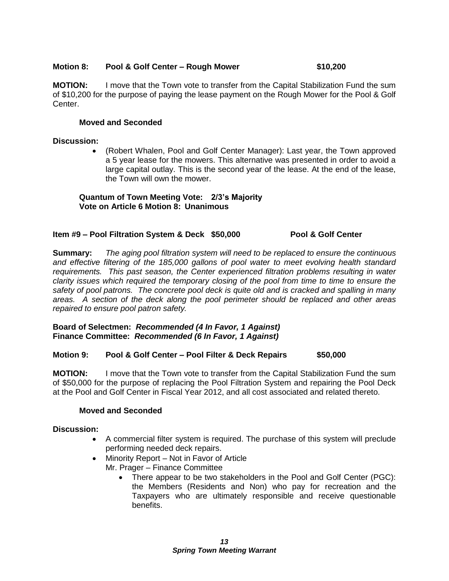### **Motion 8: Pool & Golf Center – Rough Mower \$10,200**

**MOTION:** I move that the Town vote to transfer from the Capital Stabilization Fund the sum of \$10,200 for the purpose of paying the lease payment on the Rough Mower for the Pool & Golf Center.

# **Moved and Seconded**

## **Discussion:**

 (Robert Whalen, Pool and Golf Center Manager): Last year, the Town approved a 5 year lease for the mowers. This alternative was presented in order to avoid a large capital outlay. This is the second year of the lease. At the end of the lease, the Town will own the mower.

# **Quantum of Town Meeting Vote: 2/3's Majority Vote on Article 6 Motion 8: Unanimous**

# **Item #9 – Pool Filtration System & Deck \$50,000 Pool & Golf Center**

**Summary:** *The aging pool filtration system will need to be replaced to ensure the continuous and effective filtering of the 185,000 gallons of pool water to meet evolving health standard requirements. This past season, the Center experienced filtration problems resulting in water clarity issues which required the temporary closing of the pool from time to time to ensure the safety of pool patrons. The concrete pool deck is quite old and is cracked and spalling in many areas. A section of the deck along the pool perimeter should be replaced and other areas repaired to ensure pool patron safety.*

**Board of Selectmen:** *Recommended (4 In Favor, 1 Against)* **Finance Committee:** *Recommended (6 In Favor, 1 Against)*

# **Motion 9: Pool & Golf Center – Pool Filter & Deck Repairs \$50,000**

**MOTION:** I move that the Town vote to transfer from the Capital Stabilization Fund the sum of \$50,000 for the purpose of replacing the Pool Filtration System and repairing the Pool Deck at the Pool and Golf Center in Fiscal Year 2012, and all cost associated and related thereto.

#### **Moved and Seconded**

#### **Discussion:**

- A commercial filter system is required. The purchase of this system will preclude performing needed deck repairs.
- Minority Report Not in Favor of Article Mr. Prager – Finance Committee
	- There appear to be two stakeholders in the Pool and Golf Center (PGC): the Members (Residents and Non) who pay for recreation and the Taxpayers who are ultimately responsible and receive questionable benefits.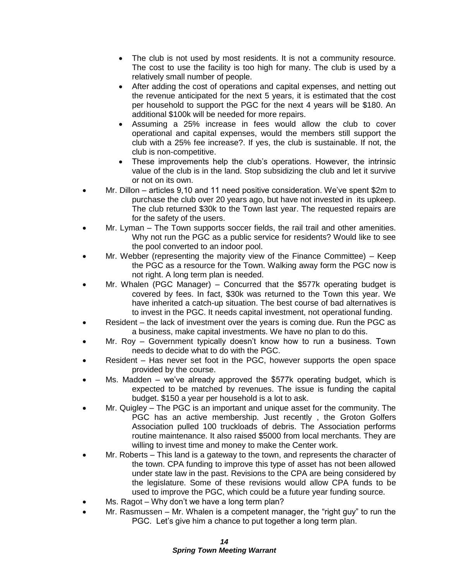- The club is not used by most residents. It is not a community resource. The cost to use the facility is too high for many. The club is used by a relatively small number of people.
- After adding the cost of operations and capital expenses, and netting out the revenue anticipated for the next 5 years, it is estimated that the cost per household to support the PGC for the next 4 years will be \$180. An additional \$100k will be needed for more repairs.
- Assuming a 25% increase in fees would allow the club to cover operational and capital expenses, would the members still support the club with a 25% fee increase?. If yes, the club is sustainable. If not, the club is non-competitive.
- These improvements help the club's operations. However, the intrinsic value of the club is in the land. Stop subsidizing the club and let it survive or not on its own.
- Mr. Dillon articles 9,10 and 11 need positive consideration. We've spent \$2m to purchase the club over 20 years ago, but have not invested in its upkeep. The club returned \$30k to the Town last year. The requested repairs are for the safety of the users.
- Mr. Lyman The Town supports soccer fields, the rail trail and other amenities. Why not run the PGC as a public service for residents? Would like to see the pool converted to an indoor pool.
- Mr. Webber (representing the majority view of the Finance Committee) Keep the PGC as a resource for the Town. Walking away form the PGC now is not right. A long term plan is needed.
- Mr. Whalen (PGC Manager) Concurred that the \$577k operating budget is covered by fees. In fact, \$30k was returned to the Town this year. We have inherited a catch-up situation. The best course of bad alternatives is to invest in the PGC. It needs capital investment, not operational funding.
- Resident the lack of investment over the years is coming due. Run the PGC as a business, make capital investments. We have no plan to do this.
- Mr. Roy Government typically doesn't know how to run a business. Town needs to decide what to do with the PGC.
- Resident Has never set foot in the PGC, however supports the open space provided by the course.
- Ms. Madden we've already approved the \$577k operating budget, which is expected to be matched by revenues. The issue is funding the capital budget. \$150 a year per household is a lot to ask.
- Mr. Quigley The PGC is an important and unique asset for the community. The PGC has an active membership. Just recently , the Groton Golfers Association pulled 100 truckloads of debris. The Association performs routine maintenance. It also raised \$5000 from local merchants. They are willing to invest time and money to make the Center work.
- Mr. Roberts This land is a gateway to the town, and represents the character of the town. CPA funding to improve this type of asset has not been allowed under state law in the past. Revisions to the CPA are being considered by the legislature. Some of these revisions would allow CPA funds to be used to improve the PGC, which could be a future year funding source.
- Ms. Ragot Why don't we have a long term plan?
- Mr. Rasmussen Mr. Whalen is a competent manager, the "right guy" to run the PGC. Let's give him a chance to put together a long term plan.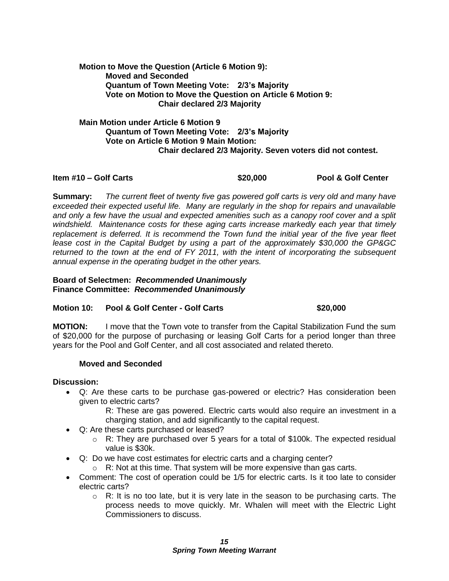# **Motion to Move the Question (Article 6 Motion 9): Moved and Seconded Quantum of Town Meeting Vote: 2/3's Majority Vote on Motion to Move the Question on Article 6 Motion 9: Chair declared 2/3 Majority**

**Main Motion under Article 6 Motion 9 Quantum of Town Meeting Vote: 2/3's Majority Vote on Article 6 Motion 9 Main Motion: Chair declared 2/3 Majority. Seven voters did not contest.**

#### **Item #10 – Golf Carts \$20,000 Pool & Golf Center**

**Summary:** *The current fleet of twenty five gas powered golf carts is very old and many have exceeded their expected useful life. Many are regularly in the shop for repairs and unavailable and only a few have the usual and expected amenities such as a canopy roof cover and a split windshield. Maintenance costs for these aging carts increase markedly each year that timely replacement is deferred. It is recommend the Town fund the initial year of the five year fleet lease cost in the Capital Budget by using a part of the approximately \$30,000 the GP&GC returned to the town at the end of FY 2011, with the intent of incorporating the subsequent annual expense in the operating budget in the other years.*

## **Board of Selectmen:** *Recommended Unanimously*  **Finance Committee:** *Recommended Unanimously*

# **Motion 10: Pool & Golf Center - Golf Carts \$20,000**

**MOTION:** I move that the Town vote to transfer from the Capital Stabilization Fund the sum of \$20,000 for the purpose of purchasing or leasing Golf Carts for a period longer than three years for the Pool and Golf Center, and all cost associated and related thereto.

# **Moved and Seconded**

#### **Discussion:**

 Q: Are these carts to be purchase gas-powered or electric? Has consideration been given to electric carts?

R: These are gas powered. Electric carts would also require an investment in a charging station, and add significantly to the capital request.

- Q: Are these carts purchased or leased?
	- $\circ$  R: They are purchased over 5 years for a total of \$100k. The expected residual value is \$30k.
- Q: Do we have cost estimates for electric carts and a charging center?
	- $\circ$  R: Not at this time. That system will be more expensive than gas carts.
- Comment: The cost of operation could be 1/5 for electric carts. Is it too late to consider electric carts?
	- $\circ$  R: It is no too late, but it is very late in the season to be purchasing carts. The process needs to move quickly. Mr. Whalen will meet with the Electric Light Commissioners to discuss.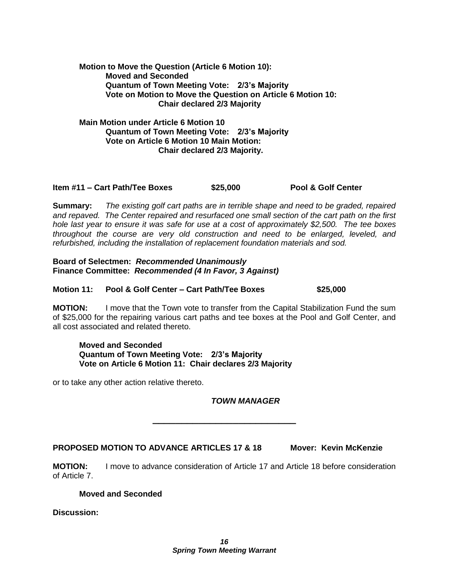**Motion to Move the Question (Article 6 Motion 10): Moved and Seconded Quantum of Town Meeting Vote: 2/3's Majority Vote on Motion to Move the Question on Article 6 Motion 10: Chair declared 2/3 Majority**

**Main Motion under Article 6 Motion 10 Quantum of Town Meeting Vote: 2/3's Majority Vote on Article 6 Motion 10 Main Motion: Chair declared 2/3 Majority.** 

## **Item #11 – Cart Path/Tee Boxes \$25,000 Pool & Golf Center**

**Summary:** *The existing golf cart paths are in terrible shape and need to be graded, repaired and repaved. The Center repaired and resurfaced one small section of the cart path on the first hole last year to ensure it was safe for use at a cost of approximately \$2,500. The tee boxes throughout the course are very old construction and need to be enlarged, leveled, and refurbished, including the installation of replacement foundation materials and sod.*

**Board of Selectmen:** *Recommended Unanimously*  **Finance Committee:** *Recommended (4 In Favor, 3 Against)*

# **Motion 11: Pool & Golf Center – Cart Path/Tee Boxes \$25,000**

**MOTION:** I move that the Town vote to transfer from the Capital Stabilization Fund the sum of \$25,000 for the repairing various cart paths and tee boxes at the Pool and Golf Center, and all cost associated and related thereto.

# **Moved and Seconded Quantum of Town Meeting Vote: 2/3's Majority Vote on Article 6 Motion 11: Chair declares 2/3 Majority**

or to take any other action relative thereto.

*TOWN MANAGER*

# **PROPOSED MOTION TO ADVANCE ARTICLES 17 & 18 Mover: Kevin McKenzie**

**MOTION:** I move to advance consideration of Article 17 and Article 18 before consideration of Article 7.

**\_\_\_\_\_\_\_\_\_\_\_\_\_\_\_\_\_\_\_\_\_\_\_\_\_**

#### **Moved and Seconded**

**Discussion:**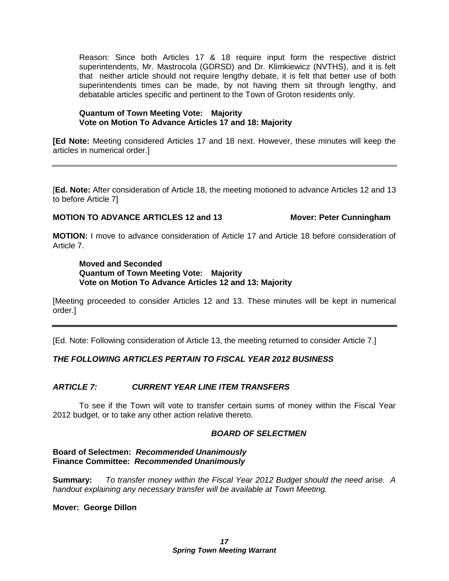Reason: Since both Articles 17 & 18 require input form the respective district superintendents, Mr. Mastrocola (GDRSD) and Dr. Klimkiewicz (NVTHS), and it is felt that neither article should not require lengthy debate, it is felt that better use of both superintendents times can be made, by not having them sit through lengthy, and debatable articles specific and pertinent to the Town of Groton residents only.

### **Quantum of Town Meeting Vote: Majority Vote on Motion To Advance Articles 17 and 18: Majority**

**[Ed Note:** Meeting considered Articles 17 and 18 next. However, these minutes will keep the articles in numerical order.]

[**Ed. Note:** After consideration of Article 18, the meeting motioned to advance Articles 12 and 13 to before Article 7]

# **MOTION TO ADVANCE ARTICLES 12 and 13 Mover: Peter Cunningham**

**MOTION:** I move to advance consideration of Article 17 and Article 18 before consideration of Article 7.

#### **Moved and Seconded Quantum of Town Meeting Vote: Majority Vote on Motion To Advance Articles 12 and 13: Majority**

[Meeting proceeded to consider Articles 12 and 13. These minutes will be kept in numerical order.]

[Ed. Note: Following consideration of Article 13, the meeting returned to consider Article 7.]

# *THE FOLLOWING ARTICLES PERTAIN TO FISCAL YEAR 2012 BUSINESS*

# *ARTICLE 7: CURRENT YEAR LINE ITEM TRANSFERS*

To see if the Town will vote to transfer certain sums of money within the Fiscal Year 2012 budget, or to take any other action relative thereto.

#### *BOARD OF SELECTMEN*

**Board of Selectmen:** *Recommended Unanimously*  **Finance Committee:** *Recommended Unanimously* 

**Summary:** *To transfer money within the Fiscal Year 2012 Budget should the need arise. A handout explaining any necessary transfer will be available at Town Meeting.*

#### **Mover: George Dillon**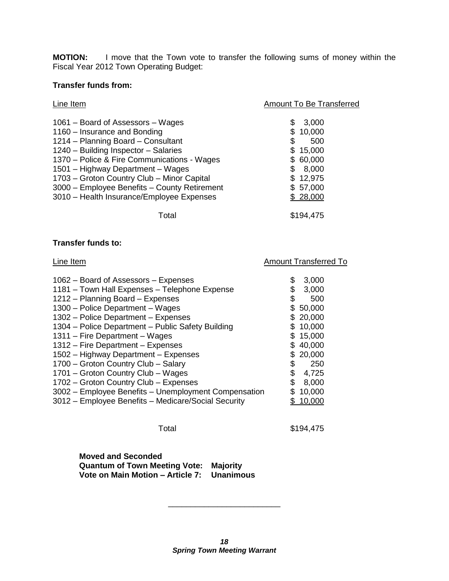**MOTION:** I move that the Town vote to transfer the following sums of money within the Fiscal Year 2012 Town Operating Budget:

# **Transfer funds from:**

| Line Item                                                                                                                                                                                                                                                                                                                                                                      | Amount To Be Transferred                                                                                  |
|--------------------------------------------------------------------------------------------------------------------------------------------------------------------------------------------------------------------------------------------------------------------------------------------------------------------------------------------------------------------------------|-----------------------------------------------------------------------------------------------------------|
| 1061 - Board of Assessors - Wages<br>1160 – Insurance and Bonding<br>1214 - Planning Board - Consultant<br>1240 - Building Inspector - Salaries<br>1370 – Police & Fire Communications - Wages<br>1501 - Highway Department - Wages<br>1703 - Groton Country Club - Minor Capital<br>3000 - Employee Benefits - County Retirement<br>3010 - Health Insurance/Employee Expenses | 3,000<br>S<br>10,000<br>\$<br>500<br>\$.<br>15,000<br>60,000<br>8,000<br>\$12,975<br>\$57,000<br>\$28,000 |
| Total                                                                                                                                                                                                                                                                                                                                                                          | \$194,475                                                                                                 |

### **Transfer funds to:**

| Line Item                                            | <b>Amount Transferred To</b> |          |  |
|------------------------------------------------------|------------------------------|----------|--|
| 1062 – Board of Assessors – Expenses                 | \$                           | 3,000    |  |
|                                                      |                              |          |  |
| 1181 - Town Hall Expenses - Telephone Expense        | \$                           | 3,000    |  |
| 1212 - Planning Board - Expenses                     | \$                           | 500      |  |
| 1300 - Police Department - Wages                     |                              | 50,000   |  |
| 1302 – Police Department – Expenses                  |                              | \$20,000 |  |
| 1304 – Police Department – Public Safety Building    |                              | \$10,000 |  |
| 1311 – Fire Department – Wages                       |                              | \$15,000 |  |
| 1312 - Fire Department - Expenses                    |                              | \$40,000 |  |
| 1502 - Highway Department - Expenses                 |                              | \$20,000 |  |
| 1700 - Groton Country Club - Salary                  | \$                           | 250      |  |
| 1701 - Groton Country Club - Wages                   | \$                           | 4,725    |  |
| 1702 - Groton Country Club - Expenses                | \$                           | 8,000    |  |
| 3002 - Employee Benefits - Unemployment Compensation |                              | 10,000   |  |
| 3012 - Employee Benefits - Medicare/Social Security  |                              | 10,000   |  |
|                                                      |                              |          |  |

Total \$194,475

**Moved and Seconded Quantum of Town Meeting Vote: Majority Vote on Main Motion – Article 7: Unanimous**

\_\_\_\_\_\_\_\_\_\_\_\_\_\_\_\_\_\_\_\_\_\_\_\_\_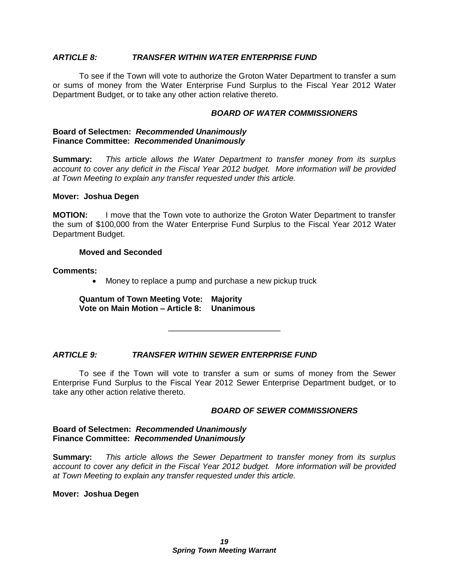#### *ARTICLE 8: TRANSFER WITHIN WATER ENTERPRISE FUND*

To see if the Town will vote to authorize the Groton Water Department to transfer a sum or sums of money from the Water Enterprise Fund Surplus to the Fiscal Year 2012 Water Department Budget, or to take any other action relative thereto.

#### *BOARD OF WATER COMMISSIONERS*

#### **Board of Selectmen:** *Recommended Unanimously* **Finance Committee:** *Recommended Unanimously*

**Summary:** *This article allows the Water Department to transfer money from its surplus account to cover any deficit in the Fiscal Year 2012 budget. More information will be provided at Town Meeting to explain any transfer requested under this article.*

#### **Mover: Joshua Degen**

**MOTION:** I move that the Town vote to authorize the Groton Water Department to transfer the sum of \$100,000 from the Water Enterprise Fund Surplus to the Fiscal Year 2012 Water Department Budget.

#### **Moved and Seconded**

#### **Comments:**

Money to replace a pump and purchase a new pickup truck

**Quantum of Town Meeting Vote: Majority Vote on Main Motion – Article 8: Unanimous**

#### *ARTICLE 9: TRANSFER WITHIN SEWER ENTERPRISE FUND*

To see if the Town will vote to transfer a sum or sums of money from the Sewer Enterprise Fund Surplus to the Fiscal Year 2012 Sewer Enterprise Department budget, or to take any other action relative thereto.

\_\_\_\_\_\_\_\_\_\_\_\_\_\_\_\_\_\_\_\_\_\_\_\_\_

#### *BOARD OF SEWER COMMISSIONERS*

#### **Board of Selectmen:** *Recommended Unanimously* **Finance Committee:** *Recommended Unanimously*

**Summary:** *This article allows the Sewer Department to transfer money from its surplus account to cover any deficit in the Fiscal Year 2012 budget. More information will be provided at Town Meeting to explain any transfer requested under this article.*

#### **Mover: Joshua Degen**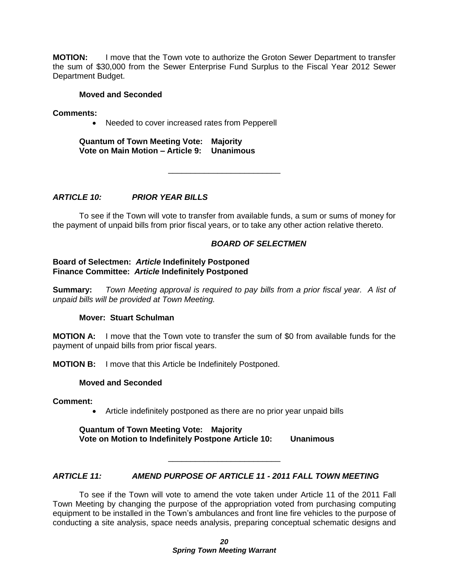**MOTION:** I move that the Town vote to authorize the Groton Sewer Department to transfer the sum of \$30,000 from the Sewer Enterprise Fund Surplus to the Fiscal Year 2012 Sewer Department Budget.

#### **Moved and Seconded**

**Comments:**

• Needed to cover increased rates from Pepperell

**Quantum of Town Meeting Vote: Majority Vote on Main Motion – Article 9: Unanimous**

*ARTICLE 10: PRIOR YEAR BILLS*

To see if the Town will vote to transfer from available funds, a sum or sums of money for the payment of unpaid bills from prior fiscal years, or to take any other action relative thereto.

\_\_\_\_\_\_\_\_\_\_\_\_\_\_\_\_\_\_\_\_\_\_\_\_\_

## *BOARD OF SELECTMEN*

#### **Board of Selectmen:** *Article* **Indefinitely Postponed Finance Committee:** *Article* **Indefinitely Postponed**

**Summary:** *Town Meeting approval is required to pay bills from a prior fiscal year. A list of unpaid bills will be provided at Town Meeting.*

#### **Mover: Stuart Schulman**

**MOTION A:** I move that the Town vote to transfer the sum of \$0 from available funds for the payment of unpaid bills from prior fiscal years.

**MOTION B:** I move that this Article be Indefinitely Postponed.

#### **Moved and Seconded**

**Comment:**

Article indefinitely postponed as there are no prior year unpaid bills

**Quantum of Town Meeting Vote: Majority Vote on Motion to Indefinitely Postpone Article 10: Unanimous**

# *ARTICLE 11: AMEND PURPOSE OF ARTICLE 11 - 2011 FALL TOWN MEETING*

\_\_\_\_\_\_\_\_\_\_\_\_\_\_\_\_\_\_\_\_\_\_\_\_\_

To see if the Town will vote to amend the vote taken under Article 11 of the 2011 Fall Town Meeting by changing the purpose of the appropriation voted from purchasing computing equipment to be installed in the Town's ambulances and front line fire vehicles to the purpose of conducting a site analysis, space needs analysis, preparing conceptual schematic designs and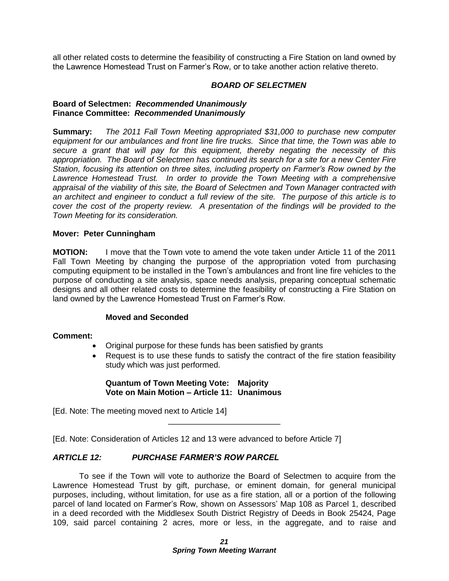all other related costs to determine the feasibility of constructing a Fire Station on land owned by the Lawrence Homestead Trust on Farmer's Row, or to take another action relative thereto.

#### *BOARD OF SELECTMEN*

#### **Board of Selectmen:** *Recommended Unanimously* **Finance Committee:** *Recommended Unanimously*

**Summary:** *The 2011 Fall Town Meeting appropriated \$31,000 to purchase new computer equipment for our ambulances and front line fire trucks. Since that time, the Town was able to secure a grant that will pay for this equipment, thereby negating the necessity of this appropriation. The Board of Selectmen has continued its search for a site for a new Center Fire Station, focusing its attention on three sites, including property on Farmer's Row owned by the*  Lawrence Homestead Trust. In order to provide the Town Meeting with a comprehensive *appraisal of the viability of this site, the Board of Selectmen and Town Manager contracted with an architect and engineer to conduct a full review of the site. The purpose of this article is to cover the cost of the property review. A presentation of the findings will be provided to the Town Meeting for its consideration.*

#### **Mover: Peter Cunningham**

**MOTION:** I move that the Town vote to amend the vote taken under Article 11 of the 2011 Fall Town Meeting by changing the purpose of the appropriation voted from purchasing computing equipment to be installed in the Town's ambulances and front line fire vehicles to the purpose of conducting a site analysis, space needs analysis, preparing conceptual schematic designs and all other related costs to determine the feasibility of constructing a Fire Station on land owned by the Lawrence Homestead Trust on Farmer's Row.

#### **Moved and Seconded**

#### **Comment:**

- Original purpose for these funds has been satisfied by grants
- Request is to use these funds to satisfy the contract of the fire station feasibility study which was just performed.

#### **Quantum of Town Meeting Vote: Majority Vote on Main Motion – Article 11: Unanimous**

[Ed. Note: The meeting moved next to Article 14]

[Ed. Note: Consideration of Articles 12 and 13 were advanced to before Article 7]

#### *ARTICLE 12: PURCHASE FARMER'S ROW PARCEL*

To see if the Town will vote to authorize the Board of Selectmen to acquire from the Lawrence Homestead Trust by gift, purchase, or eminent domain, for general municipal purposes, including, without limitation, for use as a fire station, all or a portion of the following parcel of land located on Farmer's Row, shown on Assessors' Map 108 as Parcel 1, described in a deed recorded with the Middlesex South District Registry of Deeds in Book 25424, Page 109, said parcel containing 2 acres, more or less, in the aggregate, and to raise and

\_\_\_\_\_\_\_\_\_\_\_\_\_\_\_\_\_\_\_\_\_\_\_\_\_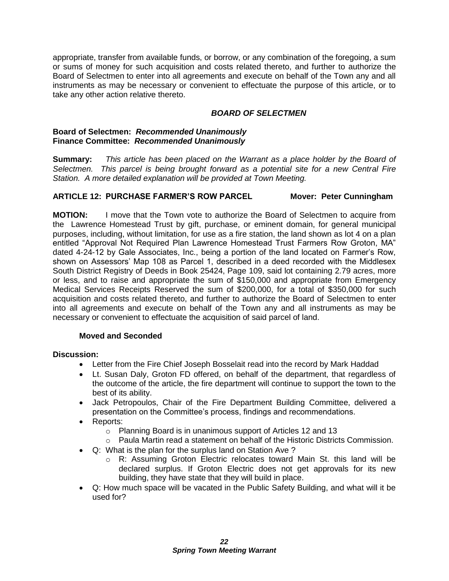appropriate, transfer from available funds, or borrow, or any combination of the foregoing, a sum or sums of money for such acquisition and costs related thereto, and further to authorize the Board of Selectmen to enter into all agreements and execute on behalf of the Town any and all instruments as may be necessary or convenient to effectuate the purpose of this article, or to take any other action relative thereto.

# *BOARD OF SELECTMEN*

# **Board of Selectmen:** *Recommended Unanimously* **Finance Committee:** *Recommended Unanimously*

**Summary:** *This article has been placed on the Warrant as a place holder by the Board of Selectmen. This parcel is being brought forward as a potential site for a new Central Fire Station. A more detailed explanation will be provided at Town Meeting.*

# **ARTICLE 12: PURCHASE FARMER'S ROW PARCEL Mover: Peter Cunningham**

**MOTION:** I move that the Town vote to authorize the Board of Selectmen to acquire from the Lawrence Homestead Trust by gift, purchase, or eminent domain, for general municipal purposes, including, without limitation, for use as a fire station, the land shown as lot 4 on a plan entitled "Approval Not Required Plan Lawrence Homestead Trust Farmers Row Groton, MA" dated 4-24-12 by Gale Associates, Inc., being a portion of the land located on Farmer's Row, shown on Assessors' Map 108 as Parcel 1, described in a deed recorded with the Middlesex South District Registry of Deeds in Book 25424, Page 109, said lot containing 2.79 acres, more or less, and to raise and appropriate the sum of \$150,000 and appropriate from Emergency Medical Services Receipts Reserved the sum of \$200,000, for a total of \$350,000 for such acquisition and costs related thereto, and further to authorize the Board of Selectmen to enter into all agreements and execute on behalf of the Town any and all instruments as may be necessary or convenient to effectuate the acquisition of said parcel of land.

# **Moved and Seconded**

# **Discussion:**

- Letter from the Fire Chief Joseph Bosselait read into the record by Mark Haddad
- Lt. Susan Daly, Groton FD offered, on behalf of the department, that regardless of the outcome of the article, the fire department will continue to support the town to the best of its ability.
- Jack Petropoulos, Chair of the Fire Department Building Committee, delivered a presentation on the Committee's process, findings and recommendations.
- Reports:
	- o Planning Board is in unanimous support of Articles 12 and 13
	- $\circ$  Paula Martin read a statement on behalf of the Historic Districts Commission.
- Q: What is the plan for the surplus land on Station Ave ?
	- o R: Assuming Groton Electric relocates toward Main St. this land will be declared surplus. If Groton Electric does not get approvals for its new building, they have state that they will build in place.
- Q: How much space will be vacated in the Public Safety Building, and what will it be used for?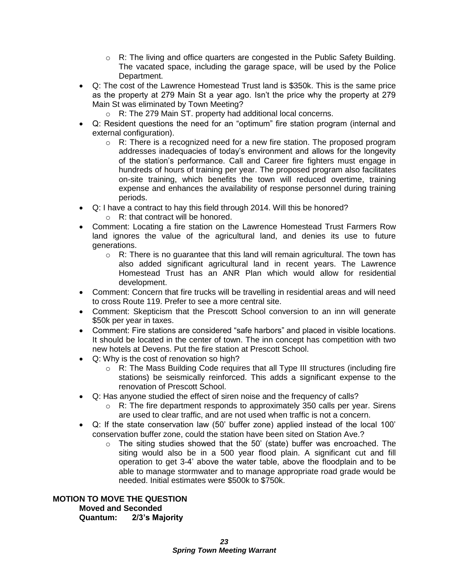- $\circ$  R: The living and office quarters are congested in the Public Safety Building. The vacated space, including the garage space, will be used by the Police Department.
- Q: The cost of the Lawrence Homestead Trust land is \$350k. This is the same price as the property at 279 Main St a year ago. Isn't the price why the property at 279 Main St was eliminated by Town Meeting?
	- o R: The 279 Main ST. property had additional local concerns.
- Q: Resident questions the need for an "optimum" fire station program (internal and external configuration).
	- $\circ$  R: There is a recognized need for a new fire station. The proposed program addresses inadequacies of today's environment and allows for the longevity of the station's performance. Call and Career fire fighters must engage in hundreds of hours of training per year. The proposed program also facilitates on-site training, which benefits the town will reduced overtime, training expense and enhances the availability of response personnel during training periods.
- Q: I have a contract to hay this field through 2014. Will this be honored?
	- o R: that contract will be honored.
- Comment: Locating a fire station on the Lawrence Homestead Trust Farmers Row land ignores the value of the agricultural land, and denies its use to future generations.
	- $\circ$  R: There is no guarantee that this land will remain agricultural. The town has also added significant agricultural land in recent years. The Lawrence Homestead Trust has an ANR Plan which would allow for residential development.
- Comment: Concern that fire trucks will be travelling in residential areas and will need to cross Route 119. Prefer to see a more central site.
- Comment: Skepticism that the Prescott School conversion to an inn will generate \$50k per year in taxes.
- Comment: Fire stations are considered "safe harbors" and placed in visible locations. It should be located in the center of town. The inn concept has competition with two new hotels at Devens. Put the fire station at Prescott School.
- Q: Why is the cost of renovation so high?
	- $\circ$  R: The Mass Building Code requires that all Type III structures (including fire stations) be seismically reinforced. This adds a significant expense to the renovation of Prescott School.
- Q: Has anyone studied the effect of siren noise and the frequency of calls?
	- o R: The fire department responds to approximately 350 calls per year. Sirens are used to clear traffic, and are not used when traffic is not a concern.
- Q: If the state conservation law (50' buffer zone) applied instead of the local 100' conservation buffer zone, could the station have been sited on Station Ave.?
	- $\circ$  The siting studies showed that the 50' (state) buffer was encroached. The siting would also be in a 500 year flood plain. A significant cut and fill operation to get 3-4' above the water table, above the floodplain and to be able to manage stormwater and to manage appropriate road grade would be needed. Initial estimates were \$500k to \$750k.

# **MOTION TO MOVE THE QUESTION Moved and Seconded Quantum: 2/3's Majority**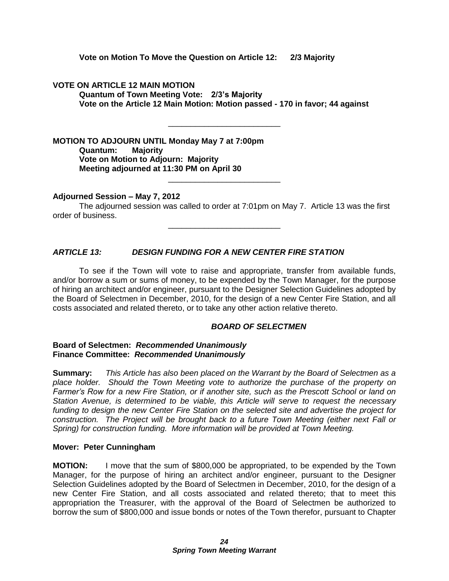**Vote on Motion To Move the Question on Article 12: 2/3 Majority**

**VOTE ON ARTICLE 12 MAIN MOTION**

**Quantum of Town Meeting Vote: 2/3's Majority Vote on the Article 12 Main Motion: Motion passed - 170 in favor; 44 against**

\_\_\_\_\_\_\_\_\_\_\_\_\_\_\_\_\_\_\_\_\_\_\_\_\_

**MOTION TO ADJOURN UNTIL Monday May 7 at 7:00pm**

**Quantum: Majority Vote on Motion to Adjourn: Majority Meeting adjourned at 11:30 PM on April 30**

# **Adjourned Session – May 7, 2012**

The adjourned session was called to order at 7:01pm on May 7. Article 13 was the first order of business.

\_\_\_\_\_\_\_\_\_\_\_\_\_\_\_\_\_\_\_\_\_\_\_\_\_

\_\_\_\_\_\_\_\_\_\_\_\_\_\_\_\_\_\_\_\_\_\_\_\_\_

# *ARTICLE 13: DESIGN FUNDING FOR A NEW CENTER FIRE STATION*

To see if the Town will vote to raise and appropriate, transfer from available funds, and/or borrow a sum or sums of money, to be expended by the Town Manager, for the purpose of hiring an architect and/or engineer, pursuant to the Designer Selection Guidelines adopted by the Board of Selectmen in December, 2010, for the design of a new Center Fire Station, and all costs associated and related thereto, or to take any other action relative thereto.

# *BOARD OF SELECTMEN*

#### **Board of Selectmen:** *Recommended Unanimously* **Finance Committee:** *Recommended Unanimously*

**Summary:** *This Article has also been placed on the Warrant by the Board of Selectmen as a place holder. Should the Town Meeting vote to authorize the purchase of the property on Farmer's Row for a new Fire Station, or if another site, such as the Prescott School or land on Station Avenue, is determined to be viable, this Article will serve to request the necessary funding to design the new Center Fire Station on the selected site and advertise the project for construction. The Project will be brought back to a future Town Meeting (either next Fall or Spring) for construction funding. More information will be provided at Town Meeting.*

#### **Mover: Peter Cunningham**

**MOTION:** I move that the sum of \$800,000 be appropriated, to be expended by the Town Manager, for the purpose of hiring an architect and/or engineer, pursuant to the Designer Selection Guidelines adopted by the Board of Selectmen in December, 2010, for the design of a new Center Fire Station, and all costs associated and related thereto; that to meet this appropriation the Treasurer, with the approval of the Board of Selectmen be authorized to borrow the sum of \$800,000 and issue bonds or notes of the Town therefor, pursuant to Chapter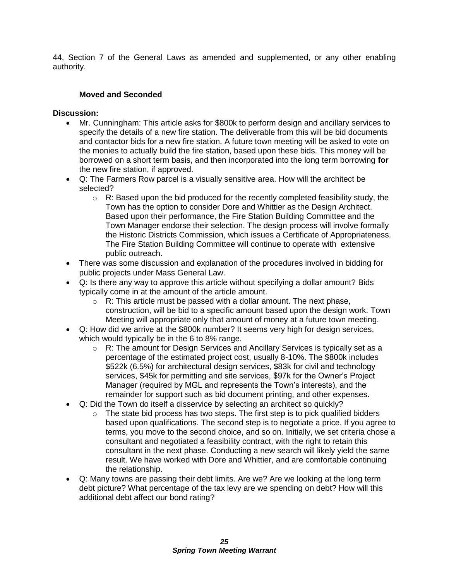44, Section 7 of the General Laws as amended and supplemented, or any other enabling authority.

# **Moved and Seconded**

#### **Discussion:**

- Mr. Cunningham: This article asks for \$800k to perform design and ancillary services to specify the details of a new fire station. The deliverable from this will be bid documents and contactor bids for a new fire station. A future town meeting will be asked to vote on the monies to actually build the fire station, based upon these bids. This money will be borrowed on a short term basis, and then incorporated into the long term borrowing **for**  the new fire station, if approved.
- Q: The Farmers Row parcel is a visually sensitive area. How will the architect be selected?
	- $\circ$  R: Based upon the bid produced for the recently completed feasibility study, the Town has the option to consider Dore and Whittier as the Design Architect. Based upon their performance, the Fire Station Building Committee and the Town Manager endorse their selection. The design process will involve formally the Historic Districts Commission, which issues a Certificate of Appropriateness. The Fire Station Building Committee will continue to operate with extensive public outreach.
- There was some discussion and explanation of the procedures involved in bidding for public projects under Mass General Law.
- Q: Is there any way to approve this article without specifying a dollar amount? Bids typically come in at the amount of the article amount.
	- $\circ$  R: This article must be passed with a dollar amount. The next phase, construction, will be bid to a specific amount based upon the design work. Town Meeting will appropriate only that amount of money at a future town meeting.
- Q: How did we arrive at the \$800k number? It seems very high for design services, which would typically be in the 6 to 8% range.
	- $\circ$  R: The amount for Design Services and Ancillary Services is typically set as a percentage of the estimated project cost, usually 8-10%. The \$800k includes \$522k (6.5%) for architectural design services, \$83k for civil and technology services, \$45k for permitting and site services, \$97k for the Owner's Project Manager (required by MGL and represents the Town's interests), and the remainder for support such as bid document printing, and other expenses.
- Q: Did the Town do itself a disservice by selecting an architect so quickly?
	- $\circ$  The state bid process has two steps. The first step is to pick qualified bidders based upon qualifications. The second step is to negotiate a price. If you agree to terms, you move to the second choice, and so on. Initially, we set criteria chose a consultant and negotiated a feasibility contract, with the right to retain this consultant in the next phase. Conducting a new search will likely yield the same result. We have worked with Dore and Whittier, and are comfortable continuing the relationship.
- Q: Many towns are passing their debt limits. Are we? Are we looking at the long term debt picture? What percentage of the tax levy are we spending on debt? How will this additional debt affect our bond rating?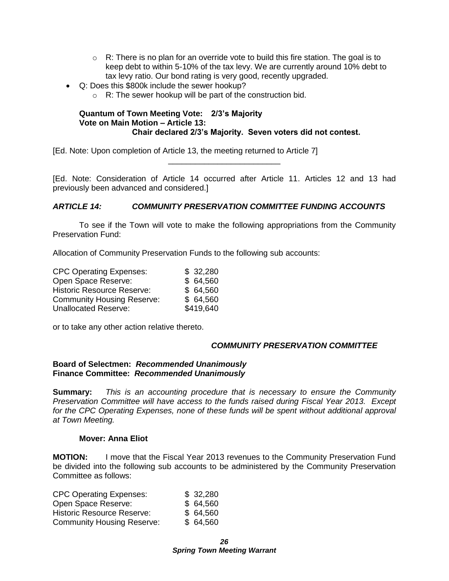- $\circ$  R: There is no plan for an override vote to build this fire station. The goal is to keep debt to within 5-10% of the tax levy. We are currently around 10% debt to tax levy ratio. Our bond rating is very good, recently upgraded.
- Q: Does this \$800k include the sewer hookup?
	- $\circ$  R: The sewer hookup will be part of the construction bid.

#### **Quantum of Town Meeting Vote: 2/3's Majority Vote on Main Motion – Article 13: Chair declared 2/3's Majority. Seven voters did not contest.**

[Ed. Note: Upon completion of Article 13, the meeting returned to Article 7]

[Ed. Note: Consideration of Article 14 occurred after Article 11. Articles 12 and 13 had previously been advanced and considered.]

\_\_\_\_\_\_\_\_\_\_\_\_\_\_\_\_\_\_\_\_\_\_\_\_\_

## *ARTICLE 14: COMMUNITY PRESERVATION COMMITTEE FUNDING ACCOUNTS*

To see if the Town will vote to make the following appropriations from the Community Preservation Fund:

Allocation of Community Preservation Funds to the following sub accounts:

| <b>CPC Operating Expenses:</b>    | \$32,280  |
|-----------------------------------|-----------|
| Open Space Reserve:               | \$64,560  |
| <b>Historic Resource Reserve:</b> | \$64,560  |
| <b>Community Housing Reserve:</b> | \$64,560  |
| <b>Unallocated Reserve:</b>       | \$419,640 |

or to take any other action relative thereto.

#### *COMMUNITY PRESERVATION COMMITTEE*

#### **Board of Selectmen:** *Recommended Unanimously* **Finance Committee:** *Recommended Unanimously*

**Summary:** *This is an accounting procedure that is necessary to ensure the Community Preservation Committee will have access to the funds raised during Fiscal Year 2013. Except*  for the CPC Operating Expenses, none of these funds will be spent without additional approval *at Town Meeting.*

#### **Mover: Anna Eliot**

**MOTION:** I move that the Fiscal Year 2013 revenues to the Community Preservation Fund be divided into the following sub accounts to be administered by the Community Preservation Committee as follows:

| \$32,280 |
|----------|
| \$64,560 |
| \$64,560 |
| \$64,560 |
|          |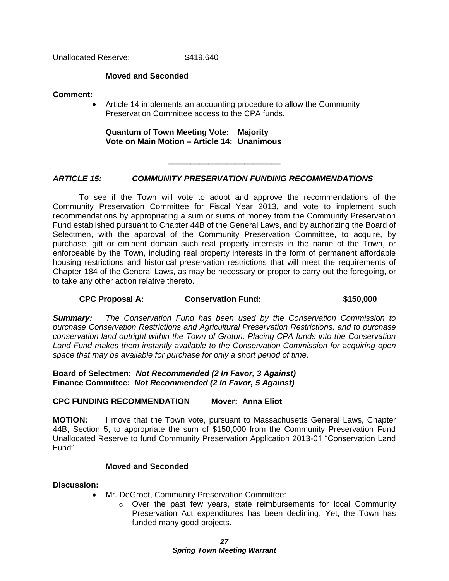Unallocated Reserve: \$419,640

#### **Moved and Seconded**

#### **Comment:**

• Article 14 implements an accounting procedure to allow the Community Preservation Committee access to the CPA funds.

\_\_\_\_\_\_\_\_\_\_\_\_\_\_\_\_\_\_\_\_\_\_\_\_\_

**Quantum of Town Meeting Vote: Majority Vote on Main Motion – Article 14: Unanimous**

# *ARTICLE 15: COMMUNITY PRESERVATION FUNDING RECOMMENDATIONS*

To see if the Town will vote to adopt and approve the recommendations of the Community Preservation Committee for Fiscal Year 2013, and vote to implement such recommendations by appropriating a sum or sums of money from the Community Preservation Fund established pursuant to Chapter 44B of the General Laws, and by authorizing the Board of Selectmen, with the approval of the Community Preservation Committee, to acquire, by purchase, gift or eminent domain such real property interests in the name of the Town, or enforceable by the Town, including real property interests in the form of permanent affordable housing restrictions and historical preservation restrictions that will meet the requirements of Chapter 184 of the General Laws, as may be necessary or proper to carry out the foregoing, or to take any other action relative thereto.

# **CPC Proposal A: Conservation Fund: \$150,000**

*Summary: The Conservation Fund has been used by the Conservation Commission to purchase Conservation Restrictions and Agricultural Preservation Restrictions, and to purchase conservation land outright within the Town of Groton. Placing CPA funds into the Conservation Land Fund makes them instantly available to the Conservation Commission for acquiring open space that may be available for purchase for only a short period of time.* 

**Board of Selectmen:** *Not Recommended (2 In Favor, 3 Against)* **Finance Committee:** *Not Recommended (2 In Favor, 5 Against)*

# **CPC FUNDING RECOMMENDATION Mover: Anna Eliot**

**MOTION:** I move that the Town vote, pursuant to Massachusetts General Laws, Chapter 44B, Section 5, to appropriate the sum of \$150,000 from the Community Preservation Fund Unallocated Reserve to fund Community Preservation Application 2013-01 "Conservation Land Fund".

#### **Moved and Seconded**

#### **Discussion:**

- Mr. DeGroot, Community Preservation Committee:
	- o Over the past few years, state reimbursements for local Community Preservation Act expenditures has been declining. Yet, the Town has funded many good projects.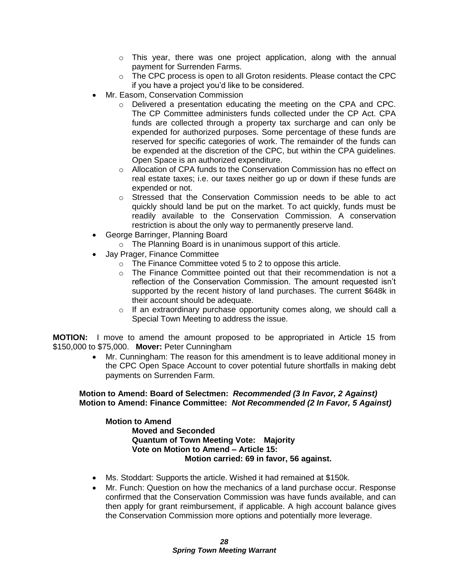- $\circ$  This year, there was one project application, along with the annual payment for Surrenden Farms.
- $\circ$  The CPC process is open to all Groton residents. Please contact the CPC if you have a project you'd like to be considered.
- Mr. Easom, Conservation Commission
	- $\circ$  Delivered a presentation educating the meeting on the CPA and CPC. The CP Committee administers funds collected under the CP Act. CPA funds are collected through a property tax surcharge and can only be expended for authorized purposes. Some percentage of these funds are reserved for specific categories of work. The remainder of the funds can be expended at the discretion of the CPC, but within the CPA guidelines. Open Space is an authorized expenditure.
	- $\circ$  Allocation of CPA funds to the Conservation Commission has no effect on real estate taxes; i.e. our taxes neither go up or down if these funds are expended or not.
	- $\circ$  Stressed that the Conservation Commission needs to be able to act quickly should land be put on the market. To act quickly, funds must be readily available to the Conservation Commission. A conservation restriction is about the only way to permanently preserve land.
- George Barringer, Planning Board
	- o The Planning Board is in unanimous support of this article.
- Jay Prager, Finance Committee
	- o The Finance Committee voted 5 to 2 to oppose this article.
	- $\circ$  The Finance Committee pointed out that their recommendation is not a reflection of the Conservation Commission. The amount requested isn't supported by the recent history of land purchases. The current \$648k in their account should be adequate.
	- $\circ$  If an extraordinary purchase opportunity comes along, we should call a Special Town Meeting to address the issue.

**MOTION:** I move to amend the amount proposed to be appropriated in Article 15 from \$150,000 to \$75,000. **Mover:** Peter Cunningham

> Mr. Cunningham: The reason for this amendment is to leave additional money in the CPC Open Space Account to cover potential future shortfalls in making debt payments on Surrenden Farm.

## **Motion to Amend: Board of Selectmen:** *Recommended (3 In Favor, 2 Against)* **Motion to Amend: Finance Committee:** *Not Recommended (2 In Favor, 5 Against)*

#### **Motion to Amend Moved and Seconded Quantum of Town Meeting Vote: Majority Vote on Motion to Amend – Article 15: Motion carried: 69 in favor, 56 against.**

- Ms. Stoddart: Supports the article. Wished it had remained at \$150k.
- Mr. Funch: Question on how the mechanics of a land purchase occur. Response confirmed that the Conservation Commission was have funds available, and can then apply for grant reimbursement, if applicable. A high account balance gives the Conservation Commission more options and potentially more leverage.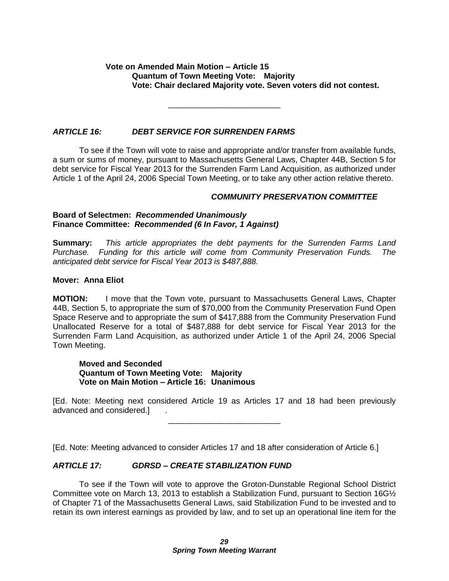# **Vote on Amended Main Motion – Article 15 Quantum of Town Meeting Vote: Majority Vote: Chair declared Majority vote. Seven voters did not contest.**

## *ARTICLE 16: DEBT SERVICE FOR SURRENDEN FARMS*

To see if the Town will vote to raise and appropriate and/or transfer from available funds, a sum or sums of money, pursuant to Massachusetts General Laws, Chapter 44B, Section 5 for debt service for Fiscal Year 2013 for the Surrenden Farm Land Acquisition, as authorized under Article 1 of the April 24, 2006 Special Town Meeting, or to take any other action relative thereto.

\_\_\_\_\_\_\_\_\_\_\_\_\_\_\_\_\_\_\_\_\_\_\_\_\_

## *COMMUNITY PRESERVATION COMMITTEE*

#### **Board of Selectmen:** *Recommended Unanimously* **Finance Committee:** *Recommended (6 In Favor, 1 Against)*

**Summary:** *This article appropriates the debt payments for the Surrenden Farms Land Purchase. Funding for this article will come from Community Preservation Funds. The anticipated debt service for Fiscal Year 2013 is \$487,888.*

## **Mover: Anna Eliot**

**MOTION:** I move that the Town vote, pursuant to Massachusetts General Laws, Chapter 44B, Section 5, to appropriate the sum of \$70,000 from the Community Preservation Fund Open Space Reserve and to appropriate the sum of \$417,888 from the Community Preservation Fund Unallocated Reserve for a total of \$487,888 for debt service for Fiscal Year 2013 for the Surrenden Farm Land Acquisition, as authorized under Article 1 of the April 24, 2006 Special Town Meeting.

#### **Moved and Seconded Quantum of Town Meeting Vote: Majority Vote on Main Motion – Article 16: Unanimous**

[Ed. Note: Meeting next considered Article 19 as Articles 17 and 18 had been previously advanced and considered.] *.* \_\_\_\_\_\_\_\_\_\_\_\_\_\_\_\_\_\_\_\_\_\_\_\_\_

[Ed. Note: Meeting advanced to consider Articles 17 and 18 after consideration of Article 6.]

# *ARTICLE 17: GDRSD – CREATE STABILIZATION FUND*

To see if the Town will vote to approve the Groton-Dunstable Regional School District Committee vote on March 13, 2013 to establish a Stabilization Fund, pursuant to Section 16G½ of Chapter 71 of the Massachusetts General Laws, said Stabilization Fund to be invested and to retain its own interest earnings as provided by law, and to set up an operational line item for the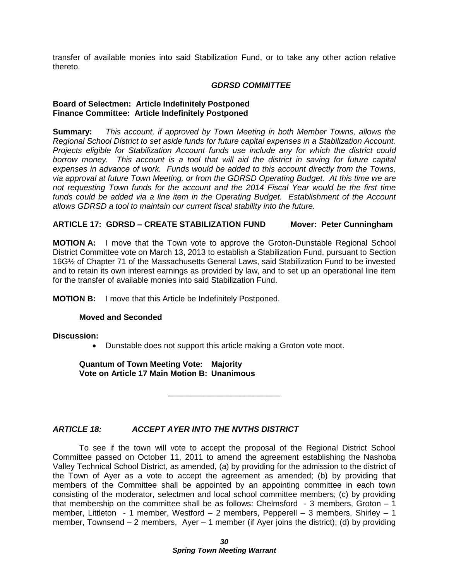transfer of available monies into said Stabilization Fund, or to take any other action relative thereto.

#### *GDRSD COMMITTEE*

#### **Board of Selectmen: Article Indefinitely Postponed Finance Committee: Article Indefinitely Postponed**

**Summary:** *This account, if approved by Town Meeting in both Member Towns, allows the Regional School District to set aside funds for future capital expenses in a Stabilization Account. Projects eligible for Stabilization Account funds use include any for which the district could borrow money. This account is a tool that will aid the district in saving for future capital expenses in advance of work. Funds would be added to this account directly from the Towns, via approval at future Town Meeting, or from the GDRSD Operating Budget. At this time we are not requesting Town funds for the account and the 2014 Fiscal Year would be the first time funds could be added via a line item in the Operating Budget. Establishment of the Account allows GDRSD a tool to maintain our current fiscal stability into the future.*

# **ARTICLE 17: GDRSD – CREATE STABILIZATION FUND Mover: Peter Cunningham**

**MOTION A:** I move that the Town vote to approve the Groton-Dunstable Regional School District Committee vote on March 13, 2013 to establish a Stabilization Fund, pursuant to Section 16G½ of Chapter 71 of the Massachusetts General Laws, said Stabilization Fund to be invested and to retain its own interest earnings as provided by law, and to set up an operational line item for the transfer of available monies into said Stabilization Fund.

**MOTION B:** I move that this Article be Indefinitely Postponed.

#### **Moved and Seconded**

**Discussion:**

Dunstable does not support this article making a Groton vote moot.

\_\_\_\_\_\_\_\_\_\_\_\_\_\_\_\_\_\_\_\_\_\_\_\_\_

**Quantum of Town Meeting Vote: Majority Vote on Article 17 Main Motion B: Unanimous**

*ARTICLE 18: ACCEPT AYER INTO THE NVTHS DISTRICT*

To see if the town will vote to accept the proposal of the Regional District School Committee passed on October 11, 2011 to amend the agreement establishing the Nashoba Valley Technical School District, as amended, (a) by providing for the admission to the district of the Town of Ayer as a vote to accept the agreement as amended; (b) by providing that members of the Committee shall be appointed by an appointing committee in each town consisting of the moderator, selectmen and local school committee members; (c) by providing that membership on the committee shall be as follows: Chelmsford  $-3$  members, Groton  $-1$ member, Littleton - 1 member, Westford – 2 members, Pepperell – 3 members, Shirley – 1 member, Townsend – 2 members, Ayer – 1 member (if Ayer joins the district); (d) by providing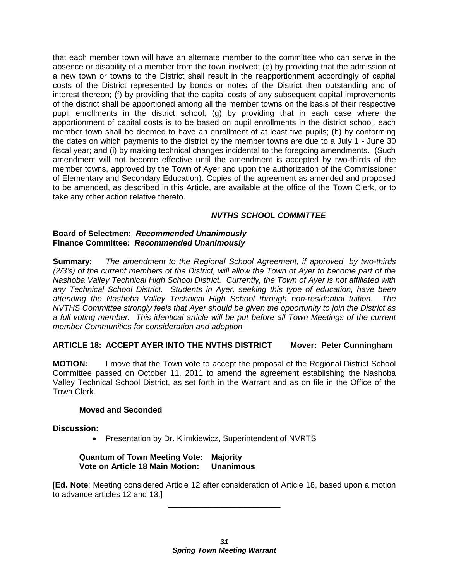that each member town will have an alternate member to the committee who can serve in the absence or disability of a member from the town involved; (e) by providing that the admission of a new town or towns to the District shall result in the reapportionment accordingly of capital costs of the District represented by bonds or notes of the District then outstanding and of interest thereon; (f) by providing that the capital costs of any subsequent capital improvements of the district shall be apportioned among all the member towns on the basis of their respective pupil enrollments in the district school; (g) by providing that in each case where the apportionment of capital costs is to be based on pupil enrollments in the district school, each member town shall be deemed to have an enrollment of at least five pupils; (h) by conforming the dates on which payments to the district by the member towns are due to a July 1 - June 30 fiscal year; and (i) by making technical changes incidental to the foregoing amendments. (Such amendment will not become effective until the amendment is accepted by two-thirds of the member towns, approved by the Town of Ayer and upon the authorization of the Commissioner of Elementary and Secondary Education). Copies of the agreement as amended and proposed to be amended, as described in this Article, are available at the office of the Town Clerk, or to take any other action relative thereto.

# *NVTHS SCHOOL COMMITTEE*

#### **Board of Selectmen:** *Recommended Unanimously* **Finance Committee:** *Recommended Unanimously*

**Summary:** *The amendment to the Regional School Agreement, if approved, by two-thirds (2/3's) of the current members of the District, will allow the Town of Ayer to become part of the Nashoba Valley Technical High School District. Currently, the Town of Ayer is not affiliated with any Technical School District. Students in Ayer, seeking this type of education, have been attending the Nashoba Valley Technical High School through non-residential tuition. The NVTHS Committee strongly feels that Ayer should be given the opportunity to join the District as a full voting member. This identical article will be put before all Town Meetings of the current member Communities for consideration and adoption.*

# **ARTICLE 18: ACCEPT AYER INTO THE NVTHS DISTRICT Mover: Peter Cunningham**

**MOTION:** I move that the Town vote to accept the proposal of the Regional District School Committee passed on October 11, 2011 to amend the agreement establishing the Nashoba Valley Technical School District, as set forth in the Warrant and as on file in the Office of the Town Clerk.

# **Moved and Seconded**

# **Discussion:**

• Presentation by Dr. Klimkiewicz, Superintendent of NVRTS

#### **Quantum of Town Meeting Vote: Majority Vote on Article 18 Main Motion: Unanimous**

[**Ed. Note**: Meeting considered Article 12 after consideration of Article 18, based upon a motion to advance articles 12 and 13.] \_\_\_\_\_\_\_\_\_\_\_\_\_\_\_\_\_\_\_\_\_\_\_\_\_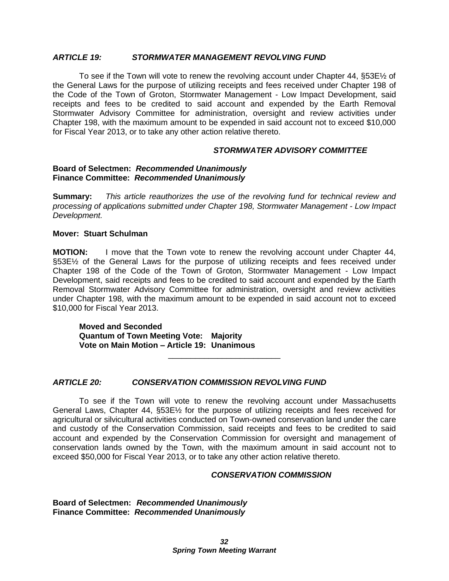#### *ARTICLE 19: STORMWATER MANAGEMENT REVOLVING FUND*

To see if the Town will vote to renew the revolving account under Chapter 44, §53E½ of the General Laws for the purpose of utilizing receipts and fees received under Chapter 198 of the Code of the Town of Groton, Stormwater Management - Low Impact Development, said receipts and fees to be credited to said account and expended by the Earth Removal Stormwater Advisory Committee for administration, oversight and review activities under Chapter 198, with the maximum amount to be expended in said account not to exceed \$10,000 for Fiscal Year 2013, or to take any other action relative thereto.

#### *STORMWATER ADVISORY COMMITTEE*

#### **Board of Selectmen:** *Recommended Unanimously* **Finance Committee:** *Recommended Unanimously*

**Summary:** *This article reauthorizes the use of the revolving fund for technical review and processing of applications submitted under Chapter 198, Stormwater Management - Low Impact Development.*

#### **Mover: Stuart Schulman**

**MOTION:** I move that the Town vote to renew the revolving account under Chapter 44, §53E½ of the General Laws for the purpose of utilizing receipts and fees received under Chapter 198 of the Code of the Town of Groton, Stormwater Management - Low Impact Development, said receipts and fees to be credited to said account and expended by the Earth Removal Stormwater Advisory Committee for administration, oversight and review activities under Chapter 198, with the maximum amount to be expended in said account not to exceed \$10,000 for Fiscal Year 2013.

**Moved and Seconded Quantum of Town Meeting Vote: Majority Vote on Main Motion – Article 19: Unanimous**

#### *ARTICLE 20: CONSERVATION COMMISSION REVOLVING FUND*

To see if the Town will vote to renew the revolving account under Massachusetts General Laws, Chapter 44, §53E½ for the purpose of utilizing receipts and fees received for agricultural or silvicultural activities conducted on Town-owned conservation land under the care and custody of the Conservation Commission, said receipts and fees to be credited to said account and expended by the Conservation Commission for oversight and management of conservation lands owned by the Town, with the maximum amount in said account not to exceed \$50,000 for Fiscal Year 2013, or to take any other action relative thereto.

\_\_\_\_\_\_\_\_\_\_\_\_\_\_\_\_\_\_\_\_\_\_\_\_\_

#### *CONSERVATION COMMISSION*

**Board of Selectmen:** *Recommended Unanimously* **Finance Committee:** *Recommended Unanimously*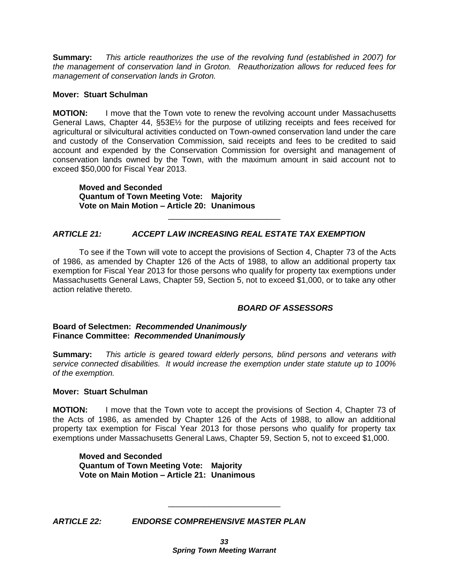**Summary:** *This article reauthorizes the use of the revolving fund (established in 2007) for the management of conservation land in Groton. Reauthorization allows for reduced fees for management of conservation lands in Groton.*

#### **Mover: Stuart Schulman**

**MOTION:** I move that the Town vote to renew the revolving account under Massachusetts General Laws, Chapter 44, §53E½ for the purpose of utilizing receipts and fees received for agricultural or silvicultural activities conducted on Town-owned conservation land under the care and custody of the Conservation Commission, said receipts and fees to be credited to said account and expended by the Conservation Commission for oversight and management of conservation lands owned by the Town, with the maximum amount in said account not to exceed \$50,000 for Fiscal Year 2013.

**Moved and Seconded Quantum of Town Meeting Vote: Majority Vote on Main Motion – Article 20: Unanimous**

# *ARTICLE 21: ACCEPT LAW INCREASING REAL ESTATE TAX EXEMPTION*

To see if the Town will vote to accept the provisions of Section 4, Chapter 73 of the Acts of 1986, as amended by Chapter 126 of the Acts of 1988, to allow an additional property tax exemption for Fiscal Year 2013 for those persons who qualify for property tax exemptions under Massachusetts General Laws, Chapter 59, Section 5, not to exceed \$1,000, or to take any other action relative thereto.

\_\_\_\_\_\_\_\_\_\_\_\_\_\_\_\_\_\_\_\_\_\_\_\_\_

#### *BOARD OF ASSESSORS*

#### **Board of Selectmen:** *Recommended Unanimously* **Finance Committee:** *Recommended Unanimously*

**Summary:** *This article is geared toward elderly persons, blind persons and veterans with service connected disabilities. It would increase the exemption under state statute up to 100% of the exemption.*

#### **Mover: Stuart Schulman**

**MOTION:** I move that the Town vote to accept the provisions of Section 4, Chapter 73 of the Acts of 1986, as amended by Chapter 126 of the Acts of 1988, to allow an additional property tax exemption for Fiscal Year 2013 for those persons who qualify for property tax exemptions under Massachusetts General Laws, Chapter 59, Section 5, not to exceed \$1,000.

**Moved and Seconded Quantum of Town Meeting Vote: Majority Vote on Main Motion – Article 21: Unanimous**

*ARTICLE 22: ENDORSE COMPREHENSIVE MASTER PLAN*

\_\_\_\_\_\_\_\_\_\_\_\_\_\_\_\_\_\_\_\_\_\_\_\_\_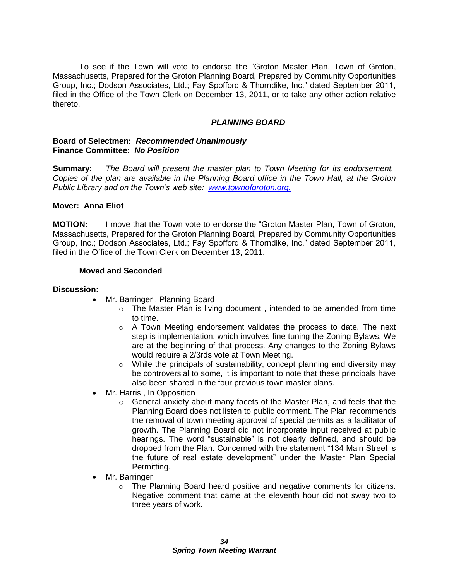To see if the Town will vote to endorse the "Groton Master Plan, Town of Groton, Massachusetts, Prepared for the Groton Planning Board, Prepared by Community Opportunities Group, Inc.; Dodson Associates, Ltd.; Fay Spofford & Thorndike, Inc." dated September 2011, filed in the Office of the Town Clerk on December 13, 2011, or to take any other action relative thereto.

## *PLANNING BOARD*

#### **Board of Selectmen:** *Recommended Unanimously* **Finance Committee:** *No Position*

**Summary:** *The Board will present the master plan to Town Meeting for its endorsement. Copies of the plan are available in the Planning Board office in the Town Hall, at the Groton Public Library and on the Town's web site: [www.townofgroton.org.](http://www.townofgroton.org/)*

## **Mover: Anna Eliot**

**MOTION:** I move that the Town vote to endorse the "Groton Master Plan, Town of Groton, Massachusetts, Prepared for the Groton Planning Board, Prepared by Community Opportunities Group, Inc.; Dodson Associates, Ltd.; Fay Spofford & Thorndike, Inc." dated September 2011, filed in the Office of the Town Clerk on December 13, 2011.

## **Moved and Seconded**

#### **Discussion:**

- Mr. Barringer, Planning Board
	- $\circ$  The Master Plan is living document, intended to be amended from time to time.
	- $\circ$  A Town Meeting endorsement validates the process to date. The next step is implementation, which involves fine tuning the Zoning Bylaws. We are at the beginning of that process. Any changes to the Zoning Bylaws would require a 2/3rds vote at Town Meeting.
	- $\circ$  While the principals of sustainability, concept planning and diversity may be controversial to some, it is important to note that these principals have also been shared in the four previous town master plans.
- Mr. Harris , In Opposition
	- $\circ$  General anxiety about many facets of the Master Plan, and feels that the Planning Board does not listen to public comment. The Plan recommends the removal of town meeting approval of special permits as a facilitator of growth. The Planning Board did not incorporate input received at public hearings. The word "sustainable" is not clearly defined, and should be dropped from the Plan. Concerned with the statement "134 Main Street is the future of real estate development" under the Master Plan Special Permitting.
- Mr. Barringer
	- $\circ$  The Planning Board heard positive and negative comments for citizens. Negative comment that came at the eleventh hour did not sway two to three years of work.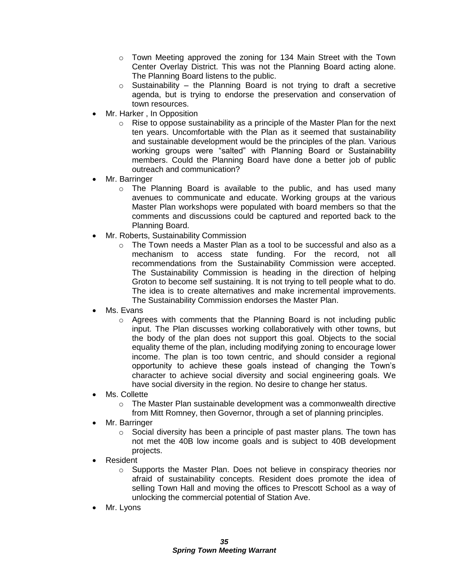- $\circ$  Town Meeting approved the zoning for 134 Main Street with the Town Center Overlay District. This was not the Planning Board acting alone. The Planning Board listens to the public.
- $\circ$  Sustainability the Planning Board is not trying to draft a secretive agenda, but is trying to endorse the preservation and conservation of town resources.
- Mr. Harker , In Opposition
	- $\circ$  Rise to oppose sustainability as a principle of the Master Plan for the next ten years. Uncomfortable with the Plan as it seemed that sustainability and sustainable development would be the principles of the plan. Various working groups were "salted" with Planning Board or Sustainability members. Could the Planning Board have done a better job of public outreach and communication?
- Mr. Barringer
	- $\circ$  The Planning Board is available to the public, and has used many avenues to communicate and educate. Working groups at the various Master Plan workshops were populated with board members so that the comments and discussions could be captured and reported back to the Planning Board.
- Mr. Roberts, Sustainability Commission
	- $\circ$  The Town needs a Master Plan as a tool to be successful and also as a mechanism to access state funding. For the record, not all recommendations from the Sustainability Commission were accepted. The Sustainability Commission is heading in the direction of helping Groton to become self sustaining. It is not trying to tell people what to do. The idea is to create alternatives and make incremental improvements. The Sustainability Commission endorses the Master Plan.
- Ms. Evans
	- $\circ$  Agrees with comments that the Planning Board is not including public input. The Plan discusses working collaboratively with other towns, but the body of the plan does not support this goal. Objects to the social equality theme of the plan, including modifying zoning to encourage lower income. The plan is too town centric, and should consider a regional opportunity to achieve these goals instead of changing the Town's character to achieve social diversity and social engineering goals. We have social diversity in the region. No desire to change her status.
- Ms. Collette
	- $\circ$  The Master Plan sustainable development was a commonwealth directive from Mitt Romney, then Governor, through a set of planning principles.
- Mr. Barringer
	- $\circ$  Social diversity has been a principle of past master plans. The town has not met the 40B low income goals and is subject to 40B development projects.
- Resident
	- o Supports the Master Plan. Does not believe in conspiracy theories nor afraid of sustainability concepts. Resident does promote the idea of selling Town Hall and moving the offices to Prescott School as a way of unlocking the commercial potential of Station Ave.
- Mr. Lyons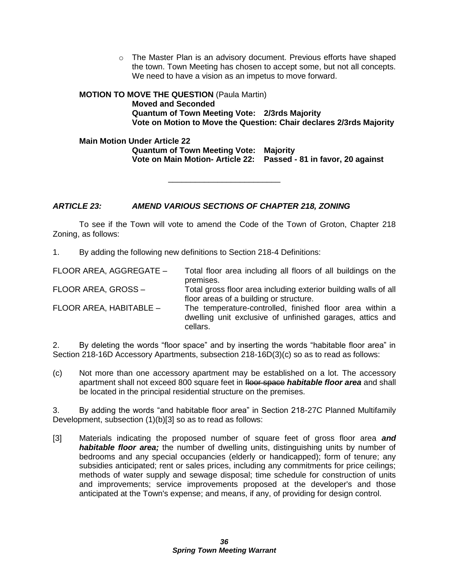$\circ$  The Master Plan is an advisory document. Previous efforts have shaped the town. Town Meeting has chosen to accept some, but not all concepts. We need to have a vision as an impetus to move forward.

# **MOTION TO MOVE THE QUESTION** (Paula Martin) **Moved and Seconded Quantum of Town Meeting Vote: 2/3rds Majority Vote on Motion to Move the Question: Chair declares 2/3rds Majority**

**Main Motion Under Article 22 Quantum of Town Meeting Vote: Majority Vote on Main Motion- Article 22: Passed - 81 in favor, 20 against**

# *ARTICLE 23: AMEND VARIOUS SECTIONS OF CHAPTER 218, ZONING*

To see if the Town will vote to amend the Code of the Town of Groton, Chapter 218 Zoning, as follows:

\_\_\_\_\_\_\_\_\_\_\_\_\_\_\_\_\_\_\_\_\_\_\_\_\_

1. By adding the following new definitions to Section 218-4 Definitions:

| FLOOR AREA, AGGREGATE - | Total floor area including all floors of all buildings on the<br>premises. |
|-------------------------|----------------------------------------------------------------------------|
| FLOOR AREA, GROSS-      | Total gross floor area including exterior building walls of all            |
|                         |                                                                            |
|                         | floor areas of a building or structure.                                    |
| FLOOR AREA, HABITABLE - | The temperature-controlled, finished floor area within a                   |
|                         | dwelling unit exclusive of unfinished garages, attics and                  |
|                         | cellars.                                                                   |

2. By deleting the words "floor space" and by inserting the words "habitable floor area" in Section 218-16D Accessory Apartments, subsection 218-16D(3)(c) so as to read as follows:

(c) Not more than one accessory apartment may be established on a lot. The accessory apartment shall not exceed 800 square feet in **floor space** *habitable floor area* and shall be located in the principal residential structure on the premises.

3. By adding the words "and habitable floor area" in Section 218-27C Planned Multifamily Development, subsection (1)(b)[3] so as to read as follows:

[3] Materials indicating the proposed number of square feet of gross floor area *and habitable floor area;* the number of dwelling units, distinguishing units by number of bedrooms and any special occupancies (elderly or handicapped); form of tenure; any subsidies anticipated; rent or sales prices, including any commitments for price ceilings; methods of water supply and sewage disposal; time schedule for construction of units and improvements; service improvements proposed at the developer's and those anticipated at the Town's expense; and means, if any, of providing for design control.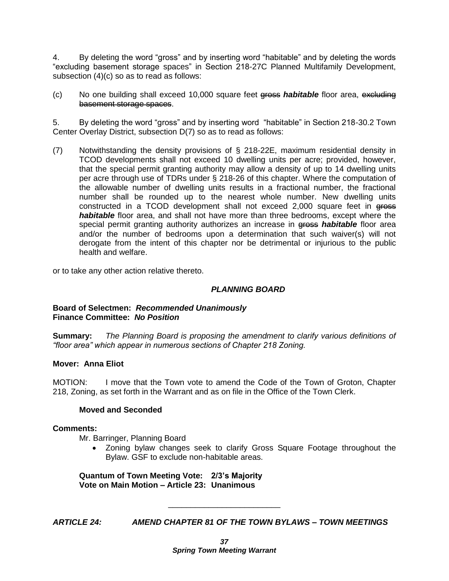4. By deleting the word "gross" and by inserting word "habitable" and by deleting the words "excluding basement storage spaces" in Section 218-27C Planned Multifamily Development, subsection (4)(c) so as to read as follows:

(c) No one building shall exceed 10,000 square feet gross *habitable* floor area, excluding basement storage spaces.

5. By deleting the word "gross" and by inserting word "habitable" in Section 218-30.2 Town Center Overlay District, subsection D(7) so as to read as follows:

(7) Notwithstanding the density provisions of § 218-22E, maximum residential density in TCOD developments shall not exceed 10 dwelling units per acre; provided, however, that the special permit granting authority may allow a density of up to 14 dwelling units per acre through use of TDRs under § 218-26 of this chapter. Where the computation of the allowable number of dwelling units results in a fractional number, the fractional number shall be rounded up to the nearest whole number. New dwelling units constructed in a TCOD development shall not exceed 2,000 square feet in gross *habitable* floor area, and shall not have more than three bedrooms, except where the special permit granting authority authorizes an increase in **gross** *habitable* floor area and/or the number of bedrooms upon a determination that such waiver(s) will not derogate from the intent of this chapter nor be detrimental or injurious to the public health and welfare.

or to take any other action relative thereto.

# *PLANNING BOARD*

#### **Board of Selectmen:** *Recommended Unanimously* **Finance Committee:** *No Position*

**Summary:** *The Planning Board is proposing the amendment to clarify various definitions of "floor area" which appear in numerous sections of Chapter 218 Zoning.*

# **Mover: Anna Eliot**

MOTION: I move that the Town vote to amend the Code of the Town of Groton, Chapter 218, Zoning, as set forth in the Warrant and as on file in the Office of the Town Clerk.

#### **Moved and Seconded**

#### **Comments:**

Mr. Barringer, Planning Board

 Zoning bylaw changes seek to clarify Gross Square Footage throughout the Bylaw. GSF to exclude non-habitable areas.

**Quantum of Town Meeting Vote: 2/3's Majority Vote on Main Motion – Article 23: Unanimous**

*ARTICLE 24: AMEND CHAPTER 81 OF THE TOWN BYLAWS – TOWN MEETINGS*

\_\_\_\_\_\_\_\_\_\_\_\_\_\_\_\_\_\_\_\_\_\_\_\_\_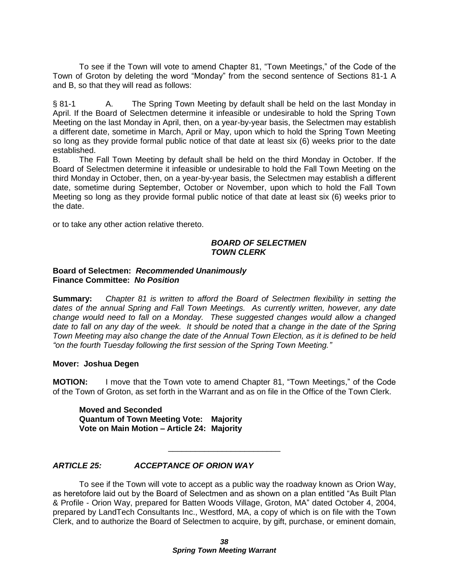To see if the Town will vote to amend Chapter 81, "Town Meetings," of the Code of the Town of Groton by deleting the word "Monday" from the second sentence of Sections 81-1 A and B, so that they will read as follows:

§ 81-1 A. The Spring Town Meeting by default shall be held on the last Monday in April. If the Board of Selectmen determine it infeasible or undesirable to hold the Spring Town Meeting on the last Monday in April, then, on a year-by-year basis, the Selectmen may establish a different date, sometime in March, April or May, upon which to hold the Spring Town Meeting so long as they provide formal public notice of that date at least six (6) weeks prior to the date established.

B. The Fall Town Meeting by default shall be held on the third Monday in October. If the Board of Selectmen determine it infeasible or undesirable to hold the Fall Town Meeting on the third Monday in October, then, on a year-by-year basis, the Selectmen may establish a different date, sometime during September, October or November, upon which to hold the Fall Town Meeting so long as they provide formal public notice of that date at least six (6) weeks prior to the date.

or to take any other action relative thereto.

#### *BOARD OF SELECTMEN TOWN CLERK*

#### **Board of Selectmen:** *Recommended Unanimously* **Finance Committee:** *No Position*

**Summary:** *Chapter 81 is written to afford the Board of Selectmen flexibility in setting the dates of the annual Spring and Fall Town Meetings. As currently written, however, any date change would need to fall on a Monday. These suggested changes would allow a changed date to fall on any day of the week. It should be noted that a change in the date of the Spring Town Meeting may also change the date of the Annual Town Election, as it is defined to be held "on the fourth Tuesday following the first session of the Spring Town Meeting."*

#### **Mover: Joshua Degen**

**MOTION:** I move that the Town vote to amend Chapter 81, "Town Meetings," of the Code of the Town of Groton, as set forth in the Warrant and as on file in the Office of the Town Clerk.

**Moved and Seconded Quantum of Town Meeting Vote: Majority Vote on Main Motion – Article 24: Majority**

# *ARTICLE 25: ACCEPTANCE OF ORION WAY*

To see if the Town will vote to accept as a public way the roadway known as Orion Way, as heretofore laid out by the Board of Selectmen and as shown on a plan entitled "As Built Plan & Profile - Orion Way, prepared for Batten Woods Village, Groton, MA" dated October 4, 2004, prepared by LandTech Consultants Inc., Westford, MA, a copy of which is on file with the Town Clerk, and to authorize the Board of Selectmen to acquire, by gift, purchase, or eminent domain,

\_\_\_\_\_\_\_\_\_\_\_\_\_\_\_\_\_\_\_\_\_\_\_\_\_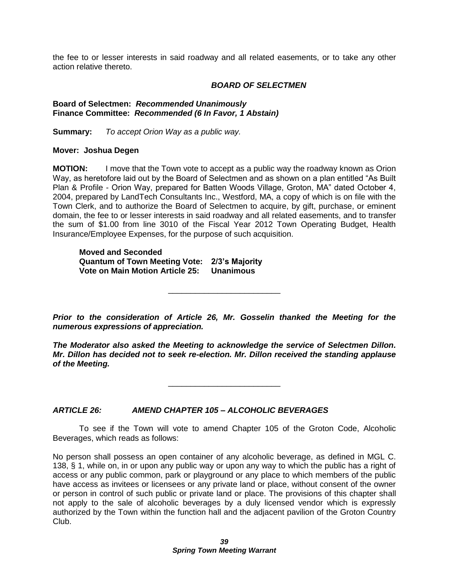the fee to or lesser interests in said roadway and all related easements, or to take any other action relative thereto.

#### *BOARD OF SELECTMEN*

**Board of Selectmen:** *Recommended Unanimously* **Finance Committee:** *Recommended (6 In Favor, 1 Abstain)*

**Summary:** *To accept Orion Way as a public way.*

#### **Mover: Joshua Degen**

**MOTION:** I move that the Town vote to accept as a public way the roadway known as Orion Way, as heretofore laid out by the Board of Selectmen and as shown on a plan entitled "As Built Plan & Profile - Orion Way, prepared for Batten Woods Village, Groton, MA" dated October 4, 2004, prepared by LandTech Consultants Inc., Westford, MA, a copy of which is on file with the Town Clerk, and to authorize the Board of Selectmen to acquire, by gift, purchase, or eminent domain, the fee to or lesser interests in said roadway and all related easements, and to transfer the sum of \$1.00 from line 3010 of the Fiscal Year 2012 Town Operating Budget, Health Insurance/Employee Expenses, for the purpose of such acquisition.

**Moved and Seconded Quantum of Town Meeting Vote: 2/3's Majority Vote on Main Motion Article 25: Unanimous**

*Prior to the consideration of Article 26, Mr. Gosselin thanked the Meeting for the numerous expressions of appreciation.*

\_\_\_\_\_\_\_\_\_\_\_\_\_\_\_\_\_\_\_\_\_\_\_\_\_

*The Moderator also asked the Meeting to acknowledge the service of Selectmen Dillon. Mr. Dillon has decided not to seek re-election. Mr. Dillon received the standing applause of the Meeting.*

\_\_\_\_\_\_\_\_\_\_\_\_\_\_\_\_\_\_\_\_\_\_\_\_\_

*ARTICLE 26: AMEND CHAPTER 105 – ALCOHOLIC BEVERAGES*

To see if the Town will vote to amend Chapter 105 of the Groton Code, Alcoholic Beverages, which reads as follows:

No person shall possess an open container of any alcoholic beverage, as defined in MGL C. 138, § 1, while on, in or upon any public way or upon any way to which the public has a right of access or any public common, park or playground or any place to which members of the public have access as invitees or licensees or any private land or place, without consent of the owner or person in control of such public or private land or place. The provisions of this chapter shall not apply to the sale of alcoholic beverages by a duly licensed vendor which is expressly authorized by the Town within the function hall and the adjacent pavilion of the Groton Country Club.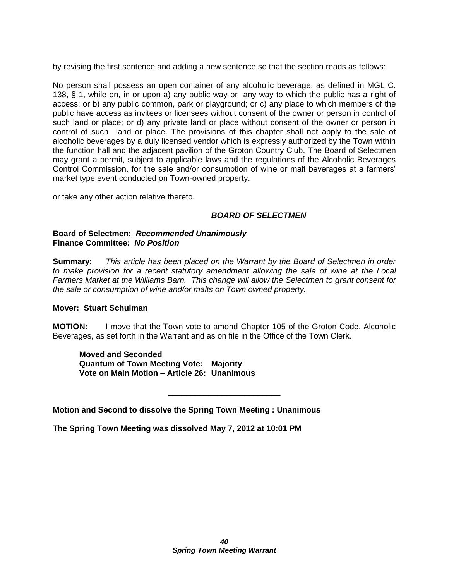by revising the first sentence and adding a new sentence so that the section reads as follows:

No person shall possess an open container of any alcoholic beverage, as defined in MGL C. 138, § 1, while on, in or upon a) any public way or any way to which the public has a right of access; or b) any public common, park or playground; or c) any place to which members of the public have access as invitees or licensees without consent of the owner or person in control of such land or place; or d) any private land or place without consent of the owner or person in control of such land or place. The provisions of this chapter shall not apply to the sale of alcoholic beverages by a duly licensed vendor which is expressly authorized by the Town within the function hall and the adjacent pavilion of the Groton Country Club. The Board of Selectmen may grant a permit, subject to applicable laws and the regulations of the Alcoholic Beverages Control Commission, for the sale and/or consumption of wine or malt beverages at a farmers' market type event conducted on Town-owned property.

or take any other action relative thereto.

## *BOARD OF SELECTMEN*

#### **Board of Selectmen:** *Recommended Unanimously* **Finance Committee:** *No Position*

**Summary:** *This article has been placed on the Warrant by the Board of Selectmen in order to make provision for a recent statutory amendment allowing the sale of wine at the Local Farmers Market at the Williams Barn. This change will allow the Selectmen to grant consent for the sale or consumption of wine and/or malts on Town owned property.*

#### **Mover: Stuart Schulman**

**MOTION:** I move that the Town vote to amend Chapter 105 of the Groton Code, Alcoholic Beverages, as set forth in the Warrant and as on file in the Office of the Town Clerk.

\_\_\_\_\_\_\_\_\_\_\_\_\_\_\_\_\_\_\_\_\_\_\_\_\_

**Moved and Seconded Quantum of Town Meeting Vote: Majority Vote on Main Motion – Article 26: Unanimous**

**Motion and Second to dissolve the Spring Town Meeting : Unanimous**

**The Spring Town Meeting was dissolved May 7, 2012 at 10:01 PM**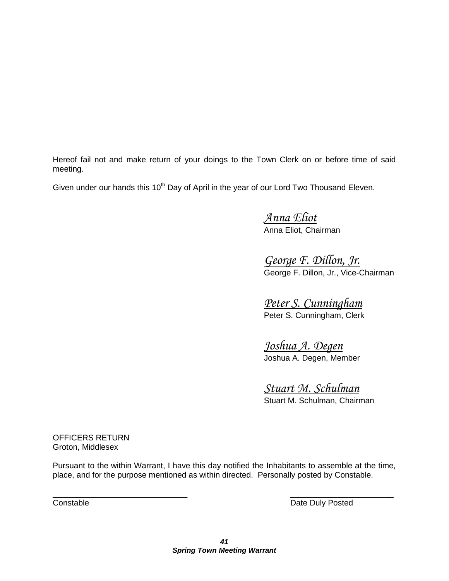Hereof fail not and make return of your doings to the Town Clerk on or before time of said meeting.

Given under our hands this 10<sup>th</sup> Day of April in the year of our Lord Two Thousand Eleven.

*Anna Eliot* Anna Eliot, Chairman

*George F. Dillon, Jr.* George F. Dillon, Jr., Vice-Chairman

*Peter S. Cunningham* Peter S. Cunningham, Clerk

*Joshua A. Degen* Joshua A. Degen, Member

*Stuart M. Schulman* Stuart M. Schulman, Chairman

OFFICERS RETURN Groton, Middlesex

Pursuant to the within Warrant, I have this day notified the Inhabitants to assemble at the time, place, and for the purpose mentioned as within directed. Personally posted by Constable.

 $\overline{\phantom{a}}$  , and the contract of the contract of the contract of the contract of the contract of the contract of the contract of the contract of the contract of the contract of the contract of the contract of the contrac

**Constable Constable Date Duly Posted**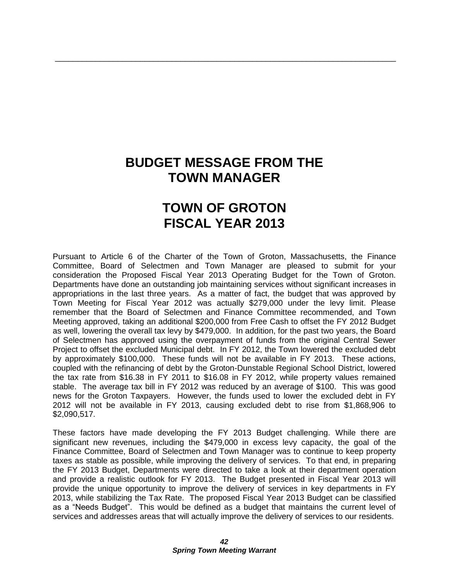# **BUDGET MESSAGE FROM THE TOWN MANAGER**

\_\_\_\_\_\_\_\_\_\_\_\_\_\_\_\_\_\_\_\_\_\_\_\_\_\_\_\_\_\_\_\_\_\_\_\_\_\_\_\_\_\_\_\_\_\_\_\_\_\_\_\_\_\_\_\_\_\_\_\_\_\_\_\_\_\_\_\_\_\_\_\_\_\_\_\_

# **TOWN OF GROTON FISCAL YEAR 2013**

Pursuant to Article 6 of the Charter of the Town of Groton, Massachusetts, the Finance Committee, Board of Selectmen and Town Manager are pleased to submit for your consideration the Proposed Fiscal Year 2013 Operating Budget for the Town of Groton. Departments have done an outstanding job maintaining services without significant increases in appropriations in the last three years. As a matter of fact, the budget that was approved by Town Meeting for Fiscal Year 2012 was actually \$279,000 under the levy limit. Please remember that the Board of Selectmen and Finance Committee recommended, and Town Meeting approved, taking an additional \$200,000 from Free Cash to offset the FY 2012 Budget as well, lowering the overall tax levy by \$479,000. In addition, for the past two years, the Board of Selectmen has approved using the overpayment of funds from the original Central Sewer Project to offset the excluded Municipal debt. In FY 2012, the Town lowered the excluded debt by approximately \$100,000. These funds will not be available in FY 2013. These actions, coupled with the refinancing of debt by the Groton-Dunstable Regional School District, lowered the tax rate from \$16.38 in FY 2011 to \$16.08 in FY 2012, while property values remained stable. The average tax bill in FY 2012 was reduced by an average of \$100. This was good news for the Groton Taxpayers. However, the funds used to lower the excluded debt in FY 2012 will not be available in FY 2013, causing excluded debt to rise from \$1,868,906 to \$2,090,517.

These factors have made developing the FY 2013 Budget challenging. While there are significant new revenues, including the \$479,000 in excess levy capacity, the goal of the Finance Committee, Board of Selectmen and Town Manager was to continue to keep property taxes as stable as possible, while improving the delivery of services. To that end, in preparing the FY 2013 Budget, Departments were directed to take a look at their department operation and provide a realistic outlook for FY 2013. The Budget presented in Fiscal Year 2013 will provide the unique opportunity to improve the delivery of services in key departments in FY 2013, while stabilizing the Tax Rate. The proposed Fiscal Year 2013 Budget can be classified as a "Needs Budget". This would be defined as a budget that maintains the current level of services and addresses areas that will actually improve the delivery of services to our residents.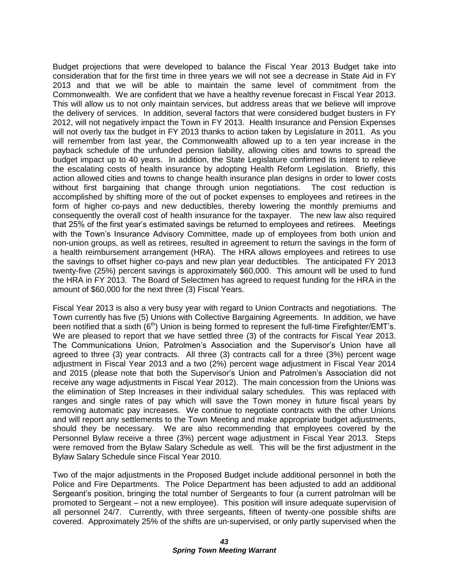Budget projections that were developed to balance the Fiscal Year 2013 Budget take into consideration that for the first time in three years we will not see a decrease in State Aid in FY 2013 and that we will be able to maintain the same level of commitment from the Commonwealth. We are confident that we have a healthy revenue forecast in Fiscal Year 2013. This will allow us to not only maintain services, but address areas that we believe will improve the delivery of services. In addition, several factors that were considered budget busters in FY 2012, will not negatively impact the Town in FY 2013. Health Insurance and Pension Expenses will not overly tax the budget in FY 2013 thanks to action taken by Legislature in 2011. As you will remember from last year, the Commonwealth allowed up to a ten year increase in the payback schedule of the unfunded pension liability, allowing cities and towns to spread the budget impact up to 40 years. In addition, the State Legislature confirmed its intent to relieve the escalating costs of health insurance by adopting Health Reform Legislation. Briefly, this action allowed cities and towns to change health insurance plan designs in order to lower costs without first bargaining that change through union negotiations. The cost reduction is accomplished by shifting more of the out of pocket expenses to employees and retirees in the form of higher co-pays and new deductibles, thereby lowering the monthly premiums and consequently the overall cost of health insurance for the taxpayer. The new law also required that 25% of the first year's estimated savings be returned to employees and retirees. Meetings with the Town's Insurance Advisory Committee, made up of employees from both union and non-union groups, as well as retirees, resulted in agreement to return the savings in the form of a health reimbursement arrangement (HRA). The HRA allows employees and retirees to use the savings to offset higher co-pays and new plan year deductibles. The anticipated FY 2013 twenty-five (25%) percent savings is approximately \$60,000. This amount will be used to fund the HRA in FY 2013. The Board of Selectmen has agreed to request funding for the HRA in the amount of \$60,000 for the next three (3) Fiscal Years.

Fiscal Year 2013 is also a very busy year with regard to Union Contracts and negotiations. The Town currently has five (5) Unions with Collective Bargaining Agreements. In addition, we have been notified that a sixth  $(6<sup>th</sup>)$  Union is being formed to represent the full-time Firefighter/EMT's. We are pleased to report that we have settled three (3) of the contracts for Fiscal Year 2013. The Communications Union, Patrolmen's Association and the Supervisor's Union have all agreed to three (3) year contracts. All three (3) contracts call for a three (3%) percent wage adjustment in Fiscal Year 2013 and a two (2%) percent wage adjustment in Fiscal Year 2014 and 2015 (please note that both the Supervisor's Union and Patrolmen's Association did not receive any wage adjustments in Fiscal Year 2012). The main concession from the Unions was the elimination of Step Increases in their individual salary schedules. This was replaced with ranges and single rates of pay which will save the Town money in future fiscal years by removing automatic pay increases. We continue to negotiate contracts with the other Unions and will report any settlements to the Town Meeting and make appropriate budget adjustments, should they be necessary. We are also recommending that employees covered by the Personnel Bylaw receive a three (3%) percent wage adjustment in Fiscal Year 2013. Steps were removed from the Bylaw Salary Schedule as well. This will be the first adjustment in the Bylaw Salary Schedule since Fiscal Year 2010.

Two of the major adjustments in the Proposed Budget include additional personnel in both the Police and Fire Departments. The Police Department has been adjusted to add an additional Sergeant's position, bringing the total number of Sergeants to four (a current patrolman will be promoted to Sergeant – not a new employee). This position will insure adequate supervision of all personnel 24/7. Currently, with three sergeants, fifteen of twenty-one possible shifts are covered. Approximately 25% of the shifts are un-supervised, or only partly supervised when the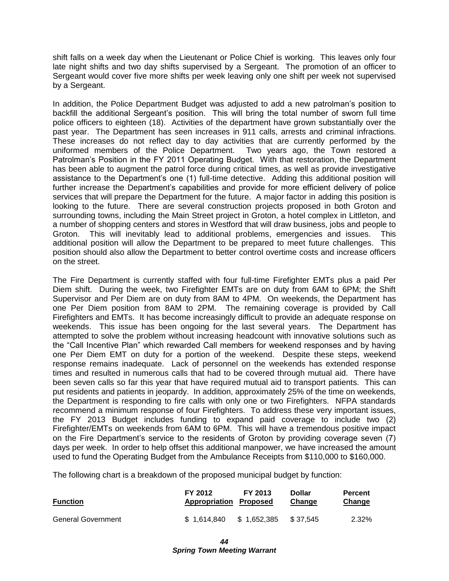shift falls on a week day when the Lieutenant or Police Chief is working. This leaves only four late night shifts and two day shifts supervised by a Sergeant. The promotion of an officer to Sergeant would cover five more shifts per week leaving only one shift per week not supervised by a Sergeant.

In addition, the Police Department Budget was adjusted to add a new patrolman's position to backfill the additional Sergeant's position. This will bring the total number of sworn full time police officers to eighteen (18). Activities of the department have grown substantially over the past year. The Department has seen increases in 911 calls, arrests and criminal infractions. These increases do not reflect day to day activities that are currently performed by the uniformed members of the Police Department. Two years ago, the Town restored a Patrolman's Position in the FY 2011 Operating Budget. With that restoration, the Department has been able to augment the patrol force during critical times, as well as provide investigative assistance to the Department's one (1) full-time detective. Adding this additional position will further increase the Department's capabilities and provide for more efficient delivery of police services that will prepare the Department for the future. A major factor in adding this position is looking to the future. There are several construction projects proposed in both Groton and surrounding towns, including the Main Street project in Groton, a hotel complex in Littleton, and a number of shopping centers and stores in Westford that will draw business, jobs and people to Groton. This will inevitably lead to additional problems, emergencies and issues. This additional position will allow the Department to be prepared to meet future challenges. This position should also allow the Department to better control overtime costs and increase officers on the street.

The Fire Department is currently staffed with four full-time Firefighter EMTs plus a paid Per Diem shift. During the week, two Firefighter EMTs are on duty from 6AM to 6PM; the Shift Supervisor and Per Diem are on duty from 8AM to 4PM. On weekends, the Department has one Per Diem position from 8AM to 2PM. The remaining coverage is provided by Call Firefighters and EMTs. It has become increasingly difficult to provide an adequate response on weekends. This issue has been ongoing for the last several years. The Department has attempted to solve the problem without increasing headcount with innovative solutions such as the "Call Incentive Plan" which rewarded Call members for weekend responses and by having one Per Diem EMT on duty for a portion of the weekend. Despite these steps, weekend response remains inadequate. Lack of personnel on the weekends has extended response times and resulted in numerous calls that had to be covered through mutual aid. There have been seven calls so far this year that have required mutual aid to transport patients. This can put residents and patients in jeopardy. In addition, approximately 25% of the time on weekends, the Department is responding to fire calls with only one or two Firefighters. NFPA standards recommend a minimum response of four Firefighters. To address these very important issues, the FY 2013 Budget includes funding to expand paid coverage to include two (2) Firefighter/EMTs on weekends from 6AM to 6PM. This will have a tremendous positive impact on the Fire Department's service to the residents of Groton by providing coverage seven (7) days per week. In order to help offset this additional manpower, we have increased the amount used to fund the Operating Budget from the Ambulance Receipts from \$110,000 to \$160,000.

The following chart is a breakdown of the proposed municipal budget by function:

| <b>Function</b>           | FY 2012<br><b>Appropriation Proposed</b> | FY 2013     | <b>Dollar</b><br>Change | Percent<br><b>Change</b> |
|---------------------------|------------------------------------------|-------------|-------------------------|--------------------------|
| <b>General Government</b> | \$1.614.840                              | \$1.652.385 | \$37.545                | 2.32%                    |

*44 Spring Town Meeting Warrant*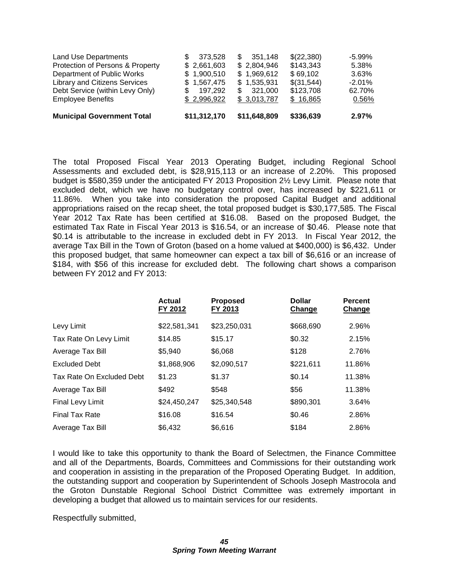| <b>Municipal Government Total</b>    | \$11,312,170 | \$11,648,809   | \$336,639  | 2.97%    |
|--------------------------------------|--------------|----------------|------------|----------|
| <b>Employee Benefits</b>             | \$2,996,922  | \$3,013,787    | \$16,865   | 0.56%    |
| Debt Service (within Levy Only)      | 197.292      | 321,000<br>\$. | \$123,708  | 62.70%   |
| <b>Library and Citizens Services</b> | \$1,567,475  | \$1,535,931    | \$(31,544) | $-2.01%$ |
| Department of Public Works           | \$1,900,510  | \$1,969,612    | \$69,102   | 3.63%    |
| Protection of Persons & Property     | \$2,661,603  | \$2,804,946    | \$143,343  | 5.38%    |
| Land Use Departments                 | 373,528      | 351.148<br>SS. | \$(22,380) | $-5.99%$ |
|                                      |              |                |            |          |

The total Proposed Fiscal Year 2013 Operating Budget, including Regional School Assessments and excluded debt, is \$28,915,113 or an increase of 2.20%. This proposed budget is \$580,359 under the anticipated FY 2013 Proposition 2½ Levy Limit. Please note that excluded debt, which we have no budgetary control over, has increased by \$221,611 or 11.86%. When you take into consideration the proposed Capital Budget and additional appropriations raised on the recap sheet, the total proposed budget is \$30,177,585. The Fiscal Year 2012 Tax Rate has been certified at \$16.08. Based on the proposed Budget, the estimated Tax Rate in Fiscal Year 2013 is \$16.54, or an increase of \$0.46. Please note that \$0.14 is attributable to the increase in excluded debt in FY 2013. In Fiscal Year 2012, the average Tax Bill in the Town of Groton (based on a home valued at \$400,000) is \$6,432. Under this proposed budget, that same homeowner can expect a tax bill of \$6,616 or an increase of \$184, with \$56 of this increase for excluded debt. The following chart shows a comparison between FY 2012 and FY 2013:

|                           | <b>Actual</b><br>FY 2012 | <b>Proposed</b><br>FY 2013 | <b>Dollar</b><br>Change | <b>Percent</b><br>Change |
|---------------------------|--------------------------|----------------------------|-------------------------|--------------------------|
| Levy Limit                | \$22,581,341             | \$23,250,031               | \$668,690               | 2.96%                    |
| Tax Rate On Levy Limit    | \$14.85                  | \$15.17                    | \$0.32                  | 2.15%                    |
| Average Tax Bill          | \$5,940                  | \$6,068                    | \$128                   | 2.76%                    |
| <b>Excluded Debt</b>      | \$1,868,906              | \$2,090,517                | \$221,611               | 11.86%                   |
| Tax Rate On Excluded Debt | \$1.23                   | \$1.37                     | \$0.14                  | 11.38%                   |
| Average Tax Bill          | \$492                    | \$548                      | \$56                    | 11.38%                   |
| <b>Final Levy Limit</b>   | \$24,450,247             | \$25,340,548               | \$890,301               | 3.64%                    |
| <b>Final Tax Rate</b>     | \$16.08                  | \$16.54                    | \$0.46                  | 2.86%                    |
| Average Tax Bill          | \$6,432                  | \$6,616                    | \$184                   | 2.86%                    |

I would like to take this opportunity to thank the Board of Selectmen, the Finance Committee and all of the Departments, Boards, Committees and Commissions for their outstanding work and cooperation in assisting in the preparation of the Proposed Operating Budget. In addition, the outstanding support and cooperation by Superintendent of Schools Joseph Mastrocola and the Groton Dunstable Regional School District Committee was extremely important in developing a budget that allowed us to maintain services for our residents.

Respectfully submitted,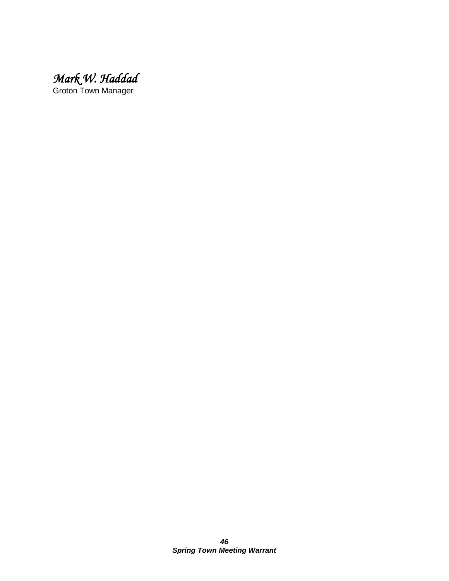*Mark W. Haddad* 

Groton Town Manager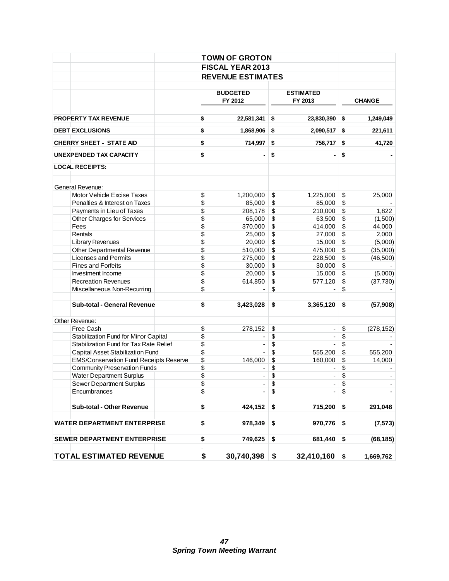|                                               | <b>TOWN OF GROTON</b> |                                                                                                                                                                                                                                                                                                                                                                                                                                                                                                                                                                                                                                                                                                                                                                                                                                                                                                                                                                                                                                                                                                                                                                     |               |                 |
|-----------------------------------------------|-----------------------|---------------------------------------------------------------------------------------------------------------------------------------------------------------------------------------------------------------------------------------------------------------------------------------------------------------------------------------------------------------------------------------------------------------------------------------------------------------------------------------------------------------------------------------------------------------------------------------------------------------------------------------------------------------------------------------------------------------------------------------------------------------------------------------------------------------------------------------------------------------------------------------------------------------------------------------------------------------------------------------------------------------------------------------------------------------------------------------------------------------------------------------------------------------------|---------------|-----------------|
|                                               |                       |                                                                                                                                                                                                                                                                                                                                                                                                                                                                                                                                                                                                                                                                                                                                                                                                                                                                                                                                                                                                                                                                                                                                                                     |               |                 |
|                                               |                       |                                                                                                                                                                                                                                                                                                                                                                                                                                                                                                                                                                                                                                                                                                                                                                                                                                                                                                                                                                                                                                                                                                                                                                     |               |                 |
|                                               |                       |                                                                                                                                                                                                                                                                                                                                                                                                                                                                                                                                                                                                                                                                                                                                                                                                                                                                                                                                                                                                                                                                                                                                                                     |               |                 |
|                                               | <b>BUDGETED</b>       |                                                                                                                                                                                                                                                                                                                                                                                                                                                                                                                                                                                                                                                                                                                                                                                                                                                                                                                                                                                                                                                                                                                                                                     |               |                 |
|                                               | FY 2012               | <b>FISCAL YEAR 2013</b><br><b>REVENUE ESTIMATES</b><br><b>ESTIMATED</b><br>FY 2013<br>22,581,341<br>\$<br>23,830,390<br>\$<br>1,868,906<br>\$<br>2,090,517<br>\$<br>714,997<br>\$<br>\$<br>756,717<br>\$<br>\$<br>$\blacksquare$<br>$\blacksquare$<br>1,200,000<br>\$<br>\$<br>1,225,000<br>\$<br>\$<br>85,000<br>85,000<br>\$<br>\$<br>210,000<br>208,178<br>$\boldsymbol{\$}$<br>\$<br>65,000<br>63,500<br>$\boldsymbol{\$}$<br>\$<br>370,000<br>414,000<br>\$<br>\$<br>25.000<br>27,000<br>$\sqrt{3}$<br>\$<br>20,000<br>15,000<br>\$<br>\$<br>510,000<br>475,000<br>\$<br>\$<br>275,000<br>228,500<br>\$<br>\$<br>30,000<br>30,000<br>\$<br>\$<br>20,000<br>15,000<br>$\boldsymbol{\$}$<br>\$<br>614,850<br>577,120<br>$\sqrt{3}$<br>\$<br>3,423,028<br>\$<br>3,365,120<br>\$<br>\$<br>\$<br>278,152<br>$\overline{\phantom{a}}$<br>\$<br>\$<br>\$<br>\$<br>\$<br>\$<br>555,200<br>$\overline{a}$<br>$\sqrt{3}$<br>\$<br>146,000<br>160,000<br>\$<br>\$<br>\$<br>\$<br>$\overline{\phantom{0}}$<br>$\overline{\phantom{a}}$<br>\$<br>\$<br>۰.<br>\$<br>\$<br>\$<br>424,152<br>715,200<br>\$<br>\$<br>978,349<br>970,776<br>\$<br>\$<br>749,625<br>681,440<br>\$ | <b>CHANGE</b> |                 |
|                                               |                       |                                                                                                                                                                                                                                                                                                                                                                                                                                                                                                                                                                                                                                                                                                                                                                                                                                                                                                                                                                                                                                                                                                                                                                     |               |                 |
| <b>PROPERTY TAX REVENUE</b>                   | \$                    |                                                                                                                                                                                                                                                                                                                                                                                                                                                                                                                                                                                                                                                                                                                                                                                                                                                                                                                                                                                                                                                                                                                                                                     |               | 1,249,049       |
| <b>DEBT EXCLUSIONS</b>                        | \$                    |                                                                                                                                                                                                                                                                                                                                                                                                                                                                                                                                                                                                                                                                                                                                                                                                                                                                                                                                                                                                                                                                                                                                                                     |               | 221,611         |
| <b>CHERRY SHEET - STATE AID</b>               | \$                    |                                                                                                                                                                                                                                                                                                                                                                                                                                                                                                                                                                                                                                                                                                                                                                                                                                                                                                                                                                                                                                                                                                                                                                     |               | 41,720          |
| <b>UNEXPENDED TAX CAPACITY</b>                | \$                    |                                                                                                                                                                                                                                                                                                                                                                                                                                                                                                                                                                                                                                                                                                                                                                                                                                                                                                                                                                                                                                                                                                                                                                     |               |                 |
| <b>LOCAL RECEIPTS:</b>                        |                       |                                                                                                                                                                                                                                                                                                                                                                                                                                                                                                                                                                                                                                                                                                                                                                                                                                                                                                                                                                                                                                                                                                                                                                     |               |                 |
| General Revenue:                              |                       |                                                                                                                                                                                                                                                                                                                                                                                                                                                                                                                                                                                                                                                                                                                                                                                                                                                                                                                                                                                                                                                                                                                                                                     |               |                 |
| Motor Vehicle Excise Taxes                    | \$                    |                                                                                                                                                                                                                                                                                                                                                                                                                                                                                                                                                                                                                                                                                                                                                                                                                                                                                                                                                                                                                                                                                                                                                                     |               | 25,000          |
| Penalties & Interest on Taxes                 | \$                    |                                                                                                                                                                                                                                                                                                                                                                                                                                                                                                                                                                                                                                                                                                                                                                                                                                                                                                                                                                                                                                                                                                                                                                     |               |                 |
| Payments in Lieu of Taxes                     | \$                    |                                                                                                                                                                                                                                                                                                                                                                                                                                                                                                                                                                                                                                                                                                                                                                                                                                                                                                                                                                                                                                                                                                                                                                     |               | 1,822           |
| Other Charges for Services                    | \$                    |                                                                                                                                                                                                                                                                                                                                                                                                                                                                                                                                                                                                                                                                                                                                                                                                                                                                                                                                                                                                                                                                                                                                                                     |               | (1,500)         |
| Fees                                          | \$                    |                                                                                                                                                                                                                                                                                                                                                                                                                                                                                                                                                                                                                                                                                                                                                                                                                                                                                                                                                                                                                                                                                                                                                                     |               | 44,000          |
| Rentals                                       | \$                    |                                                                                                                                                                                                                                                                                                                                                                                                                                                                                                                                                                                                                                                                                                                                                                                                                                                                                                                                                                                                                                                                                                                                                                     |               | 2,000           |
| <b>Library Revenues</b>                       | \$                    |                                                                                                                                                                                                                                                                                                                                                                                                                                                                                                                                                                                                                                                                                                                                                                                                                                                                                                                                                                                                                                                                                                                                                                     |               | (5,000)         |
| Other Departmental Revenue                    | \$                    |                                                                                                                                                                                                                                                                                                                                                                                                                                                                                                                                                                                                                                                                                                                                                                                                                                                                                                                                                                                                                                                                                                                                                                     |               | (35,000)        |
| <b>Licenses and Permits</b>                   | \$                    |                                                                                                                                                                                                                                                                                                                                                                                                                                                                                                                                                                                                                                                                                                                                                                                                                                                                                                                                                                                                                                                                                                                                                                     |               | (46, 500)       |
| <b>Fines and Forfeits</b>                     | \$                    |                                                                                                                                                                                                                                                                                                                                                                                                                                                                                                                                                                                                                                                                                                                                                                                                                                                                                                                                                                                                                                                                                                                                                                     |               |                 |
| Investment Income                             | \$                    |                                                                                                                                                                                                                                                                                                                                                                                                                                                                                                                                                                                                                                                                                                                                                                                                                                                                                                                                                                                                                                                                                                                                                                     |               | (5,000)         |
| <b>Recreation Revenues</b>                    | \$                    |                                                                                                                                                                                                                                                                                                                                                                                                                                                                                                                                                                                                                                                                                                                                                                                                                                                                                                                                                                                                                                                                                                                                                                     |               | (37, 730)       |
| Miscellaneous Non-Recurring                   | \$                    |                                                                                                                                                                                                                                                                                                                                                                                                                                                                                                                                                                                                                                                                                                                                                                                                                                                                                                                                                                                                                                                                                                                                                                     |               |                 |
| Sub-total - General Revenue                   | \$                    |                                                                                                                                                                                                                                                                                                                                                                                                                                                                                                                                                                                                                                                                                                                                                                                                                                                                                                                                                                                                                                                                                                                                                                     |               | (57, 908)       |
| Other Revenue:                                |                       |                                                                                                                                                                                                                                                                                                                                                                                                                                                                                                                                                                                                                                                                                                                                                                                                                                                                                                                                                                                                                                                                                                                                                                     |               |                 |
| Free Cash                                     | \$                    |                                                                                                                                                                                                                                                                                                                                                                                                                                                                                                                                                                                                                                                                                                                                                                                                                                                                                                                                                                                                                                                                                                                                                                     |               | (278, 152)      |
| Stabilization Fund for Minor Capital          | \$                    |                                                                                                                                                                                                                                                                                                                                                                                                                                                                                                                                                                                                                                                                                                                                                                                                                                                                                                                                                                                                                                                                                                                                                                     |               |                 |
| Stabilization Fund for Tax Rate Relief        | \$                    |                                                                                                                                                                                                                                                                                                                                                                                                                                                                                                                                                                                                                                                                                                                                                                                                                                                                                                                                                                                                                                                                                                                                                                     |               |                 |
| Capital Asset Stabilization Fund              | \$                    |                                                                                                                                                                                                                                                                                                                                                                                                                                                                                                                                                                                                                                                                                                                                                                                                                                                                                                                                                                                                                                                                                                                                                                     |               | 555,200         |
| <b>EMS/Conservation Fund Receipts Reserve</b> | \$                    |                                                                                                                                                                                                                                                                                                                                                                                                                                                                                                                                                                                                                                                                                                                                                                                                                                                                                                                                                                                                                                                                                                                                                                     |               | 14,000          |
| <b>Community Preservation Funds</b>           | \$                    |                                                                                                                                                                                                                                                                                                                                                                                                                                                                                                                                                                                                                                                                                                                                                                                                                                                                                                                                                                                                                                                                                                                                                                     |               |                 |
| <b>Water Department Surplus</b>               | \$                    |                                                                                                                                                                                                                                                                                                                                                                                                                                                                                                                                                                                                                                                                                                                                                                                                                                                                                                                                                                                                                                                                                                                                                                     |               |                 |
| Sewer Department Surplus                      | \$                    |                                                                                                                                                                                                                                                                                                                                                                                                                                                                                                                                                                                                                                                                                                                                                                                                                                                                                                                                                                                                                                                                                                                                                                     |               |                 |
| Encumbrances                                  | \$                    |                                                                                                                                                                                                                                                                                                                                                                                                                                                                                                                                                                                                                                                                                                                                                                                                                                                                                                                                                                                                                                                                                                                                                                     |               |                 |
| Sub-total - Other Revenue                     | \$                    |                                                                                                                                                                                                                                                                                                                                                                                                                                                                                                                                                                                                                                                                                                                                                                                                                                                                                                                                                                                                                                                                                                                                                                     |               | 291,048         |
| <b>WATER DEPARTMENT ENTERPRISE</b>            | \$                    |                                                                                                                                                                                                                                                                                                                                                                                                                                                                                                                                                                                                                                                                                                                                                                                                                                                                                                                                                                                                                                                                                                                                                                     |               | (7, 573)        |
| <b>SEWER DEPARTMENT ENTERPRISE</b>            | \$                    |                                                                                                                                                                                                                                                                                                                                                                                                                                                                                                                                                                                                                                                                                                                                                                                                                                                                                                                                                                                                                                                                                                                                                                     |               | (68, 185)       |
| <b>TOTAL ESTIMATED REVENUE</b>                | \$<br>30,740,398      | \$                                                                                                                                                                                                                                                                                                                                                                                                                                                                                                                                                                                                                                                                                                                                                                                                                                                                                                                                                                                                                                                                                                                                                                  | 32,410,160    | \$<br>1,669,762 |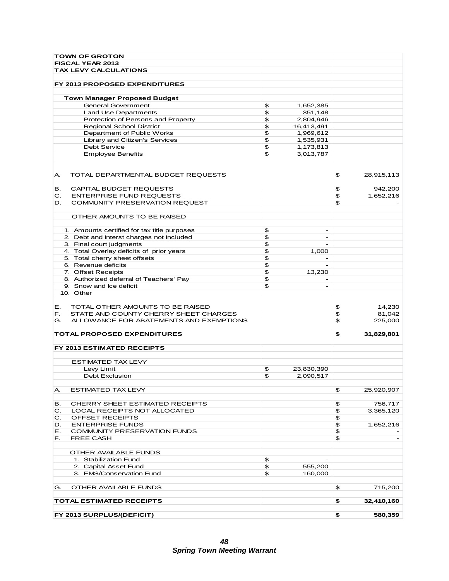| <b>TOWN OF GROTON</b>                         |    |                          |                  |
|-----------------------------------------------|----|--------------------------|------------------|
| FISCAL YEAR 2013                              |    |                          |                  |
| <b>TAX LEVY CALCULATIONS</b>                  |    |                          |                  |
|                                               |    |                          |                  |
| FY 2013 PROPOSED EXPENDITURES                 |    |                          |                  |
|                                               |    |                          |                  |
| <b>Town Manager Proposed Budget</b>           |    |                          |                  |
| <b>General Government</b>                     |    |                          |                  |
|                                               | \$ | 1,652,385                |                  |
| Land Use Departments                          | \$ | 351,148                  |                  |
| Protection of Persons and Property            | \$ | 2,804,946                |                  |
| <b>Regional School District</b>               | \$ | 16,413,491               |                  |
| Department of Public Works                    | \$ | 1,969,612                |                  |
| Library and Citizen's Services                | \$ | 1,535,931                |                  |
| <b>Debt Service</b>                           | \$ | 1,173,813                |                  |
| <b>Employee Benefits</b>                      | \$ | 3,013,787                |                  |
|                                               |    |                          |                  |
|                                               |    |                          |                  |
| TOTAL DEPARTMENTAL BUDGET REQUESTS<br>А.      |    |                          | \$<br>28,915,113 |
|                                               |    |                          |                  |
| CAPITAL BUDGET REQUESTS<br>в.                 |    |                          | \$<br>942,200    |
| <b>ENTERPRISE FUND REQUESTS</b><br>С.         |    |                          | \$<br>1,652,216  |
| COMMUNITY PRESERVATION REQUEST<br>D.          |    |                          | \$               |
|                                               |    |                          |                  |
| OTHER AMOUNTS TO BE RAISED                    |    |                          |                  |
|                                               |    |                          |                  |
| 1. Amounts certified for tax title purposes   | \$ | $\overline{a}$           |                  |
| 2. Debt and interst charges not included      | \$ | $\blacksquare$           |                  |
| 3. Final court judgments                      | \$ |                          |                  |
| 4. Total Overlay deficits of prior years      | \$ | 1,000                    |                  |
| 5. Total cherry sheet offsets                 | \$ |                          |                  |
| 6. Revenue deficits                           | \$ | $\overline{a}$           |                  |
| 7. Offset Receipts                            | \$ | 13,230                   |                  |
| 8. Authorized deferral of Teachers' Pay       | \$ |                          |                  |
| 9. Snow and Ice deficit                       | \$ | $\overline{\phantom{0}}$ |                  |
| 10. Other                                     |    |                          |                  |
|                                               |    |                          |                  |
| TOTAL OTHER AMOUNTS TO BE RAISED<br>Е.        |    |                          | \$<br>14,230     |
| STATE AND COUNTY CHERRY SHEET CHARGES<br>F.   |    |                          | \$<br>81,042     |
| ALLOWANCE FOR ABATEMENTS AND EXEMPTIONS<br>G. |    |                          | \$<br>225,000    |
|                                               |    |                          |                  |
| <b>TOTAL PROPOSED EXPENDITURES</b>            |    |                          | \$<br>31,829,801 |
|                                               |    |                          |                  |
| FY 2013 ESTIMATED RECEIPTS                    |    |                          |                  |
|                                               |    |                          |                  |
| <b>ESTIMATED TAX LEVY</b>                     |    |                          |                  |
| Levy Limit                                    | \$ | 23,830,390               |                  |
| <b>Debt Exclusion</b>                         | \$ | 2,090,517                |                  |
|                                               |    |                          |                  |
| ESTIMATED TAX LEVY<br>А.                      |    |                          | \$<br>25,920,907 |
|                                               |    |                          |                  |
| CHERRY SHEET ESTIMATED RECEIPTS<br>в.         |    |                          | \$<br>756,717    |
| C.<br>LOCAL RECEIPTS NOT ALLOCATED            |    |                          | \$<br>3,365,120  |
| OFFSET RECEIPTS<br>С.                         |    |                          | \$               |
| <b>ENTERPRISE FUNDS</b><br>D.                 |    |                          | \$<br>1,652,216  |
| COMMUNITY PRESERVATION FUNDS<br>Е.            |    |                          | \$               |
| <b>FREE CASH</b><br>F.                        |    |                          | \$               |
|                                               |    |                          |                  |
| OTHER AVAILABLE FUNDS                         |    |                          |                  |
| 1. Stabilization Fund                         | \$ |                          |                  |
| 2. Capital Asset Fund                         | \$ | 555,200                  |                  |
| 3. EMS/Conservation Fund                      | \$ | 160,000                  |                  |
|                                               |    |                          |                  |
| OTHER AVAILABLE FUNDS<br>G.                   |    |                          | \$<br>715,200    |
|                                               |    |                          |                  |
| <b>TOTAL ESTIMATED RECEIPTS</b>               |    |                          | \$<br>32,410,160 |
|                                               |    |                          |                  |
| FY 2013 SURPLUS/(DEFICIT)                     |    |                          | \$<br>580,359    |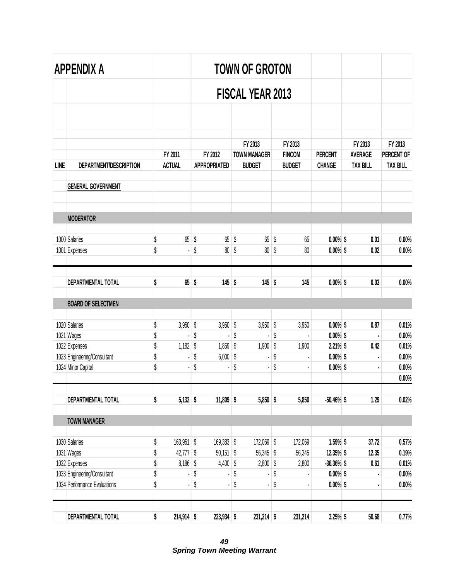|             | APPENDIX A                     |          |               |                                | <b>TOWN OF GROTON</b>          |            |                          |                            |                           |                       |
|-------------|--------------------------------|----------|---------------|--------------------------------|--------------------------------|------------|--------------------------|----------------------------|---------------------------|-----------------------|
|             |                                |          |               |                                | <b>FISCAL YEAR 2013</b>        |            |                          |                            |                           |                       |
|             |                                |          |               |                                |                                |            |                          |                            |                           |                       |
|             |                                |          | FY 2011       | FY 2012                        | FY 2013<br><b>TOWN MANAGER</b> |            | FY 2013<br><b>FINCOM</b> | <b>PERCENT</b>             | FY 2013<br><b>AVERAGE</b> | FY 2013<br>PERCENT OF |
| <b>LINE</b> | DEPARTMENT/DESCRIPTION         |          | <b>ACTUAL</b> | <b>APPROPRIATED</b>            | <b>BUDGET</b>                  |            | <b>BUDGET</b>            | <b>CHANGE</b>              | <b>TAX BILL</b>           | <b>TAX BILL</b>       |
|             | <b>GENERAL GOVERNMENT</b>      |          |               |                                |                                |            |                          |                            |                           |                       |
|             | <b>MODERATOR</b>               |          |               |                                |                                |            |                          |                            |                           |                       |
|             |                                |          |               |                                |                                |            |                          |                            |                           |                       |
|             | 1000 Salaries<br>1001 Expenses | \$<br>\$ | $65$ \$       | \$<br>$65$ \$<br>$80\,$        | \$<br>$65$ \$<br>$80$ \$       |            | 65<br>80                 | $0.00\%$ \$<br>$0.00\%$ \$ | 0.01<br>0.02              | 0.00%<br>0.00%        |
|             | DEPARTMENTAL TOTAL             | \$       | $65$ \$       | $145$ \$                       | $145$ \$                       |            | 145                      | $0.00\%$ \$                | 0.03                      | 0.00%                 |
|             | <b>BOARD OF SELECTMEN</b>      |          |               |                                |                                |            |                          |                            |                           |                       |
|             | 1020 Salaries                  | \$       | $3,950$ \$    | $3,950$ \$                     | $3,950$ \$                     |            | 3,950                    | $0.00\%$ \$                | 0.87                      | 0.01%                 |
|             | 1021 Wages                     | \$       |               | \$                             | \$                             | \$         |                          | $0.00\%$ \$                | ł,                        | 0.00%                 |
|             | 1022 Expenses                  | \$       | $1,182$ \$    | $1,859$ \$                     | 1,900                          | $\sqrt{2}$ | 1,900                    | $2.21\%$ \$                | 0.42                      | 0.01%                 |
|             | 1023 Engineering/Consultant    | \$       |               | \$<br>$6,000$ \$               |                                | \$         |                          | $0.00\%$ \$                |                           | 0.00%                 |
|             | 1024 Minor Capital             | \$       |               | \$                             | \$                             | \$         |                          | $0.00\%$ \$                |                           | 0.00%<br>0.00%        |
|             | DEPARTMENTAL TOTAL             | \$       | $5,132$ \$    | $11,809$ \$                    | $5,850$ \$                     |            | 5,850                    | $-50.46\%$ \$              | 1.29                      | 0.02%                 |
|             | <b>TOWN MANAGER</b>            |          |               |                                |                                |            |                          |                            |                           |                       |
|             | 1030 Salaries                  | \$       | $163,951$ \$  | 169,383 \$                     | 172,069 \$                     |            | 172,069                  | 1.59% \$                   | 37.72                     | 0.57%                 |
|             | 1031 Wages                     | \$       | $42,777$ \$   | $50,151$ \$                    | $56,345$ \$                    |            | 56,345                   | 12.35% \$                  | 12.35                     | 0.19%                 |
|             | 1032 Expenses                  | \$       | $8,186$ \$    | $4,400$ \$                     | $2,800$ \$                     |            | 2,800                    | $-36.36\%$ \$              | 0.61                      | 0.01%                 |
|             | 1033 Engineering/Consultant    | \$       |               | \$                             | \$                             | \$         |                          | $0.00\%$ \$                |                           | 0.00%                 |
|             | 1034 Performance Evaluations   | \$       |               | \$<br>$\overline{\phantom{a}}$ | \$                             | \$         |                          | $0.00\%$ \$                |                           | 0.00%                 |
|             | DEPARTMENTAL TOTAL             | \$       | $214,914$ \$  | 223,934 \$                     | $231,214$ \$                   |            | 231,214                  | $3.25%$ \$                 | 50.68                     | 0.77%                 |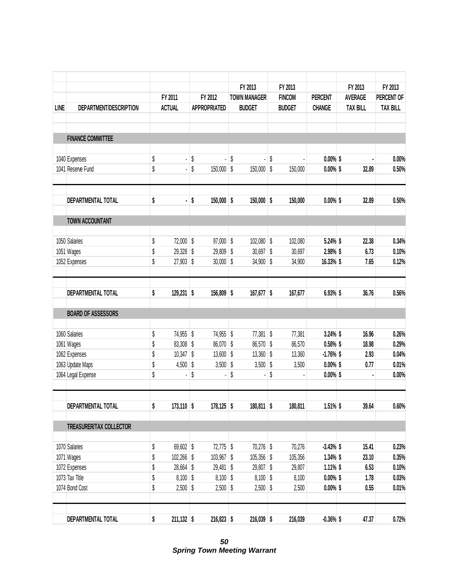|             |                           |                    |                      |                     | FY 2013             | FY 2013       |                | FY 2013         | FY 2013         |
|-------------|---------------------------|--------------------|----------------------|---------------------|---------------------|---------------|----------------|-----------------|-----------------|
|             |                           | FY 2011            |                      | FY 2012             | <b>TOWN MANAGER</b> | <b>FINCOM</b> | <b>PERCENT</b> | <b>AVERAGE</b>  | PERCENT OF      |
| <b>LINE</b> | DEPARTMENT/DESCRIPTION    | <b>ACTUAL</b>      |                      | <b>APPROPRIATED</b> | <b>BUDGET</b>       | <b>BUDGET</b> | <b>CHANGE</b>  | <b>TAX BILL</b> | <b>TAX BILL</b> |
|             | <b>FINANCE COMMITTEE</b>  |                    |                      |                     |                     |               |                |                 |                 |
|             | 1040 Expenses             | \$                 | \$<br>$\blacksquare$ | l,                  | \$                  | \$            | $0.00\%$ \$    |                 | 0.00%           |
|             | 1041 Reserve Fund         | \$                 | \$<br>$\blacksquare$ | $150,000$ \$        | $150,000$ \$        | 150,000       | $0.00\%$ \$    | 32.89           | 0.50%           |
|             | DEPARTMENTAL TOTAL        | \$                 | \$<br>$\blacksquare$ | $150,000$ \$        | $150,000$ \$        | 150,000       | $0.00\%$ \$    | 32.89           | 0.50%           |
|             | <b>TOWN ACCOUNTANT</b>    |                    |                      |                     |                     |               |                |                 |                 |
|             | 1050 Salaries             | \$<br>72,000 \$    |                      | 97,000 \$           | $102,080$ \$        | 102,080       | 5.24% \$       | 22.38           | 0.34%           |
|             | 1051 Wages                | \$<br>29,328 \$    |                      | $29,809$ \$         | $30,697$ \$         | 30,697        | 2.98% \$       | 6.73            | 0.10%           |
|             | 1052 Expenses             | \$<br>$27,903$ \$  |                      | $30,000$ \$         | $34,900$ \$         | 34,900        | 16.33% \$      | 7.65            | 0.12%           |
|             | DEPARTMENTAL TOTAL        | \$<br>$129,231$ \$ |                      | 156,809 \$          | 167,677 \$          | 167,677       | 6.93% \$       | 36.76           | 0.56%           |
|             | <b>BOARD OF ASSESSORS</b> |                    |                      |                     |                     |               |                |                 |                 |
|             | 1060 Salaries             | \$<br>74,955 \$    |                      | 74,955 \$           | 77,381 \$           | 77,381        | $3.24\%$ \$    | 16.96           | 0.26%           |
|             | 1061 Wages                | \$<br>83,308 \$    |                      | 86,070 \$           | 86,570 \$           | 86,570        | $0.58\%$ \$    | 18.98           | 0.29%           |
|             | 1062 Expenses             | \$<br>$10,347$ \$  |                      | $13,600$ \$         | $13,360$ \$         | 13,360        | $-1.76%$ \$    | 2.93            | 0.04%           |
|             | 1063 Update Maps          | \$<br>$4,500$ \$   |                      | $3,500$ \$          | $3,500$ \$          | 3,500         | $0.00\%$ \$    | 0.77            | 0.01%           |
|             | 1064 Legal Expense        | \$                 | \$                   |                     | \$                  | \$            | $0.00\%$ \$    |                 | 0.00%           |
|             | DEPARTMENTAL TOTAL        | \$<br>$173,110$ \$ |                      | $178,125$ \$        | $180,811$ \$        | 180,811       | $1.51\%$ \$    | 39.64           | 0.60%           |
|             | TREASURER/TAX COLLECTOR   |                    |                      |                     |                     |               |                |                 |                 |
|             | 1070 Salaries             | \$<br>69,602 \$    |                      | $72,775$ \$         | 70,276 \$           | 70,276        | $-3.43%$ \$    | 15.41           | 0.23%           |
|             | 1071 Wages                | \$<br>$102,266$ \$ |                      | 103,967 \$          | $105,356$ \$        | 105,356       | $1.34\%$ \$    | 23.10           | 0.35%           |
|             | 1072 Expenses             | \$<br>28,664 \$    |                      | $29,481$ \$         | 29,807 \$           | 29,807        | $1.11\%$ \$    | 6.53            | 0.10%           |
|             | 1073 Tax Title            | \$<br>$8,100$ \$   |                      | $8,100$ \$          | $8,100$ \$          | 8,100         | $0.00\%$ \$    | 1.78            | 0.03%           |
|             | 1074 Bond Cost            | \$<br>$2,500$ \$   |                      | $2,500$ \$          | $2,500$ \$          | 2,500         | $0.00\%$ \$    | 0.55            | 0.01%           |
|             | DEPARTMENTAL TOTAL        | \$<br>$211,132$ \$ |                      | $216,823$ \$        | $216,039$ \$        | 216,039       | $-0.36\%$ \$   | 47.37           | 0.72%           |

*50 Spring Town Meeting Warrant*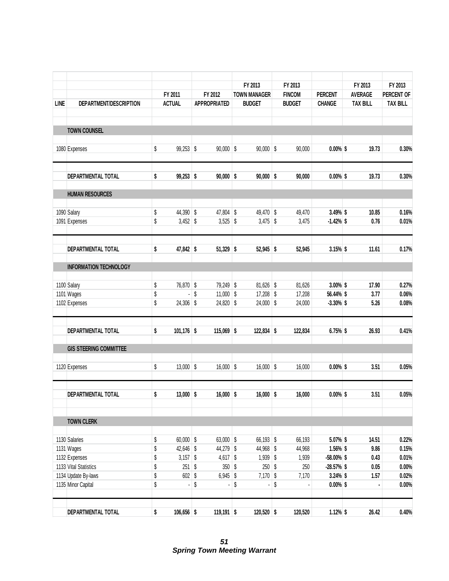|             |                               |                    |                      |               | FY 2013                  |               | FY 2013       |                | FY 2013         | FY 2013         |
|-------------|-------------------------------|--------------------|----------------------|---------------|--------------------------|---------------|---------------|----------------|-----------------|-----------------|
|             |                               | FY 2011            | FY 2012              |               | <b>TOWN MANAGER</b>      |               | <b>FINCOM</b> | <b>PERCENT</b> | <b>AVERAGE</b>  | PERCENT OF      |
| <b>LINE</b> | DEPARTMENT/DESCRIPTION        | <b>ACTUAL</b>      | <b>APPROPRIATED</b>  |               | <b>BUDGET</b>            |               | <b>BUDGET</b> | <b>CHANGE</b>  | <b>TAX BILL</b> | <b>TAX BILL</b> |
|             | <b>TOWN COUNSEL</b>           |                    |                      |               |                          |               |               |                |                 |                 |
|             | 1080 Expenses                 | \$<br>$99,253$ \$  | $90,000$ \$          |               | $90,000$ \$              |               | 90,000        | $0.00\%$ \$    | 19.73           | 0.30%           |
|             | DEPARTMENTAL TOTAL            | \$<br>$99,253$ \$  | $90,000$ \$          |               | $90,000$ \$              |               | 90,000        | $0.00\%$ \$    | 19.73           | 0.30%           |
|             | <b>HUMAN RESOURCES</b>        |                    |                      |               |                          |               |               |                |                 |                 |
|             | 1090 Salary                   | \$<br>44,390 \$    | 47,804 \$            |               | 49,470 \$                |               | 49,470        | 3.49% \$       | 10.85           | 0.16%           |
|             | 1091 Expenses                 | \$<br>$3,452$ \$   | $3,525$ \$           |               | $3,475$ \$               |               | 3,475         | $-1.42%$ \$    | 0.76            | 0.01%           |
|             | <b>DEPARTMENTAL TOTAL</b>     | \$<br>47,842 \$    | $51,329$ \$          |               | 52,945 \$                |               | 52,945        | $3.15%$ \$     | 11.61           | 0.17%           |
|             | <b>INFORMATION TECHNOLOGY</b> |                    |                      |               |                          |               |               |                |                 |                 |
|             | 1100 Salary                   | \$<br>76,870 \$    | 79,249 \$            |               | $81,626$ \$              |               | 81,626        | 3.00% \$       | 17.90           | 0.27%           |
|             | 1101 Wages                    | \$                 | \$<br>$11,000$ \$    |               | $17,208$ \$              |               | 17,208        | 56.44% \$      | 3.77            | 0.06%           |
|             | 1102 Expenses                 | \$<br>$24,306$ \$  | 24,820 \$            |               | $24,000$ \$              |               | 24,000        | $-3.30\%$ \$   | 5.26            | 0.08%           |
|             | DEPARTMENTAL TOTAL            | \$<br>$101,176$ \$ | $115,069$ \$         |               | $122,834$ \$             |               | 122,834       | 6.75% \$       | 26.93           | 0.41%           |
|             | <b>GIS STEERING COMMITTEE</b> |                    |                      |               |                          |               |               |                |                 |                 |
|             | 1120 Expenses                 | \$<br>$13,000$ \$  | $16,000$ \$          |               | $16,000$ \$              |               | 16,000        | $0.00\%$ \$    | 3.51            | 0.05%           |
|             | DEPARTMENTAL TOTAL            | \$<br>$13,000$ \$  | $16,000$ \$          |               | $16,000$ \$              |               | 16,000        | $0.00\%$ \$    | 3.51            | 0.05%           |
|             | <b>TOWN CLERK</b>             |                    |                      |               |                          |               |               |                |                 |                 |
|             | 1130 Salaries                 | \$<br>$60,000$ \$  | $63,000$ \$          |               | 66,193 \$                |               | 66,193        | 5.07% \$       | 14.51           | 0.22%           |
|             | 1131 Wages                    | \$<br>42,646 \$    | 44,279 \$            |               | 44,968 \$                |               | 44,968        | 1.56% \$       | 9.86            | 0.15%           |
|             | 1132 Expenses                 | \$<br>$3,157$ \$   | 4,617 $$$            |               | $1,939$ \$               |               | 1,939         | $-58.00\%$ \$  | 0.43            | 0.01%           |
|             | 1133 Vital Statistics         | \$<br>$251$ \$     | $350$ \$             |               | $250$ \$                 |               | 250           | $-28.57\%$ \$  | 0.05            | $0.00\%$        |
|             | 1134 Update By-laws           | \$<br>$602$ \$     | $6,945$ \$           |               | $7,170$ \$               |               | 7,170         | $3.24\%$ \$    | 1.57            | 0.02%           |
|             | 1135 Minor Capital            | \$                 | \$<br>$\blacksquare$ | $\sqrt[6]{3}$ | $\overline{\phantom{0}}$ | $\sqrt[6]{3}$ |               | $0.00\%$ \$    |                 | $0.00\%$        |
|             | DEPARTMENTAL TOTAL            | \$<br>$106,656$ \$ | $119,191$ \$         |               | $120,520$ \$             |               | 120,520       | $1.12%$ \$     | 26.42           | 0.40%           |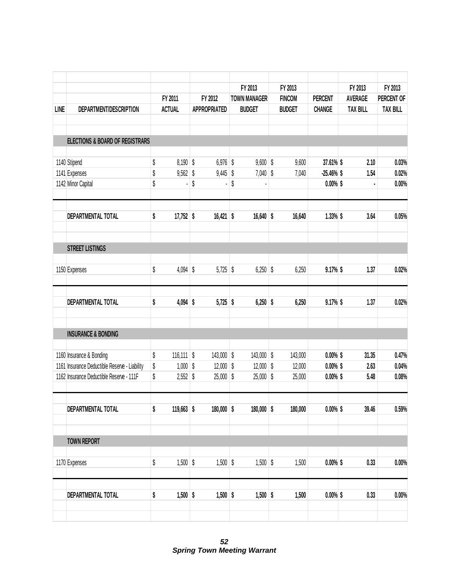|             |                                               |                    |                     | FY 2013             | FY 2013       |                | FY 2013         | FY 2013         |
|-------------|-----------------------------------------------|--------------------|---------------------|---------------------|---------------|----------------|-----------------|-----------------|
|             |                                               | FY 2011            | FY 2012             | <b>TOWN MANAGER</b> | <b>FINCOM</b> | <b>PERCENT</b> | <b>AVERAGE</b>  | PERCENT OF      |
| <b>LINE</b> | DEPARTMENT/DESCRIPTION                        | <b>ACTUAL</b>      | <b>APPROPRIATED</b> | <b>BUDGET</b>       | <b>BUDGET</b> | <b>CHANGE</b>  | <b>TAX BILL</b> | <b>TAX BILL</b> |
|             | <b>ELECTIONS &amp; BOARD OF REGISTRARS</b>    |                    |                     |                     |               |                |                 |                 |
|             | 1140 Stipend                                  | \$<br>$8,190$ \$   | $6,976$ \$          | 9,600               | \$<br>9,600   | 37.61% \$      | 2.10            | 0.03%           |
|             | 1141 Expenses                                 | \$<br>9,562        | \$<br>9,445         | \$<br>7,040         | \$<br>7,040   | $-25.46\%$ \$  | 1.54            | 0.02%           |
|             | 1142 Minor Capital                            | \$                 | \$                  | \$                  |               | $0.00\%$ \$    |                 | 0.00%           |
|             | DEPARTMENTAL TOTAL                            | \$<br>$17,752$ \$  | $16,421$ \$         | 16,640              | \$<br>16,640  | $1.33\%$ \$    | 3.64            | 0.05%           |
|             | <b>STREET LISTINGS</b>                        |                    |                     |                     |               |                |                 |                 |
|             | 1150 Expenses                                 | \$<br>$4,094$ \$   | $5,725$ \$          | $6,250$ \$          | 6,250         | $9.17\%$ \$    | 1.37            | 0.02%           |
|             | DEPARTMENTAL TOTAL                            | \$<br>$4,094$ \$   | $5,725$ \$          | $6,250$ \$          | 6,250         | $9.17%$ \$     | 1.37            | 0.02%           |
|             | <b>INSURANCE &amp; BONDING</b>                |                    |                     |                     |               |                |                 |                 |
|             | 1160 Insurance & Bonding                      | \$<br>$116,111$ \$ | $143,000$ \$        | 143,000             | \$<br>143,000 | $0.00\%$ \$    | 31.35           | 0.47%           |
|             | 1161 Insurance Deductible Reserve - Liability | \$<br>$1,000$ \$   | $12,000$ \$         | 12,000              | \$<br>12,000  | $0.00\%$ \$    | 2.63            | 0.04%           |
|             | 1162 Insurance Deductible Reserve - 111F      | \$<br>$2,552$ \$   | $25,000$ \$         | 25,000              | \$<br>25,000  | $0.00\%$ \$    | 5.48            | 0.08%           |
|             | DEPARTMENTAL TOTAL                            | \$<br>$119,663$ \$ | 180,000 \$          | 180,000 \$          | 180,000       | $0.00\%$ \$    | 39.46           | 0.59%           |
|             |                                               |                    |                     |                     |               |                |                 |                 |
|             | <b>TOWN REPORT</b>                            |                    |                     |                     |               |                |                 |                 |
|             | 1170 Expenses                                 | \$<br>$1,500$ \$   | $1,500$ \$          | $1,500$ \$          | 1,500         | $0.00\%$ \$    | 0.33            | 0.00%           |
|             | DEPARTMENTAL TOTAL                            | \$<br>$1,500$ \$   | $1,500$ \$          | $1,500$ \$          | 1,500         | $0.00\%$ \$    | 0.33            | 0.00%           |
|             |                                               |                    |                     |                     |               |                |                 |                 |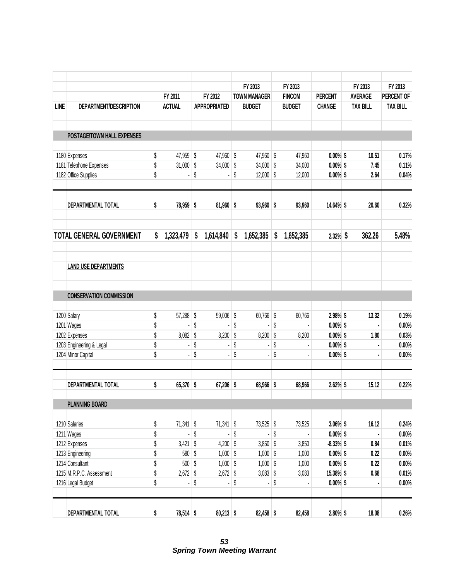|             |                                 |                   |                     | FY 2013             | FY 2013         |                | FY 2013         | FY 2013         |
|-------------|---------------------------------|-------------------|---------------------|---------------------|-----------------|----------------|-----------------|-----------------|
|             |                                 | FY 2011           | FY 2012             | <b>TOWN MANAGER</b> | <b>FINCOM</b>   | <b>PERCENT</b> | <b>AVERAGE</b>  | PERCENT OF      |
| <b>LINE</b> | DEPARTMENT/DESCRIPTION          | <b>ACTUAL</b>     | <b>APPROPRIATED</b> | <b>BUDGET</b>       | <b>BUDGET</b>   | <b>CHANGE</b>  | <b>TAX BILL</b> | <b>TAX BILL</b> |
|             | POSTAGE/TOWN HALL EXPENSES      |                   |                     |                     |                 |                |                 |                 |
|             | 1180 Expenses                   | \$<br>47,959 \$   | 47,960 \$           | 47,960 \$           | 47,960          | $0.00\%$ \$    | 10.51           | 0.17%           |
|             | 1181 Telephone Expenses         | \$<br>$31,000$ \$ | $34,000$ \$         | $34,000$ \$         | 34,000          | $0.00\%$ \$    | 7.45            | 0.11%           |
|             | 1182 Office Supplies            | \$                | \$                  | \$<br>$12,000$ \$   | 12,000          | $0.00\%$ \$    | 2.64            | 0.04%           |
|             | DEPARTMENTAL TOTAL              | \$<br>78,959 \$   | $81,960$ \$         | $93,960$ \$         | 93,960          | 14.64% \$      | 20.60           | 0.32%           |
|             | <b>TOTAL GENERAL GOVERNMENT</b> | \$<br>1,323,479   | \$<br>1,614,840     | \$<br>1,652,385     | \$<br>1,652,385 | $2.32\%$ \$    | 362.26          | 5.48%           |
|             | <b>LAND USE DEPARTMENTS</b>     |                   |                     |                     |                 |                |                 |                 |
|             | <b>CONSERVATION COMMISSION</b>  |                   |                     |                     |                 |                |                 |                 |
|             | 1200 Salary                     | \$<br>57,288 \$   | 59,006 \$           | $60,766$ \$         | 60,766          | 2.98% \$       | 13.32           | 0.19%           |
|             | 1201 Wages                      | \$                | \$<br>ä,            | \$<br>ä,            | \$              | $0.00\%$ \$    | Ĭ.              | 0.00%           |
|             | 1202 Expenses                   | \$<br>$8,082$ \$  | $8,200$ \$          | $8,200$ \$          | 8,200           | $0.00\%$ \$    | 1.80            | 0.03%           |
|             | 1203 Engineering & Legal        | \$<br>٠           | \$                  | \$                  | \$              | $0.00\%$ \$    |                 | 0.00%           |
|             | 1204 Minor Capital              | \$                | \$<br>ä,            | \$                  | \$              | $0.00\%$ \$    |                 | 0.00%           |
|             | DEPARTMENTAL TOTAL              | \$<br>65,370 \$   | 67,206 \$           | 68,966 \$           | 68,966          | 2.62% \$       | 15.12           | 0.22%           |
|             | <b>PLANNING BOARD</b>           |                   |                     |                     |                 |                |                 |                 |
|             | 1210 Salaries                   | \$<br>$71,341$ \$ | $71,341$ \$         | 73,525 \$           | 73,525          | $3.06\%$ \$    | 16.12           | 0.24%           |
|             | 1211 Wages                      | \$                | \$<br>k,            | \$                  | \$              | $0.00\%$ \$    |                 | $0.00\%$        |
|             | 1212 Expenses                   | \$<br>$3,421$ \$  | $4,200$ \$          | $3,850$ \$          | 3,850           | $-8.33\%$ \$   | 0.84            | 0.01%           |
|             | 1213 Engineering                | \$<br>580 \$      | $1,000$ \$          | $1,000$ \$          | 1,000           | $0.00\%$ \$    | 0.22            | $0.00\%$        |
|             | 1214 Consultant                 | \$<br>$500$ \$    | $1,000$ \$          | $1,000$ \$          | 1,000           | $0.00\%$ \$    | 0.22            | $0.00\%$        |
|             | 1215 M.R.P.C. Assessment        | \$<br>$2,672$ \$  | $2,672$ \$          | $3,083$ \$          | 3,083           | 15.38% \$      | 0.68            | 0.01%           |
|             | 1216 Legal Budget               | \$                | \$<br>ä,            | \$                  | \$              | $0.00\%$ \$    |                 | $0.00\%$        |
|             | DEPARTMENTAL TOTAL              | \$<br>78,514 \$   | $80,213$ \$         | $82,458$ \$         | 82,458          | $2.80\%$ \$    | 18.08           | 0.26%           |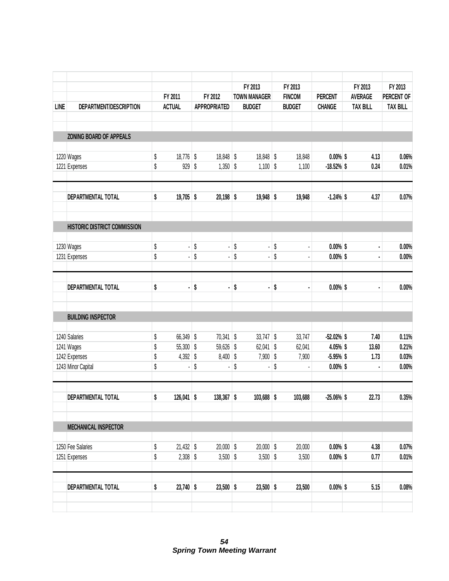|                    |                                                                                                                                                                                                                                                                                                                                                                     |                            |                                |                                                                                                                                                    |                                      |                                                                                                                                     |                                                 |                                                                                                                                                                 |                                                                                   |                                 |                                                                                                                                                                                                    | FY 2013                                                                                                                                      |
|--------------------|---------------------------------------------------------------------------------------------------------------------------------------------------------------------------------------------------------------------------------------------------------------------------------------------------------------------------------------------------------------------|----------------------------|--------------------------------|----------------------------------------------------------------------------------------------------------------------------------------------------|--------------------------------------|-------------------------------------------------------------------------------------------------------------------------------------|-------------------------------------------------|-----------------------------------------------------------------------------------------------------------------------------------------------------------------|-----------------------------------------------------------------------------------|---------------------------------|----------------------------------------------------------------------------------------------------------------------------------------------------------------------------------------------------|----------------------------------------------------------------------------------------------------------------------------------------------|
|                    |                                                                                                                                                                                                                                                                                                                                                                     |                            |                                |                                                                                                                                                    |                                      |                                                                                                                                     |                                                 |                                                                                                                                                                 |                                                                                   |                                 |                                                                                                                                                                                                    | PERCENT OF                                                                                                                                   |
|                    |                                                                                                                                                                                                                                                                                                                                                                     |                            |                                |                                                                                                                                                    |                                      |                                                                                                                                     |                                                 |                                                                                                                                                                 |                                                                                   |                                 |                                                                                                                                                                                                    | <b>TAX BILL</b>                                                                                                                              |
|                    |                                                                                                                                                                                                                                                                                                                                                                     |                            |                                |                                                                                                                                                    |                                      |                                                                                                                                     |                                                 |                                                                                                                                                                 |                                                                                   |                                 |                                                                                                                                                                                                    |                                                                                                                                              |
|                    |                                                                                                                                                                                                                                                                                                                                                                     |                            |                                |                                                                                                                                                    |                                      |                                                                                                                                     |                                                 |                                                                                                                                                                 |                                                                                   |                                 |                                                                                                                                                                                                    | 0.06%                                                                                                                                        |
|                    | \$                                                                                                                                                                                                                                                                                                                                                                  | 929                        |                                |                                                                                                                                                    |                                      |                                                                                                                                     |                                                 | 1,100                                                                                                                                                           |                                                                                   |                                 | 0.24                                                                                                                                                                                               | 0.01%                                                                                                                                        |
|                    | \$                                                                                                                                                                                                                                                                                                                                                                  |                            |                                |                                                                                                                                                    |                                      |                                                                                                                                     |                                                 | 19,948                                                                                                                                                          |                                                                                   |                                 | 4.37                                                                                                                                                                                               | 0.07%                                                                                                                                        |
|                    |                                                                                                                                                                                                                                                                                                                                                                     |                            |                                |                                                                                                                                                    |                                      |                                                                                                                                     |                                                 |                                                                                                                                                                 |                                                                                   |                                 |                                                                                                                                                                                                    |                                                                                                                                              |
|                    |                                                                                                                                                                                                                                                                                                                                                                     |                            |                                |                                                                                                                                                    |                                      |                                                                                                                                     |                                                 |                                                                                                                                                                 |                                                                                   |                                 |                                                                                                                                                                                                    | 0.00%                                                                                                                                        |
|                    | \$                                                                                                                                                                                                                                                                                                                                                                  | $\blacksquare$             | \$                             | l,                                                                                                                                                 | \$                                   | ٠                                                                                                                                   | \$                                              |                                                                                                                                                                 |                                                                                   |                                 | ٠                                                                                                                                                                                                  | 0.00%                                                                                                                                        |
|                    | \$                                                                                                                                                                                                                                                                                                                                                                  | ٠                          | \$                             | ä,                                                                                                                                                 | \$                                   | ٠                                                                                                                                   | \$                                              |                                                                                                                                                                 |                                                                                   |                                 | ٠                                                                                                                                                                                                  | 0.00%                                                                                                                                        |
|                    |                                                                                                                                                                                                                                                                                                                                                                     |                            |                                |                                                                                                                                                    |                                      |                                                                                                                                     |                                                 |                                                                                                                                                                 |                                                                                   |                                 |                                                                                                                                                                                                    |                                                                                                                                              |
|                    |                                                                                                                                                                                                                                                                                                                                                                     |                            |                                |                                                                                                                                                    |                                      |                                                                                                                                     |                                                 |                                                                                                                                                                 |                                                                                   |                                 |                                                                                                                                                                                                    | 0.11%                                                                                                                                        |
|                    |                                                                                                                                                                                                                                                                                                                                                                     |                            |                                |                                                                                                                                                    |                                      |                                                                                                                                     |                                                 |                                                                                                                                                                 |                                                                                   |                                 |                                                                                                                                                                                                    | 0.21%                                                                                                                                        |
|                    | \$                                                                                                                                                                                                                                                                                                                                                                  |                            |                                |                                                                                                                                                    |                                      |                                                                                                                                     |                                                 | 7,900                                                                                                                                                           |                                                                                   |                                 | 1.73                                                                                                                                                                                               | 0.03%                                                                                                                                        |
|                    | \$                                                                                                                                                                                                                                                                                                                                                                  |                            | \$                             | ٠                                                                                                                                                  | \$                                   |                                                                                                                                     | \$                                              |                                                                                                                                                                 |                                                                                   |                                 |                                                                                                                                                                                                    | 0.00%                                                                                                                                        |
| DEPARTMENTAL TOTAL | \$                                                                                                                                                                                                                                                                                                                                                                  |                            |                                |                                                                                                                                                    |                                      |                                                                                                                                     |                                                 | 103,688                                                                                                                                                         |                                                                                   |                                 | 22.73                                                                                                                                                                                              | 0.35%                                                                                                                                        |
|                    |                                                                                                                                                                                                                                                                                                                                                                     |                            |                                |                                                                                                                                                    |                                      |                                                                                                                                     |                                                 |                                                                                                                                                                 |                                                                                   |                                 |                                                                                                                                                                                                    |                                                                                                                                              |
|                    |                                                                                                                                                                                                                                                                                                                                                                     |                            |                                |                                                                                                                                                    |                                      |                                                                                                                                     |                                                 |                                                                                                                                                                 |                                                                                   |                                 |                                                                                                                                                                                                    | 0.07%                                                                                                                                        |
|                    | \$                                                                                                                                                                                                                                                                                                                                                                  |                            |                                |                                                                                                                                                    |                                      |                                                                                                                                     |                                                 | 3,500                                                                                                                                                           |                                                                                   |                                 | 0.77                                                                                                                                                                                               | 0.01%                                                                                                                                        |
| DEPARTMENTAL TOTAL | \$                                                                                                                                                                                                                                                                                                                                                                  |                            |                                |                                                                                                                                                    |                                      |                                                                                                                                     |                                                 |                                                                                                                                                                 |                                                                                   |                                 |                                                                                                                                                                                                    | 0.08%                                                                                                                                        |
|                    | DEPARTMENT/DESCRIPTION<br>ZONING BOARD OF APPEALS<br>1220 Wages<br>1221 Expenses<br>DEPARTMENTAL TOTAL<br>HISTORIC DISTRICT COMMISSION<br>1230 Wages<br>1231 Expenses<br>DEPARTMENTAL TOTAL<br><b>BUILDING INSPECTOR</b><br>1240 Salaries<br>1241 Wages<br>1242 Expenses<br>1243 Minor Capital<br><b>MECHANICAL INSPECTOR</b><br>1250 Fee Salaries<br>1251 Expenses | \$<br>\$<br>\$<br>\$<br>\$ | FY 2011<br><b>ACTUAL</b><br>¥, | $18,776$ \$<br>$\sqrt{3}$<br>$19,705$ \$<br>\$<br>66,349 \$<br>$55,300$ \$<br>$4,392$ \$<br>$126,041$ \$<br>$21,432$ \$<br>$2,308$ \$<br>23,740 \$ | FY 2012<br><b>APPROPRIATED</b><br>ä, | 18,848 \$<br>$1,350$ \$<br>$20,198$ \$<br>\$<br>$70,341$ \$<br>59,626 \$<br>$8,400$ \$<br>$138,367$ \$<br>$20,000$ \$<br>$3,500$ \$ | FY 2013<br><b>TOWN MANAGER</b><br><b>BUDGET</b> | 18,848 \$<br>$1,100$ \$<br>19,948 \$<br>\$<br>$\overline{\phantom{0}}$<br>$33,747$ \$<br>$62,041$ \$<br>$7,900$ \$<br>$103,688$ \$<br>$20,000$ \$<br>$3,500$ \$ | FY 2013<br><b>FINCOM</b><br><b>BUDGET</b><br>18,848<br>33,747<br>62,041<br>20,000 | <b>PERCENT</b><br><b>CHANGE</b> | $0.00\%$ \$<br>$-18.52\%$ \$<br>$-1.24\%$ \$<br>$0.00\%$ \$<br>$0.00\%$ \$<br>$0.00\%$ \$<br>$-52.02%$ \$<br>4.05% \$<br>$-5.95%$ \$<br>$0.00\%$ \$<br>$-25.06\%$ \$<br>$0.00\%$ \$<br>$0.00\%$ \$ | FY 2013<br><b>AVERAGE</b><br><b>TAX BILL</b><br>4.13<br>7.40<br>13.60<br>4.38<br>$23,500$ \$<br>$23,500$ \$<br>23,500<br>$0.00\%$ \$<br>5.15 |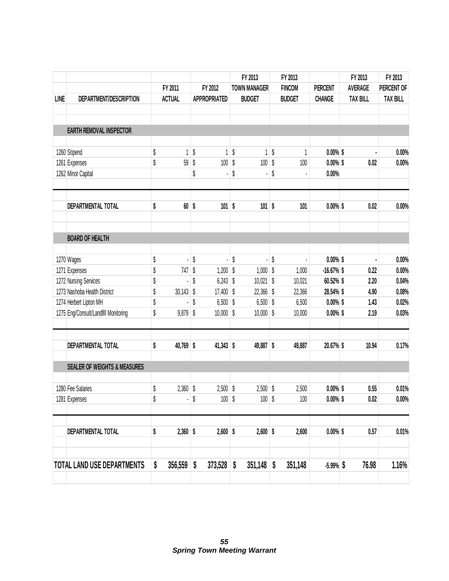|             |                                         |                    |                           |                     | FY 2013             | FY 2013       |                | FY 2013         | FY 2013         |
|-------------|-----------------------------------------|--------------------|---------------------------|---------------------|---------------------|---------------|----------------|-----------------|-----------------|
|             |                                         | FY 2011            |                           | FY 2012             | <b>TOWN MANAGER</b> | <b>FINCOM</b> | <b>PERCENT</b> | <b>AVERAGE</b>  | PERCENT OF      |
| <b>LINE</b> | DEPARTMENT/DESCRIPTION                  | <b>ACTUAL</b>      |                           | <b>APPROPRIATED</b> | <b>BUDGET</b>       | <b>BUDGET</b> | <b>CHANGE</b>  | <b>TAX BILL</b> | <b>TAX BILL</b> |
|             | <b>EARTH REMOVAL INSPECTOR</b>          |                    |                           |                     |                     |               |                |                 |                 |
|             | 1260 Stipend                            | \$<br>1            | \$                        | 1                   | \$<br>1             | \$<br>1       | $0.00\%$ \$    |                 | 0.00%           |
|             | 1261 Expenses                           | \$<br>59           | \$                        | 100                 | \$<br>100           | \$<br>100     | $0.00\%$ \$    | 0.02            | 0.00%           |
|             | 1262 Minor Capital                      |                    | \$                        |                     | \$                  | \$            | 0.00%          |                 |                 |
|             | DEPARTMENTAL TOTAL                      | \$<br>$60$ \$      |                           | $101$ \$            | 101                 | \$<br>101     | $0.00\%$ \$    | 0.02            | 0.00%           |
|             | <b>BOARD OF HEALTH</b>                  |                    |                           |                     |                     |               |                |                 |                 |
|             | 1270 Wages                              | \$                 | \$                        |                     | \$                  | \$            | $0.00\%$ \$    |                 | 0.00%           |
|             | 1271 Expenses                           | \$<br>747          | \$                        | $1,200$ \$          | 1,000               | \$<br>1,000   | $-16.67%$ \$   | 0.22            | 0.00%           |
|             | 1272 Nursing Services                   | \$                 | \$                        | $6,243$ \$          | 10,021              | \$<br>10,021  | 60.52% \$      | 2.20            | 0.04%           |
|             | 1273 Nashoba Health District            | \$<br>$30,143$ \$  |                           | $17,400$ \$         | $22,366$ \$         | 22,366        | 28.54% \$      | 4.90            | 0.08%           |
|             | 1274 Herbert Lipton MH                  | \$                 | $\boldsymbol{\mathsf{S}}$ | $6,500$ \$          | $6,500$ \$          | 6,500         | $0.00\%$ \$    | 1.43            | 0.02%           |
|             | 1275 Eng/Consult/Landfill Monitoring    | \$<br>$9,879$ \$   |                           | $10,000$ \$         | $10,000$ \$         | 10,000        | $0.00\%$ \$    | 2.19            | 0.03%           |
|             | DEPARTMENTAL TOTAL                      | \$<br>40,769 \$    |                           | $41,343$ \$         | 49,887 \$           | 49,887        | 20.67% \$      | 10.94           | 0.17%           |
|             | <b>SEALER OF WEIGHTS &amp; MEASURES</b> |                    |                           |                     |                     |               |                |                 |                 |
|             | 1280 Fee Salaries                       | \$<br>2,360        | \$                        | $2,500$ \$          | $2,500$ \$          | 2,500         | $0.00\%$ \$    | 0.55            | 0.01%           |
|             | 1281 Expenses                           | \$                 | \$                        | $100$ \$            | $100$ \$            | $100\,$       | $0.00\%$ \$    | $0.02\,$        | $0.00\%$        |
|             | DEPARTMENTAL TOTAL                      | \$<br>$2,360$ \$   |                           | $2,600$ \$          | $2,600$ \$          | 2,600         | $0.00\%$ \$    | 0.57            | 0.01%           |
|             |                                         |                    |                           |                     |                     |               |                |                 |                 |
|             | TOTAL LAND USE DEPARTMENTS              | \$<br>$356,559$ \$ |                           | $373,528$ \$        | $351,148$ \$        | 351,148       | $-5.99%$ \$    | 76.98           | 1.16%           |
|             |                                         |                    |                           |                     |                     |               |                |                 |                 |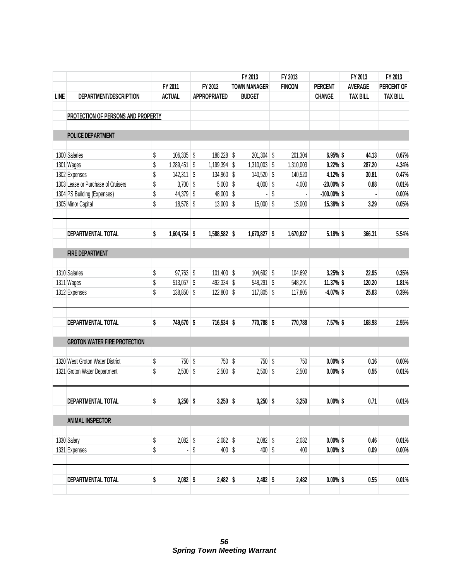|             |                                     |          |               |                     | FY 2013             | FY 2013       |                            | FY 2013         | FY 2013         |
|-------------|-------------------------------------|----------|---------------|---------------------|---------------------|---------------|----------------------------|-----------------|-----------------|
|             |                                     |          | FY 2011       | FY 2012             | <b>TOWN MANAGER</b> | <b>FINCOM</b> | <b>PERCENT</b>             | <b>AVERAGE</b>  | PERCENT OF      |
| <b>LINE</b> | DEPARTMENT/DESCRIPTION              |          | <b>ACTUAL</b> | <b>APPROPRIATED</b> | <b>BUDGET</b>       |               | <b>CHANGE</b>              | <b>TAX BILL</b> | <b>TAX BILL</b> |
|             |                                     |          |               |                     |                     |               |                            |                 |                 |
|             | PROTECTION OF PERSONS AND PROPERTY  |          |               |                     |                     |               |                            |                 |                 |
|             | <b>POLICE DEPARTMENT</b>            |          |               |                     |                     |               |                            |                 |                 |
|             | 1300 Salaries                       | \$       | $106,335$ \$  | 188,228 \$          | $201,304$ \$        | 201,304       | 6.95% \$                   | 44.13           | 0.67%           |
|             | 1301 Wages                          | \$       | 1,289,451 \$  | 1,199,394 \$        | $1,310,003$ \$      | 1,310,003     | $9.22\%$ \$                | 287.20          | 4.34%           |
|             | 1302 Expenses                       | \$       | $142,311$ \$  | 134,960 \$          | 140,520             | \$<br>140,520 | 4.12% \$                   | 30.81           | 0.47%           |
|             | 1303 Lease or Purchase of Cruisers  | \$       | $3,700$ \$    | $5,000$ \$          | 4,000               | \$<br>4,000   | $-20.00\%$ \$              | 0.88            | 0.01%           |
|             | 1304 PS Building (Expenses)         | \$       | 44,379 \$     | 48,000 \$           |                     | \$            | $-100.00\%$ \$             |                 | 0.00%           |
|             | 1305 Minor Capital                  | \$       | $18,578$ \$   | $13,000$ \$         | $15,000$ \$         | 15,000        | 15.38% \$                  | 3.29            | 0.05%           |
|             | DEPARTMENTAL TOTAL                  | \$       | 1,604,754 \$  | 1,588,582 \$        | $1,670,827$ \$      | 1,670,827     | 5.18% \$                   | 366.31          | 5.54%           |
|             | <b>FIRE DEPARTMENT</b>              |          |               |                     |                     |               |                            |                 |                 |
|             |                                     |          |               |                     |                     |               |                            |                 |                 |
|             | 1310 Salaries                       | \$       | $97,763$ \$   | $101,400$ \$        | 104,692 \$          | 104,692       | $3.25%$ \$                 | 22.95           | 0.35%           |
|             | 1311 Wages                          | \$       | 513,057 \$    | 492,334 \$          | 548,291 \$          | 548,291       | 11.37% \$                  | 120.20          | 1.81%           |
|             | 1312 Expenses                       | \$       | $138,850$ \$  | $122,800$ \$        | $117,805$ \$        | 117,805       | $-4.07%$ \$                | 25.83           | 0.39%           |
|             | DEPARTMENTAL TOTAL                  | \$       | 749,670 \$    | 716,534 \$          | 770,788 \$          | 770,788       | 7.57% \$                   | 168.98          | 2.55%           |
|             | <b>GROTON WATER FIRE PROTECTION</b> |          |               |                     |                     |               |                            |                 |                 |
|             | 1320 West Groton Water District     | \$       | 750 \$        | $750$ \$            | 750 \$              | 750           | $0.00\%$ \$                | 0.16            | 0.00%           |
|             | 1321 Groton Water Department        | \$       | $2,500$ \$    | $2,500$ \$          | $2,500$ \$          | 2,500         | $0.00\%$ \$                | 0.55            | 0.01%           |
|             | DEPARTMENTAL TOTAL                  | \$       | $3,250$ \$    | $3,250$ \$          | $3,250$ \$          | 3,250         | $0.00\%$ \$                | 0.71            | 0.01%           |
|             | <b>ANIMAL INSPECTOR</b>             |          |               |                     |                     |               |                            |                 |                 |
|             |                                     |          | $2,082$ \$    | $2,082$ \$          | $2,082$ \$          |               |                            |                 |                 |
|             | 1330 Salary<br>1331 Expenses        | \$<br>\$ |               | \$<br>$400$ \$      | $400$ \$            | 2,082<br>400  | $0.00\%$ \$<br>$0.00\%$ \$ | 0.46<br>0.09    | 0.01%<br>0.00%  |
|             |                                     |          |               |                     |                     |               |                            |                 |                 |
|             | DEPARTMENTAL TOTAL                  | \$       | $2,082$ \$    | $2,482$ \$          | $2,482$ \$          | 2,482         | $0.00\%$ \$                | 0.55            | 0.01%           |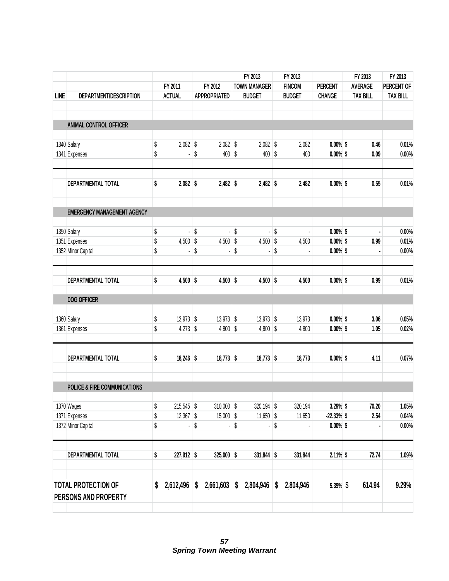|             |                                    |          |                           |                             | FY 2013                     | FY 2013           |                          | FY 2013 | FY 2013         |                 |
|-------------|------------------------------------|----------|---------------------------|-----------------------------|-----------------------------|-------------------|--------------------------|---------|-----------------|-----------------|
|             |                                    |          | FY 2011                   | FY 2012                     | <b>TOWN MANAGER</b>         | <b>FINCOM</b>     | <b>PERCENT</b>           |         | <b>AVERAGE</b>  | PERCENT OF      |
| <b>LINE</b> | DEPARTMENT/DESCRIPTION             |          | <b>ACTUAL</b>             | <b>APPROPRIATED</b>         | <b>BUDGET</b>               | <b>BUDGET</b>     | <b>CHANGE</b>            |         | <b>TAX BILL</b> | <b>TAX BILL</b> |
|             |                                    |          |                           |                             |                             |                   |                          |         |                 |                 |
|             | ANIMAL CONTROL OFFICER             |          |                           |                             |                             |                   |                          |         |                 |                 |
|             | 1340 Salary                        | \$       | $2,082$ \$                | $2,082$ \$                  | $2,082$ \$                  | 2,082             | $0.00\%$ \$              |         | 0.46            | 0.01%           |
|             | 1341 Expenses                      | \$       |                           | \$<br>$400  $ \$            | $400$ \$                    | 400               | $0.00\%$ \$              |         | 0.09            | 0.00%           |
|             | DEPARTMENTAL TOTAL                 | \$       | $2,082$ \$                | $2,482$ \$                  | $2,482$ \$                  | 2,482             | $0.00\%$ \$              |         | 0.55            | 0.01%           |
|             | <b>EMERGENCY MANAGEMENT AGENCY</b> |          |                           |                             |                             |                   |                          |         |                 |                 |
|             | 1350 Salary                        | \$       |                           | \$                          | \$                          | \$                | $0.00\%$ \$              |         |                 | 0.00%           |
|             | 1351 Expenses                      | \$       | $4,500$ \$                | $4,500$ \$                  | $4,500$ \$                  | 4,500             | $0.00\%$ \$              |         | 0.99            | 0.01%           |
|             | 1352 Minor Capital                 | \$       |                           | \$                          | \$                          | \$                | $0.00\%$ \$              |         |                 | $0.00\%$        |
|             | DEPARTMENTAL TOTAL                 | \$       | $4,500$ \$                | $4,500$ \$                  | $4,500$ \$                  | 4,500             | $0.00\%$ \$              |         | 0.99            | 0.01%           |
|             | <b>DOG OFFICER</b>                 |          |                           |                             |                             |                   |                          |         |                 |                 |
|             | 1360 Salary                        | \$       | $13,973$ \$               | $13,973$ \$                 | $13,973$ \$                 | 13,973            | $0.00\%$ \$              |         | 3.06            | 0.05%           |
|             | 1361 Expenses                      | \$       | $4,273$ \$                | $4,800$ \$                  | $4,800$ \$                  | 4,800             | $0.00\%$ \$              |         | 1.05            | 0.02%           |
|             | DEPARTMENTAL TOTAL                 | \$       | $18,246$ \$               | $18,773$ \$                 | $18,773$ \$                 | 18,773            | $0.00\%$ \$              |         | 4.11            | 0.07%           |
|             | POLICE & FIRE COMMUNICATIONS       |          |                           |                             |                             |                   |                          |         |                 |                 |
|             |                                    |          |                           |                             |                             |                   |                          |         |                 |                 |
|             | 1370 Wages<br>1371 Expenses        | \$<br>\$ | 215,545 \$<br>$12,367$ \$ | $310,000$ \$<br>$15,000$ \$ | $320,194$ \$<br>$11,650$ \$ | 320,194<br>11,650 | 3.29% \$<br>$-22.33%$ \$ |         | 70.20<br>2.54   | 1.05%<br>0.04%  |
|             | 1372 Minor Capital                 | \$       | ٠                         | \$<br>٠                     | \$<br>٠                     | \$                | $0.00\%$ \$              |         |                 | $0.00\%$        |
|             | DEPARTMENTAL TOTAL                 | \$       | 227,912 \$                | $325,000$ \$                | $331,844$ \$                | 331,844           | $2.11\%$ \$              |         | 72.74           | 1.09%           |
|             | <b>TOTAL PROTECTION OF</b>         | \$       | 2,612,496                 | \$<br>2,661,603             | \$<br>2,804,946             | \$<br>2,804,946   | 5.39% \$                 |         | 614.94          | 9.29%           |
|             | PERSONS AND PROPERTY               |          |                           |                             |                             |                   |                          |         |                 |                 |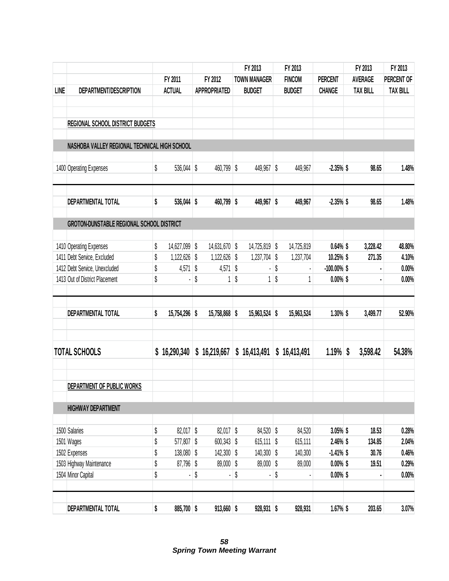|             |                                               |                     |                      | FY 2013             | FY 2013          |                | FY 2013         | FY 2013         |
|-------------|-----------------------------------------------|---------------------|----------------------|---------------------|------------------|----------------|-----------------|-----------------|
|             |                                               | FY 2011             | FY 2012              | <b>TOWN MANAGER</b> | <b>FINCOM</b>    | <b>PERCENT</b> | <b>AVERAGE</b>  | PERCENT OF      |
| <b>LINE</b> | DEPARTMENT/DESCRIPTION                        | <b>ACTUAL</b>       | <b>APPROPRIATED</b>  | <b>BUDGET</b>       | <b>BUDGET</b>    | <b>CHANGE</b>  | <b>TAX BILL</b> | <b>TAX BILL</b> |
|             | <b>REGIONAL SCHOOL DISTRICT BUDGETS</b>       |                     |                      |                     |                  |                |                 |                 |
|             |                                               |                     |                      |                     |                  |                |                 |                 |
|             | NASHOBA VALLEY REGIONAL TECHNICAL HIGH SCHOOL |                     |                      |                     |                  |                |                 |                 |
|             | 1400 Operating Expenses                       | \$<br>536,044 \$    | 460,799 \$           | 449,967 \$          | 449,967          | $-2.35%$ \$    | 98.65           | 1.48%           |
|             | DEPARTMENTAL TOTAL                            | \$<br>536,044 \$    | 460,799 \$           | 449,967 \$          | 449,967          | $-2.35%$ \$    | 98.65           | 1.48%           |
|             | GROTON-DUNSTABLE REGIONAL SCHOOL DISTRICT     |                     |                      |                     |                  |                |                 |                 |
|             | 1410 Operating Expenses                       | \$<br>14,627,099 \$ | 14,631,670 \$        | 14,725,819          | \$<br>14,725,819 | $0.64\%$ \$    | 3,228.42        | 48.80%          |
|             | 1411 Debt Service, Excluded                   | \$<br>1,122,626     | \$<br>$1,122,626$ \$ | $1,237,704$ \$      | 1,237,704        | 10.25% \$      | 271.35          | 4.10%           |
|             | 1412 Debt Service, Unexcluded                 | \$<br>4,571         | \$<br>4,571          | \$                  | \$               | $-100.00\%$ \$ |                 | 0.00%           |
|             | 1413 Out of District Placement                | \$                  | \$<br>1              | \$<br>1             | \$               | $0.00\%$ \$    |                 | 0.00%           |
|             | DEPARTMENTAL TOTAL                            | \$<br>15,754,296 \$ | 15,758,868 \$        | 15,963,524 \$       | 15,963,524       | $1.30\%$ \$    | 3,499.77        | 52.90%          |
|             | <b>TOTAL SCHOOLS</b>                          | \$<br>16,290,340    | \$16,219,667         | \$16,413,491        | \$16,413,491     | 1.19%          | \$<br>3,598.42  | 54.38%          |
|             | DEPARTMENT OF PUBLIC WORKS                    |                     |                      |                     |                  |                |                 |                 |
|             | <b>HIGHWAY DEPARTMENT</b>                     |                     |                      |                     |                  |                |                 |                 |
|             | 1500 Salaries                                 | \$<br>$82,017$ \$   | $82,017$ \$          | 84,520 \$           | 84,520           | $3.05\%$ \$    | 18.53           | 0.28%           |
|             | 1501 Wages                                    | \$<br>577,807 \$    | $600,343$ \$         | $615,111$ \$        | 615,111          | $2.46\%$ \$    | 134.85          | 2.04%           |
|             | 1502 Expenses                                 | \$<br>138,080 \$    | 142,300 \$           | 140,300 \$          | 140,300          | $-1.41\%$ \$   | 30.76           | 0.46%           |
|             | 1503 Highway Maintenance                      | \$<br>87,796 \$     | $89,000$ \$          | 89,000 \$           | 89,000           | $0.00\%$ \$    | 19.51           | 0.29%           |
|             | 1504 Minor Capital                            | \$                  | \$                   | \$                  | \$               | $0.00\%$ \$    |                 | 0.00%           |
|             | DEPARTMENTAL TOTAL                            | \$<br>885,700 \$    | $913,660$ \$         | $928,931$ \$        | 928,931          | 1.67% \$       | 203.65          | 3.07%           |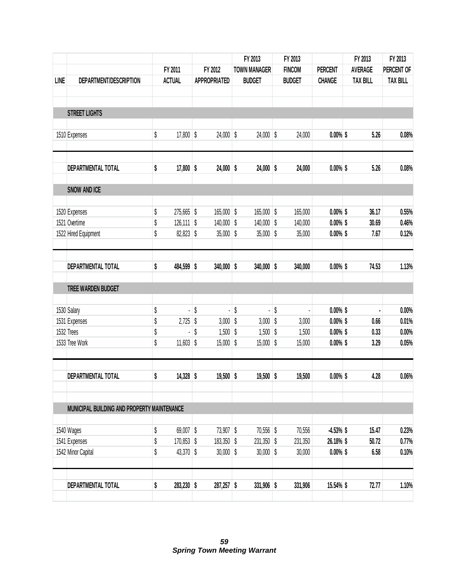|             |                                             |               |                            |         |                            | FY 2013                      | FY 2013 |                    |                            | FY 2013         | FY 2013         |
|-------------|---------------------------------------------|---------------|----------------------------|---------|----------------------------|------------------------------|---------|--------------------|----------------------------|-----------------|-----------------|
|             |                                             | FY 2011       |                            | FY 2012 |                            | <b>TOWN MANAGER</b>          |         | <b>FINCOM</b>      | <b>PERCENT</b>             | <b>AVERAGE</b>  | PERCENT OF      |
| <b>LINE</b> | DEPARTMENT/DESCRIPTION                      | <b>ACTUAL</b> |                            |         | <b>APPROPRIATED</b>        | <b>BUDGET</b>                |         | <b>BUDGET</b>      | <b>CHANGE</b>              | <b>TAX BILL</b> | <b>TAX BILL</b> |
|             | <b>STREET LIGHTS</b>                        |               |                            |         |                            |                              |         |                    |                            |                 |                 |
|             |                                             |               |                            |         |                            |                              |         |                    |                            |                 |                 |
|             | 1510 Expenses                               | \$            | $17,800$ \$                |         | $24,000$ \$                | $24,000$ \$                  |         | 24,000             | $0.00\%$ \$                | 5.26            | 0.08%           |
|             | DEPARTMENTAL TOTAL                          | \$            | $17,800$ \$                |         | $24,000$ \$                | $24,000$ \$                  |         | 24,000             | $0.00\%$ \$                | 5.26            | 0.08%           |
|             | <b>SNOW AND ICE</b>                         |               |                            |         |                            |                              |         |                    |                            |                 |                 |
|             |                                             |               |                            |         |                            |                              |         |                    |                            |                 |                 |
|             | 1520 Expenses<br>1521 Overtime              | \$<br>\$      | 275,665 \$<br>$126,111$ \$ |         | $165,000$ \$<br>140,000 \$ | $165,000$ \$<br>$140,000$ \$ |         | 165,000<br>140,000 | $0.00\%$ \$<br>$0.00\%$ \$ | 36.17<br>30.69  | 0.55%<br>0.46%  |
|             | 1522 Hired Equipment                        | \$            | $82,823$ \$                |         | $35,000$ \$                | $35,000$ \$                  |         | 35,000             | $0.00\%$ \$                | 7.67            | 0.12%           |
|             |                                             |               |                            |         |                            |                              |         |                    |                            |                 |                 |
|             | DEPARTMENTAL TOTAL                          | \$            | 484,599 \$                 |         | $340,000$ \$               | $340,000$ \$                 |         | 340,000            | $0.00\%$ \$                | 74.53           | 1.13%           |
|             | TREE WARDEN BUDGET                          |               |                            |         |                            |                              |         |                    |                            |                 |                 |
|             | 1530 Salary                                 | \$            |                            | \$      | ä,                         | \$                           | \$      |                    | $0.00\%$ \$                |                 | 0.00%           |
|             | 1531 Expenses                               | \$            | $2,725$ \$                 |         | $3,000$ \$                 | $3,000$ \$                   |         | 3,000              | $0.00\%$ \$                | 0.66            | 0.01%           |
|             | 1532 Trees                                  | \$            |                            | \$      | $1,500$ \$                 | $1,500$ \$                   |         | 1,500              | $0.00\%$ \$                | 0.33            | 0.00%           |
|             | 1533 Tree Work                              | \$            | $11,603$ \$                |         | $15,000$ \$                | $15,000$ \$                  |         | 15,000             | $0.00\%$ \$                | 3.29            | 0.05%           |
|             | <b>DEPARTMENTAL TOTAL</b>                   | \$            | 14,328 \$                  |         | $19,500$ \$                | $19,500$ \$                  |         | 19,500             | $0.00\%$ \$                | 4.28            | 0.06%           |
|             |                                             |               |                            |         |                            |                              |         |                    |                            |                 |                 |
|             | MUNICIPAL BUILDING AND PROPERTY MAINTENANCE |               |                            |         |                            |                              |         |                    |                            |                 |                 |
|             | 1540 Wages                                  | \$            | $69,007$ \$                |         | 73,907 \$                  | 70,556 \$                    |         | 70,556             | $-4.53\%$ \$               | 15.47           | 0.23%           |
|             | 1541 Expenses                               | \$            | 170,853 \$                 |         | 183,350 \$                 | $231,350$ \$                 |         | 231,350            | 26.18% \$                  | 50.72           | 0.77%           |
|             | 1542 Minor Capital                          | \$            | 43,370 \$                  |         | $30,000$ \$                | $30,000$ \$                  |         | 30,000             | $0.00\%$ \$                | 6.58            | 0.10%           |
|             |                                             |               |                            |         |                            |                              |         |                    |                            |                 |                 |
|             | DEPARTMENTAL TOTAL                          | \$            | 283,230 \$                 |         | $287,257$ \$               | $331,906$ \$                 |         | 331,906            | 15.54% \$                  | 72.77           | 1.10%           |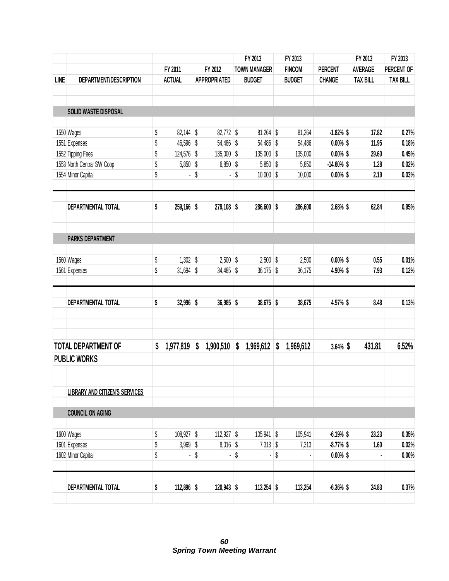|             |                                       |                    |                       | FY 2013             | FY 2013         |                |  | FY 2013         | FY 2013         |
|-------------|---------------------------------------|--------------------|-----------------------|---------------------|-----------------|----------------|--|-----------------|-----------------|
|             |                                       | FY 2011            | FY 2012               | <b>TOWN MANAGER</b> | <b>FINCOM</b>   | <b>PERCENT</b> |  | <b>AVERAGE</b>  | PERCENT OF      |
| <b>LINE</b> | DEPARTMENT/DESCRIPTION                | <b>ACTUAL</b>      | <b>APPROPRIATED</b>   | <b>BUDGET</b>       | <b>BUDGET</b>   | <b>CHANGE</b>  |  | <b>TAX BILL</b> | <b>TAX BILL</b> |
|             | SOLID WASTE DISPOSAL                  |                    |                       |                     |                 |                |  |                 |                 |
|             | 1550 Wages                            | \$<br>$82,144$ \$  | $82,772$ \$           | $81,264$ \$         | 81,264          | $-1.82%$ \$    |  | 17.82           | 0.27%           |
|             | 1551 Expenses                         | \$<br>46,596 \$    | 54,486 \$             | 54,486 \$           | 54,486          | $0.00\%$ \$    |  | 11.95           | 0.18%           |
|             | 1552 Tipping Fees                     | \$<br>124,576 \$   | $135,000$ \$          | $135,000$ \$        | 135,000         | $0.00\%$ \$    |  | 29.60           | 0.45%           |
|             | 1553 North Central SW Coop            | \$<br>$5,850$ \$   | $6,850$ \$            | $5,850$ \$          | 5,850           | $-14.60\%$ \$  |  | 1.28            | 0.02%           |
|             | 1554 Minor Capital                    | \$                 | \$                    | \$<br>$10,000$ \$   | 10,000          | $0.00\%$ \$    |  | 2.19            | 0.03%           |
|             | DEPARTMENTAL TOTAL                    | \$<br>$259,166$ \$ | 279,108 \$            | 286,600 \$          | 286,600         | 2.68% \$       |  | 62.84           | 0.95%           |
|             | <b>PARKS DEPARTMENT</b>               |                    |                       |                     |                 |                |  |                 |                 |
|             | 1560 Wages                            | \$<br>$1,302$ \$   | $2,500$ \$            | $2,500$ \$          | 2,500           | $0.00\%$ \$    |  | 0.55            | 0.01%           |
|             | 1561 Expenses                         | \$<br>$31,694$ \$  | $34,485$ \$           | $36,175$ \$         | 36,175          | 4.90% \$       |  | 7.93            | 0.12%           |
|             | DEPARTMENTAL TOTAL                    | \$<br>32,996 \$    | $36,985$ \$           | 38,675 \$           | 38,675          | 4.57% \$       |  | 8.48            | 0.13%           |
|             | <b>TOTAL DEPARTMENT OF</b>            | \$<br>1,977,819    | \$<br>1,900,510       | \$<br>1,969,612     | \$<br>1,969,612 | $3.64\%$ \$    |  | 431.81          | 6.52%           |
|             | <b>PUBLIC WORKS</b>                   |                    |                       |                     |                 |                |  |                 |                 |
|             | <b>LIBRARY AND CITIZEN'S SERVICES</b> |                    |                       |                     |                 |                |  |                 |                 |
|             | <b>COUNCIL ON AGING</b>               |                    |                       |                     |                 |                |  |                 |                 |
|             | 1600 Wages                            | \$<br>$108,927$ \$ | 112,927 $\frac{1}{2}$ | $105,941$ \$        | 105,941         | $-6.19%$ \$    |  | 23.23           | 0.35%           |
|             | 1601 Expenses                         | \$<br>$3,969$ \$   | $8,016$ \$            | $7,313$ \$          | 7,313           | $-8.77%$ \$    |  | 1.60            | 0.02%           |
|             | 1602 Minor Capital                    | \$                 | \$                    | \$                  | \$              | $0.00\%$ \$    |  |                 | 0.00%           |
|             | DEPARTMENTAL TOTAL                    | \$<br>112,896 \$   | $120,943$ \$          | $113,254$ \$        | 113,254         | $-6.36\%$ \$   |  | 24.83           | 0.37%           |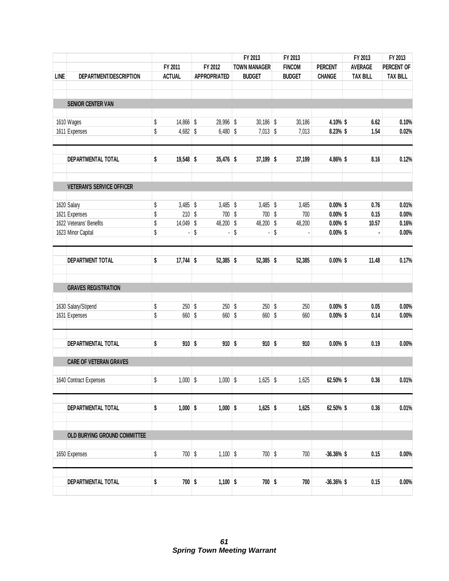|             |                                  |    |                |         |                     |    | FY 2013             |    | FY 2013       |                | FY 2013 |                 | FY 2013         |
|-------------|----------------------------------|----|----------------|---------|---------------------|----|---------------------|----|---------------|----------------|---------|-----------------|-----------------|
|             |                                  |    | FY 2011        | FY 2012 |                     |    | <b>TOWN MANAGER</b> |    | <b>FINCOM</b> | <b>PERCENT</b> |         | <b>AVERAGE</b>  | PERCENT OF      |
| <b>LINE</b> | DEPARTMENT/DESCRIPTION           |    | <b>ACTUAL</b>  |         | <b>APPROPRIATED</b> |    | <b>BUDGET</b>       |    | <b>BUDGET</b> | <b>CHANGE</b>  |         | <b>TAX BILL</b> | <b>TAX BILL</b> |
|             |                                  |    |                |         |                     |    |                     |    |               |                |         |                 |                 |
|             | <b>SENIOR CENTER VAN</b>         |    |                |         |                     |    |                     |    |               |                |         |                 |                 |
|             | 1610 Wages                       | \$ | 14,866 \$      |         | 28,996 \$           |    | $30,186$ \$         |    | 30,186        | 4.10% \$       |         | 6.62            | 0.10%           |
|             | 1611 Expenses                    | \$ | $4,682$ \$     |         | $6,480$ \$          |    | $7,013$ \$          |    | 7,013         | 8.23% \$       |         | 1.54            | 0.02%           |
|             | DEPARTMENTAL TOTAL               | \$ | $19,548$ \$    |         | $35,476$ \$         |    | $37,199$ \$         |    | 37,199        | 4.86% \$       |         | 8.16            | 0.12%           |
|             | <b>VETERAN'S SERVICE OFFICER</b> |    |                |         |                     |    |                     |    |               |                |         |                 |                 |
|             | 1620 Salary                      | \$ | $3,485$ \$     |         | $3,485$ \$          |    | $3,485$ \$          |    | 3,485         | $0.00\%$ \$    |         | 0.76            | 0.01%           |
|             | 1621 Expenses                    | \$ | $210$ \$       |         | $700$ \$            |    | $700$ \$            |    | 700           | $0.00\%$ \$    |         | 0.15            | $0.00\%$        |
|             | 1622 Veterans' Benefits          | \$ | $14,049$ \$    |         | 48,200 \$           |    | 48,200 \$           |    | 48,200        | $0.00\%$ \$    |         | 10.57           | 0.16%           |
|             | 1623 Minor Capital               | \$ | $\overline{a}$ | \$      | $\overline{a}$      | \$ |                     | \$ |               | $0.00\%$ \$    |         |                 | 0.00%           |
|             | <b>DEPARTMENT TOTAL</b>          | \$ | $17,744$ \$    |         | $52,385$ \$         |    | $52,385$ \$         |    | 52,385        | $0.00\%$ \$    |         | 11.48           | 0.17%           |
|             | <b>GRAVES REGISTRATION</b>       |    |                |         |                     |    |                     |    |               |                |         |                 |                 |
|             | 1630 Salary/Stipend              | \$ | $250$ \$       |         | $250$ \$            |    | $250$ \$            |    | 250           | $0.00\%$ \$    |         | 0.05            | $0.00\%$        |
|             | 1631 Expenses                    | \$ | 660 \$         |         | 660 \$              |    | 660 \$              |    | 660           | $0.00\%$ \$    |         | 0.14            | $0.00\%$        |
|             | DEPARTMENTAL TOTAL               | \$ | $910$ \$       |         | $910$ \$            |    | $910$ \$            |    | 910           | $0.00\%$ \$    |         | 0.19            | 0.00%           |
|             | <b>CARE OF VETERAN GRAVES</b>    |    |                |         |                     |    |                     |    |               |                |         |                 |                 |
|             |                                  |    |                |         |                     |    |                     |    |               |                |         |                 |                 |
|             | 1640 Contract Expenses           | \$ | $1,000$ \$     |         | $1,000$ \$          |    | $1,625$ \$          |    | 1,625         | 62.50% \$      |         | 0.36            | 0.01%           |
|             | DEPARTMENTAL TOTAL               | \$ | $1,000$ \$     |         | $1,000$ \$          |    | $1,625$ \$          |    | 1,625         | 62.50% \$      |         | 0.36            | 0.01%           |
|             | OLD BURYING GROUND COMMITTEE     |    |                |         |                     |    |                     |    |               |                |         |                 |                 |
|             | 1650 Expenses                    | \$ | $700$ \$       |         | $1,100$ \$          |    | $700$ \$            |    | 700           | $-36.36\%$ \$  |         | 0.15            | $0.00\%$        |
|             |                                  |    |                |         |                     |    |                     |    |               |                |         |                 |                 |
|             | DEPARTMENTAL TOTAL               | \$ | $700$ \$       |         | $1,100$ \$          |    | $700$ \$            |    | 700           | $-36.36\%$ \$  |         | 0.15            | $0.00\%$        |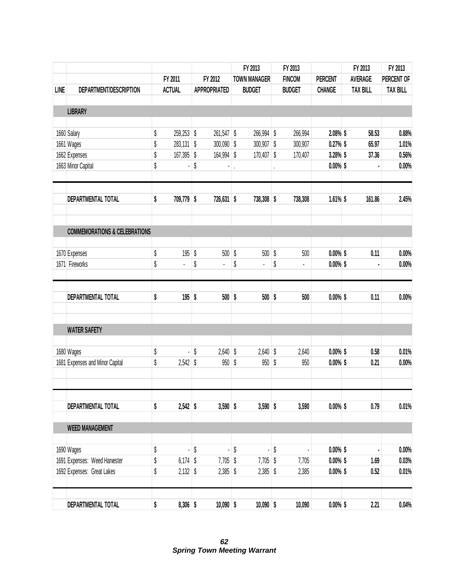|             |                                          |                    |                     | FY 2013             | FY 2013 |               |                |  | FY 2013         | FY 2013         |
|-------------|------------------------------------------|--------------------|---------------------|---------------------|---------|---------------|----------------|--|-----------------|-----------------|
|             |                                          | FY 2011            | FY 2012             | <b>TOWN MANAGER</b> |         | <b>FINCOM</b> | <b>PERCENT</b> |  | <b>AVERAGE</b>  | PERCENT OF      |
| <b>LINE</b> | DEPARTMENT/DESCRIPTION                   | <b>ACTUAL</b>      | <b>APPROPRIATED</b> | <b>BUDGET</b>       |         | <b>BUDGET</b> | <b>CHANGE</b>  |  | <b>TAX BILL</b> | <b>TAX BILL</b> |
|             |                                          |                    |                     |                     |         |               |                |  |                 |                 |
|             | <b>LIBRARY</b>                           |                    |                     |                     |         |               |                |  |                 |                 |
|             | 1660 Salary                              | \$<br>259,253 \$   | $261,547$ \$        | 266,994 \$          |         | 266,994       | 2.08% \$       |  | 58.53           | 0.88%           |
|             | 1661 Wages                               | \$<br>$283,131$ \$ | $300,090$ \$        | $300,907$ \$        |         | 300,907       | 0.27%          |  | 65.97           | 1.01%           |
|             | 1662 Expenses                            | \$<br>167,395 \$   | 164,994 \$          | $170,407$ \$        |         | 170,407       | 3.28% \$       |  | 37.36           | 0.56%           |
|             | 1663 Minor Capital                       | \$                 | \$                  |                     |         |               | $0.00\%$ \$    |  |                 | 0.00%           |
|             | DEPARTMENTAL TOTAL                       | \$<br>709,779 \$   | 726,631 \$          | 738,308 \$          |         | 738,308       | $1.61\%$ \$    |  | 161.86          | 2.45%           |
|             | <b>COMMEMORATIONS &amp; CELEBRATIONS</b> |                    |                     |                     |         |               |                |  |                 |                 |
|             |                                          |                    |                     |                     |         |               |                |  |                 |                 |
|             | 1670 Expenses                            | \$<br>$195$ \$     | $500$ \$            | $500$ \$            |         | 500           | $0.00\%$ \$    |  | 0.11            | 0.00%           |
|             | 1671 Fireworks                           | \$                 | \$                  | \$                  | \$      |               | $0.00\%$ \$    |  |                 | 0.00%           |
|             | DEPARTMENTAL TOTAL                       | \$<br>$195$ \$     | $500$ \$            | $500$ \$            |         | 500           | $0.00\%$ \$    |  | 0.11            | 0.00%           |
|             | <b>WATER SAFETY</b>                      |                    |                     |                     |         |               |                |  |                 |                 |
|             | 1680 Wages                               | \$                 | \$<br>$2,640$ \$    | $2,640$ \$          |         | 2,640         | $0.00\%$ \$    |  | 0.58            | 0.01%           |
|             | 1681 Expenses and Minor Capital          | \$<br>$2,542$ \$   | $950$ \$            | $950$ \$            |         | 950           | $0.00\%$ \$    |  | 0.21            | 0.00%           |
|             |                                          |                    |                     |                     |         |               |                |  |                 |                 |
|             | DEPARTMENTAL TOTAL                       | \$<br>$2,542$ \$   | $3,590$ \$          | $3,590$ \$          |         | 3,590         | $0.00\%$ \$    |  | 0.79            | 0.01%           |
|             | <b>WEED MANAGEMENT</b>                   |                    |                     |                     |         |               |                |  |                 |                 |
|             | 1690 Wages                               | \$                 | \$<br>l,            | \$<br>٠             | \$      |               | $0.00\%$ \$    |  |                 | 0.00%           |
|             | 1691 Expenses: Weed Harvester            | \$<br>$6,174$ \$   | $7,705$ \$          | $7,705$ \$          |         | 7,705         | $0.00\%$ \$    |  | 1.69            | 0.03%           |
|             | 1692 Expenses: Great Lakes               | \$<br>$2,132$ \$   | $2,385$ \$          | $2,385$ \$          |         | 2,385         | $0.00\%$ \$    |  | 0.52            | 0.01%           |
|             | DEPARTMENTAL TOTAL                       | \$<br>$8,306$ \$   | $10,090$ \$         | $10,090$ \$         |         | 10,090        | $0.00\%$ \$    |  | 2.21            | 0.04%           |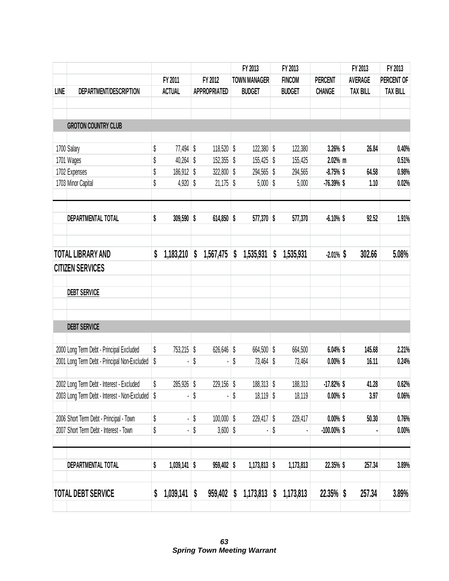|             |                                               |                      |                     |              | FY 2013             | FY 2013         |                |  | FY 2013         | FY 2013         |
|-------------|-----------------------------------------------|----------------------|---------------------|--------------|---------------------|-----------------|----------------|--|-----------------|-----------------|
|             |                                               | FY 2011              |                     | FY 2012      | <b>TOWN MANAGER</b> | <b>FINCOM</b>   | <b>PERCENT</b> |  | <b>AVERAGE</b>  | PERCENT OF      |
| <b>LINE</b> | DEPARTMENT/DESCRIPTION                        | <b>ACTUAL</b>        | <b>APPROPRIATED</b> |              | <b>BUDGET</b>       | <b>BUDGET</b>   | <b>CHANGE</b>  |  | <b>TAX BILL</b> | <b>TAX BILL</b> |
|             |                                               |                      |                     |              |                     |                 |                |  |                 |                 |
|             |                                               |                      |                     |              |                     |                 |                |  |                 |                 |
|             | <b>GROTON COUNTRY CLUB</b>                    |                      |                     |              |                     |                 |                |  |                 |                 |
|             | 1700 Salary                                   | \$<br>$77,494$ \$    |                     | 118,520 \$   | 122,380 \$          | 122,380         | 3.26% \$       |  | 26.84           | 0.40%           |
|             | 1701 Wages                                    | \$<br>$40,264$ \$    |                     | $152,355$ \$ | 155,425 \$          | 155,425         | $2.02%$ m      |  |                 | 0.51%           |
|             | 1702 Expenses                                 | \$<br>186,912 \$     |                     | $322,800$ \$ | 294,565             | \$<br>294,565   | $-8.75%$ \$    |  | 64.58           | 0.98%           |
|             | 1703 Minor Capital                            | \$<br>4,920          | \$                  | $21,175$ \$  | 5,000               | \$<br>5,000     | $-76.39%$ \$   |  | 1.10            | 0.02%           |
|             |                                               |                      |                     |              |                     |                 |                |  |                 |                 |
|             | DEPARTMENTAL TOTAL                            | \$<br>309,590 \$     |                     | $614,850$ \$ | 577,370 \$          | 577,370         | $-6.10%$ \$    |  | 92.52           | 1.91%           |
|             |                                               |                      |                     |              |                     |                 |                |  |                 |                 |
|             | <b>TOTAL LIBRARY AND</b>                      | \$<br>1,183,210      | S                   | 1,567,475    | \$<br>1,535,931     | \$<br>1,535,931 | $-2.01\%$ \$   |  | 302.66          | 5.08%           |
|             | <b>CITIZEN SERVICES</b>                       |                      |                     |              |                     |                 |                |  |                 |                 |
|             | <b>DEBT SERVICE</b>                           |                      |                     |              |                     |                 |                |  |                 |                 |
|             | <b>DEBT SERVICE</b>                           |                      |                     |              |                     |                 |                |  |                 |                 |
|             |                                               |                      |                     |              |                     |                 |                |  |                 |                 |
|             | 2000 Long Term Debt - Principal Excluded      | \$<br>753,215 \$     |                     | $626,646$ \$ | 664,500 \$          | 664,500         | $6.04\%$ \$    |  | 145.68          | 2.21%           |
|             | 2001 Long Term Debt - Principal Non-Excluded  | \$                   | \$                  |              | \$<br>73,464 \$     | 73,464          | $0.00\%$ \$    |  | 16.11           | 0.24%           |
|             | 2002 Long Term Debt - Interest - Excluded     | \$<br>285,926 \$     |                     | 229,156 \$   | $188,313$ \$        | 188,313         | $-17.82\%$ \$  |  | 41.28           | 0.62%           |
|             | 2003 Long Term Debt - Interest - Non-Excluded | \$                   | \$                  |              | \$<br>18,119 \$     | 18,119          | $0.00\%$ \$    |  | 3.97            | 0.06%           |
|             | 2006 Short Term Debt - Principal - Town       | \$                   | \$                  | $100,000$ \$ | 229,417 \$          | 229,417         | $0.00\%$ \$    |  | 50.30           | 0.76%           |
|             | 2007 Short Term Debt - Interest - Town        | \$                   | \$                  | $3,600$ \$   |                     | \$              | $-100.00\%$ \$ |  |                 | 0.00%           |
|             |                                               |                      |                     |              |                     |                 |                |  |                 |                 |
|             | DEPARTMENTAL TOTAL                            | \$<br>$1,039,141$ \$ |                     | 959,402 \$   | $1,173,813$ \$      | 1,173,813       | 22.35% \$      |  | 257.34          | 3.89%           |
|             | <b>TOTAL DEBT SERVICE</b>                     | \$<br>1,039,141      | \$                  | 959,402      | \$<br>1,173,813     | \$<br>1,173,813 | $22.35\%$ \$   |  | 257.34          | 3.89%           |
|             |                                               |                      |                     |              |                     |                 |                |  |                 |                 |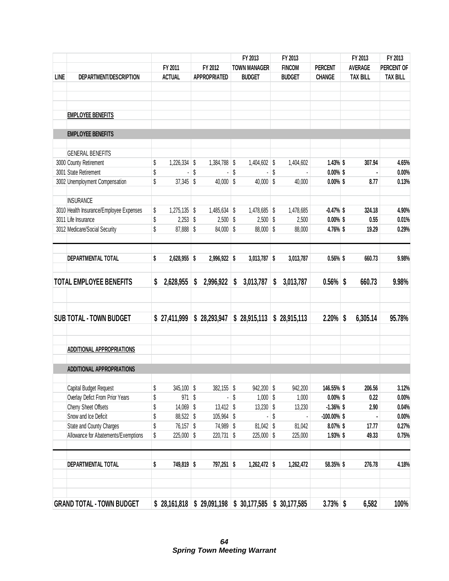|             |                                         |                      |                     |    | FY 2013                                                 | FY 2013         |                | FY 2013         | FY 2013         |
|-------------|-----------------------------------------|----------------------|---------------------|----|---------------------------------------------------------|-----------------|----------------|-----------------|-----------------|
|             |                                         | FY 2011              | FY 2012             |    | <b>TOWN MANAGER</b>                                     | <b>FINCOM</b>   | <b>PERCENT</b> | <b>AVERAGE</b>  | PERCENT OF      |
| <b>LINE</b> | DEPARTMENT/DESCRIPTION                  | <b>ACTUAL</b>        | <b>APPROPRIATED</b> |    | <b>BUDGET</b>                                           | <b>BUDGET</b>   | <b>CHANGE</b>  | <b>TAX BILL</b> | <b>TAX BILL</b> |
|             |                                         |                      |                     |    |                                                         |                 |                |                 |                 |
|             | <b>EMPLOYEE BENEFITS</b>                |                      |                     |    |                                                         |                 |                |                 |                 |
|             | <b>EMPLOYEE BENEFITS</b>                |                      |                     |    |                                                         |                 |                |                 |                 |
|             | <b>GENERAL BENEFITS</b>                 |                      |                     |    |                                                         |                 |                |                 |                 |
|             | 3000 County Retirement                  | \$<br>1,226,334 \$   | 1,384,788 \$        |    | 1,404,602 \$                                            | 1,404,602       | $1.43\%$ \$    | 307.94          | 4.65%           |
|             | 3001 State Retirement                   | \$                   | \$                  | \$ |                                                         | \$              | $0.00\%$ \$    |                 | 0.00%           |
|             | 3002 Unemployment Compensation          | \$<br>$37,345$ \$    | $40,000$ \$         |    | $40,000$ \$                                             | 40,000          | $0.00\%$ \$    | 8.77            | 0.13%           |
|             | <b>INSURANCE</b>                        |                      |                     |    |                                                         |                 |                |                 |                 |
|             | 3010 Health Insurance/Employee Expenses | \$<br>$1,275,135$ \$ | 1,485,634 \$        |    | 1,478,685 \$                                            | 1,478,685       | $-0.47%$ \$    | 324.18          | 4.90%           |
|             | 3011 Life Insurance                     | \$<br>$2,253$ \$     | $2,500$ \$          |    | $2,500$ \$                                              | 2,500           | $0.00\%$ \$    | 0.55            | 0.01%           |
|             | 3012 Medicare/Social Security           | \$<br>87,888 \$      | 84,000 \$           |    | 88,000 \$                                               | 88,000          | 4.76% \$       | 19.29           | 0.29%           |
|             | DEPARTMENTAL TOTAL                      | \$<br>2,628,955 \$   | 2,996,922 \$        |    | $3,013,787$ \$                                          | 3,013,787       | $0.56\%$ \$    | 660.73          | 9.98%           |
|             | <b>TOTAL EMPLOYEE BENEFITS</b>          | \$<br>2,628,955      | \$<br>2,996,922     | \$ | 3,013,787                                               | \$<br>3,013,787 | $0.56\%$ \$    | 660.73          | 9.98%           |
|             | <b>SUB TOTAL - TOWN BUDGET</b>          | \$27,411,999         | \$28,293,947        |    | \$28,915,113                                            | \$28,915,113    | 2.20%          | \$<br>6,305.14  | 95.78%          |
|             |                                         |                      |                     |    |                                                         |                 |                |                 |                 |
|             | <b>ADDITIONAL APPROPRIATIONS</b>        |                      |                     |    |                                                         |                 |                |                 |                 |
|             | <b>ADDITIONAL APPROPRIATIONS</b>        |                      |                     |    |                                                         |                 |                |                 |                 |
|             | Capital Budget Request                  | \$<br>345,100 \$     | $382,155$ \$        |    | 942,200 \$                                              | 942,200         | 146.55% \$     | 206.56          | 3.12%           |
|             | Overlay Defict From Prior Years         | \$<br>$971$ \$       |                     | S  | $1,000$ \$                                              | 1,000           | $0.00\%$ \$    | 0.22            | $0.00\%$        |
|             | Cherry Sheet Offsets                    | \$<br>14,069 \$      | $13,412$ \$         |    | $13,230$ \$                                             | 13,230          | $-1.36\%$ \$   | 2.90            | 0.04%           |
|             | Snow and Ice Deficit                    | \$<br>88,522 \$      | 105,964 \$          |    |                                                         | \$              | $-100.00\%$ \$ |                 | $0.00\%$        |
|             | State and County Charges                | \$<br>76,157 \$      | 74,989 \$           |    | $81,042$ \$                                             | 81,042          | $8.07\%$ \$    | 17.77           | 0.27%           |
|             | Allowance for Abatements/Exemptions     | \$<br>225,000 \$     | $220,731$ \$        |    | 225,000 \$                                              | 225,000         | 1.93% \$       | 49.33           | 0.75%           |
|             | DEPARTMENTAL TOTAL                      | \$<br>749,819 \$     | 797,251 \$          |    | $1,262,472$ \$                                          | 1,262,472       | 58.35% \$      | 276.78          | 4.18%           |
|             |                                         |                      |                     |    |                                                         |                 |                |                 |                 |
|             | <b>GRAND TOTAL - TOWN BUDGET</b>        |                      |                     |    | $$28,161,818$ $$29,091,198$ $$30,177,585$ $$30,177,585$ |                 | $3.73\%$ \$    | 6,582           | 100%            |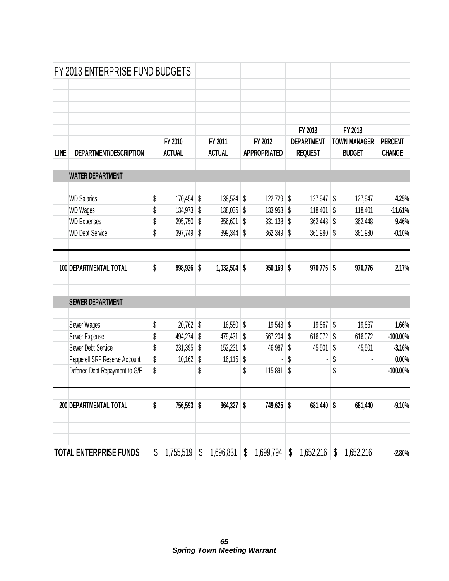|             | FY 2013 ENTERPRISE FUND BUDGETS              |          |                            |                    |          |                     |                  |                   |                          |                    |
|-------------|----------------------------------------------|----------|----------------------------|--------------------|----------|---------------------|------------------|-------------------|--------------------------|--------------------|
|             |                                              |          |                            |                    |          |                     |                  |                   |                          |                    |
|             |                                              |          |                            |                    |          |                     |                  |                   |                          |                    |
|             |                                              |          |                            |                    |          |                     |                  |                   |                          |                    |
|             |                                              |          |                            |                    |          |                     |                  |                   |                          |                    |
|             |                                              |          |                            |                    |          |                     |                  | FY 2013           | FY 2013                  |                    |
|             |                                              |          | FY 2010                    | FY 2011            |          | FY 2012             |                  | <b>DEPARTMENT</b> | <b>TOWN MANAGER</b>      | <b>PERCENT</b>     |
| <b>LINE</b> | DEPARTMENT/DESCRIPTION                       |          | <b>ACTUAL</b>              | <b>ACTUAL</b>      |          | <b>APPROPRIATED</b> |                  | <b>REQUEST</b>    | <b>BUDGET</b>            | <b>CHANGE</b>      |
|             | <b>WATER DEPARTMENT</b>                      |          |                            |                    |          |                     |                  |                   |                          |                    |
|             | <b>WD Salaries</b>                           | \$       | $170,454$ \$               | 138,524            | \$       | 122,729 \$          |                  | 127,947           | \$<br>127,947            | 4.25%              |
|             |                                              |          |                            |                    |          | 133,953             |                  |                   |                          |                    |
|             | <b>WD Wages</b>                              | \$<br>\$ | $134,973$ \$<br>295,750 \$ | 138,035<br>356,601 | \$<br>\$ | 331,138             | $\sqrt{2}$<br>\$ | 118,401           | \$<br>118,401            | $-11.61%$<br>9.46% |
|             | <b>WD Expenses</b><br><b>WD Debt Service</b> | \$       |                            | \$                 | \$       |                     | \$               | $362,448$ \$      | \$<br>362,448<br>361,980 | $-0.10%$           |
|             |                                              |          | 397,749                    | 399,344            |          | 362,349             |                  | 361,980           |                          |                    |
|             | 100 DEPARTMENTAL TOTAL                       | \$       | 998,926 \$                 | 1,032,504          | \$       | 950,169             | \$               | $970,776$ \$      | 970,776                  | 2.17%              |
|             | <b>SEWER DEPARTMENT</b>                      |          |                            |                    |          |                     |                  |                   |                          |                    |
|             | Sewer Wages                                  | \$       | $20,762$ \$                | 16,550             | \$       | $19,543$ \$         |                  | 19,867 \$         | 19,867                   | 1.66%              |
|             | Sewer Expense                                | \$       | 494,274 \$                 | 479,431            | \$       | 567,204             | \$               | 616,072           | \$<br>616,072            | $-100.00%$         |
|             | Sewer Debt Service                           | \$       | 231,395                    | \$<br>152,231      | \$       | 46,987              | \$               | 45,501            | \$<br>45,501             | $-3.16%$           |
|             | Pepperell SRF Reserve Account                | \$       | $10,162$ \$                | 16,115             | \$       |                     | \$               |                   | \$                       | 0.00%              |
|             | Deferred Debt Repayment to G/F               | \$       |                            | \$                 | \$       | 115,891             | \$               |                   | \$                       | $-100.00%$         |
|             |                                              |          |                            |                    |          |                     |                  |                   |                          |                    |
|             | 200 DEPARTMENTAL TOTAL                       | \$       | 756,593 \$                 | 664,327 \$         |          | 749,625 \$          |                  | 681,440           | \$<br>681,440            | $-9.10%$           |
|             |                                              |          |                            |                    |          |                     |                  |                   |                          |                    |
|             | <b>TOTAL ENTERPRISE FUNDS</b>                | \$       | 1,755,519                  | \$<br>1,696,831    | \$       | 1,699,794           | \$               | 1,652,216         | \$<br>1,652,216          | $-2.80%$           |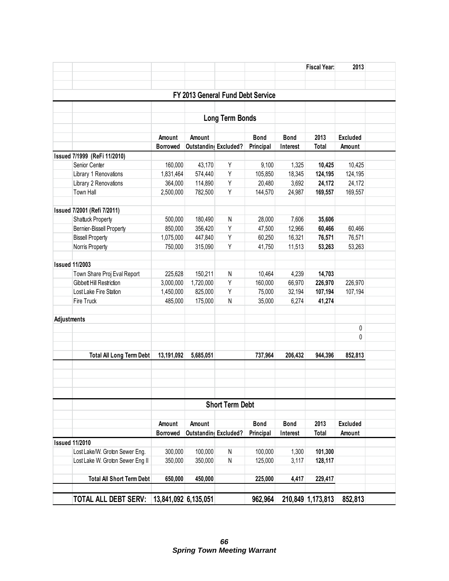|             |                                  |                      |                       |                        |                                   |             | <b>Fiscal Year:</b> | 2013            |  |
|-------------|----------------------------------|----------------------|-----------------------|------------------------|-----------------------------------|-------------|---------------------|-----------------|--|
|             |                                  |                      |                       |                        |                                   |             |                     |                 |  |
|             |                                  |                      |                       |                        |                                   |             |                     |                 |  |
|             |                                  |                      |                       |                        | FY 2013 General Fund Debt Service |             |                     |                 |  |
|             |                                  |                      |                       |                        |                                   |             |                     |                 |  |
|             |                                  |                      |                       | <b>Long Term Bonds</b> |                                   |             |                     |                 |  |
|             |                                  | Amount               | Amount                |                        | <b>Bond</b>                       | <b>Bond</b> | 2013                | <b>Excluded</b> |  |
|             |                                  | <b>Borrowed</b>      | Outstanding Excluded? |                        | Principal                         | Interest    | <b>Total</b>        | Amount          |  |
|             | Issued 7/1999 (ReFi 11/2010)     |                      |                       |                        |                                   |             |                     |                 |  |
|             | Senior Center                    | 160,000              | 43,170                | Υ                      | 9,100                             | 1,325       | 10,425              | 10,425          |  |
|             | Library 1 Renovations            | 1,831,464            | 574,440               | Υ                      | 105,850                           | 18,345      | 124,195             | 124,195         |  |
|             | Library 2 Renovations            | 364,000              | 114,890               | Υ                      | 20,480                            | 3,692       | 24,172              | 24,172          |  |
|             | Town Hall                        | 2,500,000            | 782,500               | Υ                      | 144,570                           | 24,987      | 169,557             | 169,557         |  |
|             |                                  |                      |                       |                        |                                   |             |                     |                 |  |
|             | Issued 7/2001 (Refi 7/2011)      |                      |                       |                        |                                   |             |                     |                 |  |
|             | Shattuck Property                | 500,000              | 180,490               | N                      | 28,000                            | 7,606       | 35,606              |                 |  |
|             | Bernier-Bissell Property         | 850,000              | 356,420               | Υ                      | 47,500                            | 12,966      | 60,466              | 60,466          |  |
|             | <b>Bissell Property</b>          | 1,075,000            | 447,840               | Υ                      | 60,250                            | 16,321      | 76,571              | 76,571          |  |
|             | Norris Property                  | 750,000              | 315,090               | Υ                      | 41,750                            | 11,513      | 53,263              | 53,263          |  |
|             |                                  |                      |                       |                        |                                   |             |                     |                 |  |
|             | <b>Issued 11/2003</b>            |                      |                       |                        |                                   |             |                     |                 |  |
|             | Town Share Proj Eval Report      | 225,628              | 150,211               | N                      | 10,464                            | 4,239       | 14,703              |                 |  |
|             | Gibbett Hill Restriction         | 3,000,000            | 1,720,000             | Υ                      | 160,000                           | 66,970      | 226,970             | 226,970         |  |
|             | Lost Lake Fire Station           | 1,450,000            | 825,000               | Υ                      | 75,000                            | 32,194      | 107,194             | 107,194         |  |
|             | Fire Truck                       | 485,000              | 175,000               | N                      | 35,000                            | 6,274       | 41,274              |                 |  |
|             |                                  |                      |                       |                        |                                   |             |                     |                 |  |
| Adjustments |                                  |                      |                       |                        |                                   |             |                     |                 |  |
|             |                                  |                      |                       |                        |                                   |             |                     | 0               |  |
|             |                                  |                      |                       |                        |                                   |             |                     | 0               |  |
|             |                                  |                      |                       |                        |                                   |             |                     |                 |  |
|             | <b>Total All Long Term Debt</b>  | 13,191,092           | 5,685,051             |                        | 737,964                           | 206,432     | 944,396             | 852,813         |  |
|             |                                  |                      |                       |                        |                                   |             |                     |                 |  |
|             |                                  |                      |                       |                        |                                   |             |                     |                 |  |
|             |                                  |                      |                       |                        |                                   |             |                     |                 |  |
|             |                                  |                      |                       |                        |                                   |             |                     |                 |  |
|             |                                  |                      |                       | <b>Short Term Debt</b> |                                   |             |                     |                 |  |
|             |                                  |                      |                       |                        |                                   |             |                     |                 |  |
|             |                                  |                      |                       |                        |                                   |             |                     |                 |  |
|             |                                  | Amount               | Amount                |                        | <b>Bond</b>                       | <b>Bond</b> | 2013                | <b>Excluded</b> |  |
|             |                                  | <b>Borrowed</b>      | Outstanding Excluded? |                        | Principal                         | Interest    | <b>Total</b>        | Amount          |  |
|             | <b>Issued 11/2010</b>            |                      |                       |                        |                                   |             |                     |                 |  |
|             | Lost Lake/W. Groton Sewer Eng.   | 300,000              | 100,000               | N                      | 100,000                           | 1,300       | 101,300             |                 |  |
|             | Lost Lake W. Groton Sewer Eng II | 350,000              | 350,000               | N                      | 125,000                           | 3,117       | 128,117             |                 |  |
|             |                                  |                      |                       |                        |                                   |             |                     |                 |  |
|             | <b>Total All Short Term Debt</b> | 650,000              | 450,000               |                        | 225,000                           | 4,417       | 229,417             |                 |  |
|             |                                  |                      |                       |                        |                                   |             |                     |                 |  |
|             | <b>TOTAL ALL DEBT SERV:</b>      | 13,841,092 6,135,051 |                       |                        | 962,964                           |             | 210,849 1,173,813   | 852,813         |  |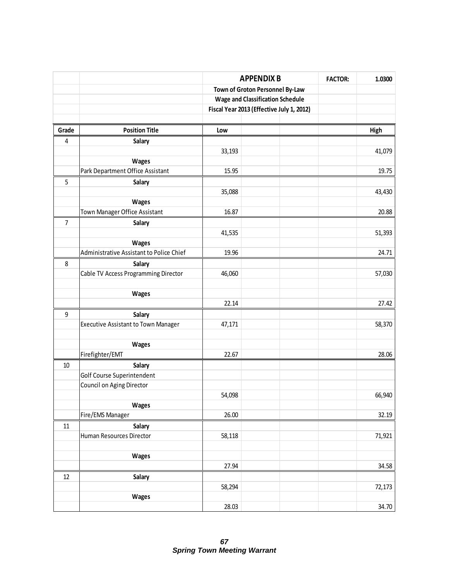|                  |                                            |        | <b>APPENDIX B</b>                         | <b>FACTOR:</b> | 1.0300 |
|------------------|--------------------------------------------|--------|-------------------------------------------|----------------|--------|
|                  |                                            |        | Town of Groton Personnel By-Law           |                |        |
|                  |                                            |        | <b>Wage and Classification Schedule</b>   |                |        |
|                  |                                            |        | Fiscal Year 2013 (Effective July 1, 2012) |                |        |
|                  |                                            |        |                                           |                |        |
| Grade            | <b>Position Title</b>                      | Low    |                                           |                | High   |
| 4                | Salary                                     |        |                                           |                |        |
|                  |                                            | 33,193 |                                           |                | 41,079 |
|                  | Wages                                      |        |                                           |                |        |
|                  | Park Department Office Assistant           | 15.95  |                                           |                | 19.75  |
| 5                | Salary                                     |        |                                           |                |        |
|                  |                                            | 35,088 |                                           |                | 43,430 |
|                  | Wages                                      |        |                                           |                |        |
|                  | Town Manager Office Assistant              | 16.87  |                                           |                | 20.88  |
| $\overline{7}$   | Salary                                     |        |                                           |                |        |
|                  |                                            | 41,535 |                                           |                | 51,393 |
|                  | Wages                                      |        |                                           |                |        |
|                  | Administrative Assistant to Police Chief   | 19.96  |                                           |                | 24.71  |
| 8                | Salary                                     |        |                                           |                |        |
|                  | Cable TV Access Programming Director       | 46,060 |                                           |                | 57,030 |
|                  |                                            |        |                                           |                |        |
|                  | Wages                                      |        |                                           |                |        |
|                  |                                            | 22.14  |                                           |                | 27.42  |
| $\boldsymbol{9}$ | Salary                                     |        |                                           |                |        |
|                  | <b>Executive Assistant to Town Manager</b> | 47,171 |                                           |                | 58,370 |
|                  |                                            |        |                                           |                |        |
|                  | Wages                                      |        |                                           |                |        |
|                  | Firefighter/EMT                            | 22.67  |                                           |                | 28.06  |
| $10\,$           | Salary                                     |        |                                           |                |        |
|                  | Golf Course Superintendent                 |        |                                           |                |        |
|                  | Council on Aging Director                  |        |                                           |                |        |
|                  |                                            | 54,098 |                                           |                | 66,940 |
|                  | <b>Wages</b>                               |        |                                           |                |        |
|                  | Fire/EMS Manager                           | 26.00  |                                           |                | 32.19  |
| 11               | Salary                                     |        |                                           |                |        |
|                  | Human Resources Director                   | 58,118 |                                           |                | 71,921 |
|                  |                                            |        |                                           |                |        |
|                  | <b>Wages</b>                               |        |                                           |                |        |
|                  |                                            | 27.94  |                                           |                | 34.58  |
| 12               | Salary                                     |        |                                           |                |        |
|                  |                                            | 58,294 |                                           |                | 72,173 |
|                  | Wages                                      |        |                                           |                |        |
|                  |                                            | 28.03  |                                           |                | 34.70  |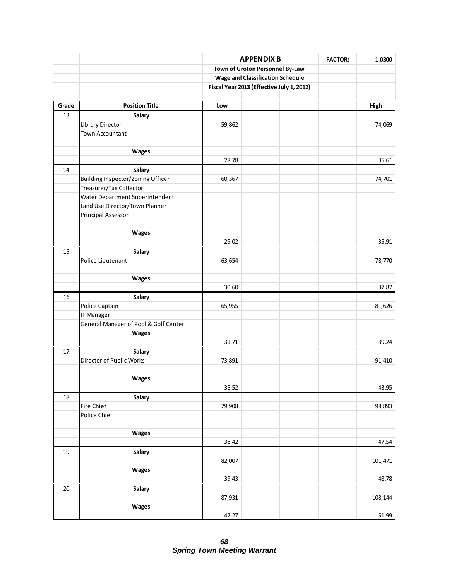|        |                                       |        | <b>APPENDIX B</b>                         | <b>FACTOR:</b> | 1.0300  |
|--------|---------------------------------------|--------|-------------------------------------------|----------------|---------|
|        |                                       |        | Town of Groton Personnel By-Law           |                |         |
|        |                                       |        | <b>Wage and Classification Schedule</b>   |                |         |
|        |                                       |        | Fiscal Year 2013 (Effective July 1, 2012) |                |         |
|        |                                       |        |                                           |                |         |
| Grade  | <b>Position Title</b>                 | Low    |                                           |                | High    |
| 13     | Salary                                |        |                                           |                |         |
|        | Library Director                      | 59,862 |                                           |                | 74,069  |
|        | <b>Town Accountant</b>                |        |                                           |                |         |
|        |                                       |        |                                           |                |         |
|        | Wages                                 |        |                                           |                |         |
|        |                                       | 28.78  |                                           |                | 35.61   |
| 14     | Salary                                |        |                                           |                |         |
|        | Building Inspector/Zoning Officer     | 60,367 |                                           |                | 74,701  |
|        | Treasurer/Tax Collector               |        |                                           |                |         |
|        | Water Department Superintendent       |        |                                           |                |         |
|        | Land Use Director/Town Planner        |        |                                           |                |         |
|        | <b>Principal Assessor</b>             |        |                                           |                |         |
|        |                                       |        |                                           |                |         |
|        | Wages                                 |        |                                           |                |         |
|        |                                       | 29.02  |                                           |                | 35.91   |
| 15     | Salary                                |        |                                           |                |         |
|        | Police Lieutenant                     | 63,654 |                                           |                | 78,770  |
|        |                                       |        |                                           |                |         |
|        | Wages                                 |        |                                           |                |         |
|        |                                       | 30.60  |                                           |                | 37.87   |
| 16     | Salary                                |        |                                           |                |         |
|        | Police Captain                        | 65,955 |                                           |                | 81,626  |
|        | IT Manager                            |        |                                           |                |         |
|        | General Manager of Pool & Golf Center |        |                                           |                |         |
|        | Wages                                 |        |                                           |                |         |
|        |                                       | 31.71  |                                           |                | 39.24   |
| 17     | Salary                                |        |                                           |                |         |
|        | Director of Public Works              | 73,891 |                                           |                | 91,410  |
|        |                                       |        |                                           |                |         |
|        | Wages                                 |        |                                           |                |         |
|        |                                       | 35.52  |                                           |                | 43.95   |
| 18     | Salary                                |        |                                           |                |         |
|        | Fire Chief                            | 79,908 |                                           |                | 98,893  |
|        | Police Chief                          |        |                                           |                |         |
|        |                                       |        |                                           |                |         |
|        | Wages                                 |        |                                           |                |         |
|        |                                       | 38.42  |                                           |                | 47.54   |
| 19     | Salary                                |        |                                           |                |         |
|        |                                       | 82,007 |                                           |                | 101,471 |
|        | Wages                                 |        |                                           |                |         |
|        |                                       | 39.43  |                                           |                | 48.78   |
| $20\,$ | Salary                                |        |                                           |                |         |
|        |                                       | 87,931 |                                           |                | 108,144 |
|        | Wages                                 |        |                                           |                |         |
|        |                                       | 42.27  |                                           |                | 51.99   |